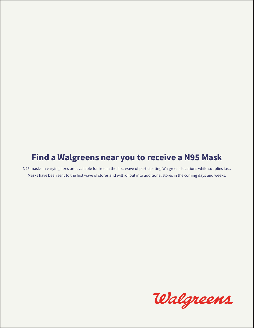## Find a Walgreens near you to receive a N95 Mask

N95 masks in varying sizes are available for free in the first wave of participating Walgreens locations while supplies last. Masks have been sent to the first wave of stores and will rollout into additional stores in the coming days and weeks.

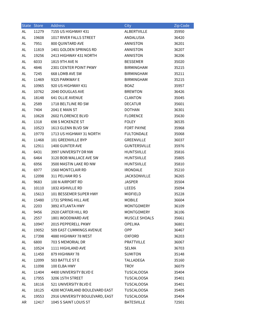|    | State Store | <b>Address</b>                  | <b>City</b>          | Zip Code |
|----|-------------|---------------------------------|----------------------|----------|
| AL | 11279       | 7155 US HIGHWAY 431             | ALBERTVILLE          | 35950    |
| AL | 19608       | 1017 RIVER FALLS STREET         | ANDALUSIA            | 36420    |
| AL | 7951        | 800 QUINTARD AVE                | ANNISTON             | 36201    |
| AL | 11819       | 1401 GOLDEN SPRINGS RD          | ANNISTON             | 36207    |
| AL | 19256       | 2413 HIGHWAY 431 NORTH          | ANNISTON             | 36206    |
| AL | 6033        | 1815 9TH AVE N                  | <b>BESSEMER</b>      | 35020    |
| AL | 4846        | 2301 CENTER POINT PKWY          | BIRMINGHAM           | 35215    |
| AL | 7245        | 668 LOMB AVE SW                 | <b>BIRMINGHAM</b>    | 35211    |
| AL | 11469       | 9325 PARKWAY E                  | BIRMINGHAM           | 35215    |
| AL | 10965       | 920 US HIGHWAY 431              | <b>BOAZ</b>          | 35957    |
| AL | 10762       | 2040 DOUGLAS AVE                | <b>BREWTON</b>       | 36426    |
| AL | 18148       | 641 OLLIE AVENUE                | <b>CLANTON</b>       | 35045    |
| AL | 2589        | 1718 BELTLINE RD SW             | <b>DECATUR</b>       | 35601    |
| AL | 7404        | 2041 E MAIN ST                  | <b>DOTHAN</b>        | 36301    |
| AL | 10628       | 2602 FLORENCE BLVD              | <b>FLORENCE</b>      | 35630    |
| AL | 1318        | <b>698 S MCKENZIE ST</b>        | <b>FOLEY</b>         | 36535    |
| AL | 10523       | 1613 GLENN BLVD SW              | <b>FORT PAYNE</b>    | 35968    |
| AL | 19770       | 1713 US HIGHWAY 31 NORTH        | <b>FULTONDALE</b>    | 35068    |
| AL | 11468       | 101 GREENVILLE BYP              | GREENVILLE           | 36037    |
| AL | 12911       | 1400 GUNTER AVE                 | <b>GUNTERSVILLE</b>  | 35976    |
| AL | 6431        | 3997 UNIVERSITY DR NW           | <b>HUNTSVILLE</b>    | 35816    |
| AL | 6464        | 3120 BOB WALLACE AVE SW         | <b>HUNTSVILLE</b>    | 35805    |
| AL | 6956        | 3500 MASTIN LAKE RD NW          | <b>HUNTSVILLE</b>    | 35810    |
| AL | 6977        | 1560 MONTCLAIR RD               | <b>IRONDALE</b>      | 35210    |
| AL | 12098       | 311 PELHAM RD S                 | <b>JACKSONVILLE</b>  | 36265    |
| AL | 9683        | 100 N AIRPORT RD                | <b>JASPER</b>        | 35504    |
| AL | 10110       | 1832 ASHVILLE RD                | <b>LEEDS</b>         | 35094    |
| AL | 15613       | 101 BESSEMER SUPER HWY          | MIDFIELD             | 35228    |
| AL | 15480       | 1731 SPRING HILL AVE            | <b>MOBILE</b>        | 36604    |
| AL | 2203        | 3892 ATLANTA HWY                | MONTGOMERY           | 36109    |
| AL | 9456        | 2920 CARTER HILL RD             | MONTGOMERY           | 36106    |
| AL | 2557        | 1801 WOODWARD AVE               | <b>MUSCLE SHOALS</b> | 35661    |
| AL | 10947       | 2015 PEPPERELL PKWY             | <b>OPELIKA</b>       | 36801    |
| AL | 19052       | 509 EAST CUMMINGS AVENUE        | <b>OPP</b>           | 36467    |
| AL | 17398       | 4880 HIGHWAY 78 WEST            | <b>OXFORD</b>        | 36203    |
| AL | 6800        | 703 S MEMORIAL DR               | <b>PRATTVILLE</b>    | 36067    |
| AL | 10524       | 1111 HIGHLAND AVE               | SELMA                | 36703    |
| AL | 11450       | 879 HIGHWAY 78                  | <b>SUMITON</b>       | 35148    |
| AL | 12099       | 503 BATTLE ST E                 | TALLADEGA            | 35160    |
| AL | 11098       | 100 ELBA HWY                    | <b>TROY</b>          | 36079    |
| AL | 11404       | 4400 UNIVERSITY BLVD E          | TUSCALOOSA           | 35404    |
| AL | 17955       | 3206 15TH STREET                | TUSCALOOSA           | 35401    |
| AL | 18116       | 521 UNIVERSITY BLVD E           | <b>TUSCALOOSA</b>    | 35401    |
| AL | 18125       | 4200 MCFARLAND BOULEVARD EAST   | <b>TUSCALOOSA</b>    | 35405    |
| AL | 19553       | 2916 UNIVERSITY BOULEVARD, EAST | <b>TUSCALOOSA</b>    | 35404    |
| AR | 12417       | 1045 S SAINT LOUIS ST           | <b>BATESVILLE</b>    | 72501    |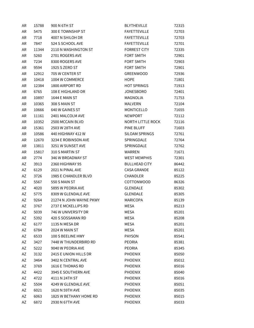| AR       | 15788          | 900 N 6TH ST            | <b>BLYTHEVILLE</b>       | 72315          |
|----------|----------------|-------------------------|--------------------------|----------------|
| AR       | 5475           | 300 E TOWNSHIP ST       | <b>FAYETTEVILLE</b>      | 72703          |
| AR       | 7718           | 4007 N SHILOH DR        | <b>FAYETTEVILLE</b>      | 72703          |
| AR       | 7847           | 524 S SCHOOL AVE        | <b>FAYETTEVILLE</b>      | 72701          |
| AR       | 11344          | 2110 N WASHINGTON ST    | <b>FORREST CITY</b>      | 72335          |
| AR       | 5260           | 2701 ROGERS AVE         | FORT SMITH               | 72901          |
| AR       | 7234           | 8300 ROGERS AVE         | <b>FORT SMITH</b>        | 72903          |
| AR       | 9594           | 1925 S ZERO ST          | <b>FORT SMITH</b>        | 72901          |
|          |                | 705 W CENTER ST         | GREENWOOD                | 72936          |
| AR<br>AR | 12912<br>10418 | 1004 W COMMERCE         | <b>HOPE</b>              | 71801          |
| AR       |                | 1800 AIRPORT RD         | <b>HOT SPRINGS</b>       |                |
| AR       | 12384          | 108 E HIGHLAND DR       | <b>JONESBORO</b>         | 71913<br>72401 |
| AR       | 6765           | 1644 E MAIN ST          | MAGNOLIA                 |                |
|          | 10897          | 308 S MAIN ST           |                          | 71753          |
| AR       | 10365          |                         | MALVERN                  | 72104          |
| AR       | 10666          | 640 W GAINES ST         | MONTICELLO               | 71655          |
| AR       | 11161          | 2401 MALCOLM AVE        | <b>NEWPORT</b>           | 72112          |
| AR       | 10352          | 2500 MCCAIN BLVD        | <b>NORTH LITTLE ROCK</b> | 72116          |
| AR       | 15361          | 2503 W 28TH AVE         | PINE BLUFF               | 71603          |
| AR       | 10586          | 440 HIGHWAY 412 W       | SILOAM SPRINGS           | 72761          |
| AR       | 12670          | 3234 E ROBINSON AVE     | SPRINGDALE               | 72764          |
| AR       | 13811          | 3251 W SUNSET AVE       | SPRINGDALE               | 72762          |
| AR       | 15817          | 310 S MARTIN ST         | WARREN                   | 71671          |
| AR       | 2774           | 346 W BROADWAY ST       | <b>WEST MEMPHIS</b>      | 72301          |
| AZ       | 3913           | 2360 HIGHWAY 95         | <b>BULLHEAD CITY</b>     | 86442          |
| AZ       | 6129           | 2021 N PINAL AVE        | <b>CASA GRANDE</b>       | 85122          |
| AZ       | 3726           | 1985 E CHANDLER BLVD    | CHANDLER                 | 85225          |
| AZ       | 5567           | 550 S MAIN ST           | COTTONWOOD               | 86326          |
| AZ       | 4020           | 5895 W PEORIA AVE       | <b>GLENDALE</b>          | 85302          |
| ΑZ       | 5775           | 8309 W GLENDALE AVE     | <b>GLENDALE</b>          | 85305          |
| AZ       | 9264           | 21274 N JOHN WAYNE PKWY | <b>MARICOPA</b>          | 85139          |
| AZ       | 3767           | 2737 E MCKELLIPS RD     | MESA                     | 85213          |
| ΑZ       | 5039           | 746 W UNIVERSITY DR     | MESA                     | 85201          |
| AZ       | 5392           | 420 S SOSSAMAN RD       | <b>MESA</b>              | 85208          |
| AZ       | 6177           | 1135 N MESA DR          | <b>MESA</b>              | 85201          |
| AZ       | 6784           | 2024 W MAIN ST          | MESA                     | 85201          |
| ΑZ       | 6533           | 100 S BEELINE HWY       | PAYSON                   | 85541          |
| AZ       | 3427           | 7448 W THUNDERBIRD RD   | PEORIA                   | 85381          |
| AZ       | 5222           | 9040 W PEORIA AVE       | <b>PEORIA</b>            | 85345          |
| AZ       | 3132           | 2415 E UNION HILLS DR   | <b>PHOENIX</b>           | 85050          |
| AZ       | 3464           | 3402 N CENTRAL AVE      | <b>PHOENIX</b>           | 85012          |
| AZ       | 3769           | 1616 E THOMAS RD        | <b>PHOENIX</b>           | 85016          |
| AZ       | 4422           | 3945 E SOUTHERN AVE     | <b>PHOENIX</b>           | 85040          |
| AZ       | 4722           | 4111 N 24TH ST          | <b>PHOENIX</b>           | 85016          |
| AZ       | 5504           | 4249 W GLENDALE AVE     | <b>PHOENIX</b>           | 85051          |
| AZ       | 6021           | 1620 N 59TH AVE         | <b>PHOENIX</b>           | 85035          |
| AZ       | 6063           | 1825 W BETHANY HOME RD  | <b>PHOENIX</b>           | 85015          |
| AZ       | 6872           | 2930 N 67TH AVE         | <b>PHOENIX</b>           | 85033          |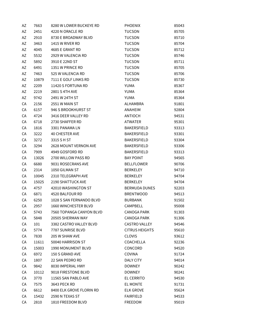| AZ | 7663  | 8280 W LOWER BUCKEYE RD                  | <b>PHOENIX</b>        | 85043 |
|----|-------|------------------------------------------|-----------------------|-------|
| AZ | 2451  | 4220 N ORACLE RD<br>8730 E BROADWAY BLVD | <b>TUCSON</b>         | 85705 |
| AZ | 2910  | 1415 W RIVER RD                          | <b>TUCSON</b>         | 85710 |
| AZ | 3463  |                                          | <b>TUCSON</b>         | 85704 |
| AZ | 4045  | 4685 E GRANT RD                          | <b>TUCSON</b>         | 85712 |
| AZ | 5532  | 2929 W VALENCIA RD                       | <b>TUCSON</b>         | 85746 |
| AZ | 5892  | 3910 E 22ND ST                           | <b>TUCSON</b>         | 85711 |
| AZ | 6491  | 1351 W PRINCE RD                         | <b>TUCSON</b>         | 85705 |
| AZ | 7463  | 525 W VALENCIA RD                        | <b>TUCSON</b>         | 85706 |
| AZ | 10879 | 7111 E GOLF LINKS RD                     | <b>TUCSON</b>         | 85730 |
| AZ | 2209  | 11420 S FORTUNA RD                       | YUMA                  | 85367 |
| AZ | 2219  | 2801 S 4TH AVE                           | YUMA                  | 85364 |
| AZ | 9742  | 2491 W 24TH ST                           | YUMA                  | 85364 |
| CA | 2156  | 2551 W MAIN ST                           | ALHAMBRA              | 91801 |
| CA | 6157  | 946 S BROOKHURST ST                      | ANAHEIM               | 92804 |
| CA | 4724  | 3416 DEER VALLEY RD                      | ANTIOCH               | 94531 |
| CA | 6718  | 2730 SHAFFER RD                          | <b>ATWATER</b>        | 95301 |
| CA | 1816  | 3301 PANAMA LN                           | BAKERSFIELD           | 93313 |
| СA | 3222  | <b>40 CHESTER AVE</b>                    | <b>BAKERSFIELD</b>    | 93301 |
| CA | 3272  | 3315 S H ST                              | BAKERSFIELD           | 93304 |
| CA | 3294  | 2628 MOUNT VERNON AVE                    | BAKERSFIELD           | 93306 |
| CA | 7909  | 4949 GOSFORD RD                          | <b>BAKERSFIELD</b>    | 93313 |
| CA | 13026 | 2700 WILLOW PASS RD                      | <b>BAY POINT</b>      | 94565 |
| CA | 6680  | 9031 ROSECRANS AVE                       | <b>BELLFLOWER</b>     | 90706 |
| CA | 2314  | 1050 GILMAN ST                           | <b>BERKELEY</b>       | 94710 |
| CA | 10045 | 2310 TELEGRAPH AVE                       | <b>BERKELEY</b>       | 94704 |
| CA | 15025 | 2190 SHATTUCK AVE                        | <b>BERKELEY</b>       | 94704 |
| CA | 4757  | 42010 WASHINGTON ST                      | <b>BERMUDA DUNES</b>  | 92203 |
| CA | 6871  | 4520 BALFOUR RD                          | <b>BRENTWOOD</b>      | 94513 |
| CA | 6250  | 1028 S SAN FERNANDO BLVD                 | <b>BURBANK</b>        | 91502 |
| СA | 2957  | 1660 WINCHESTER BLVD                     | <b>CAMPBELL</b>       | 95008 |
| СA | 5743  | 7560 TOPANGA CANYON BLVD                 | CANOGA PARK           | 91303 |
| CA | 5848  | 20505 SHERMAN WAY                        | CANOGA PARK           | 91306 |
| CA | 101   | 3382 CASTRO VALLEY BLVD                  | <b>CASTRO VALLEY</b>  | 94546 |
| CA | 5774  | 7787 SUNRISE BLVD                        | <b>CITRUS HEIGHTS</b> | 95610 |
| СA | 7830  | 205 W SHAW AVE                           | <b>CLOVIS</b>         | 93612 |
| СA | 11611 | 50040 HARRISON ST                        | COACHELLA             | 92236 |
| СA | 15003 | 1990 MONUMENT BLVD                       | CONCORD               | 94520 |
| СA |       | 150 S GRAND AVE                          | <b>COVINA</b>         | 91724 |
|    | 6972  |                                          |                       |       |
| СA | 1807  | 22 SAN PEDRO RD                          | DALY CITY             | 94014 |
| СA | 9842  | 8030 IMPERIAL HWY                        | <b>DOWNEY</b>         | 90242 |
| CA | 10112 | 9018 FIRESTONE BLVD                      | <b>DOWNEY</b>         | 90241 |
| СA | 3770  | 11565 SAN PABLO AVE                      | EL CERRITO            | 94530 |
| СA | 7575  | 3643 PECK RD                             | EL MONTE              | 91731 |
| СA | 6612  | 8400 ELK GROVE FLORIN RD                 | <b>ELK GROVE</b>      | 95624 |
| СA | 15432 | 2590 N TEXAS ST                          | <b>FAIRFIELD</b>      | 94533 |
| СA | 2810  | 1810 FREEDOM BLVD                        | <b>FREEDOM</b>        | 95019 |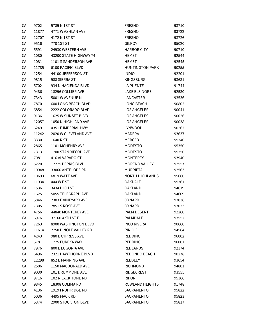| СA | 9702  | 5785 N 1ST ST             | <b>FRESNO</b>          | 93710 |
|----|-------|---------------------------|------------------------|-------|
| CA | 11877 | 4771 W ASHLAN AVE         | <b>FRESNO</b>          | 93722 |
| CA | 12707 | 4172 N 1ST ST             | <b>FRESNO</b>          | 93726 |
| CA | 9516  | 770 1ST ST                | <b>GILROY</b>          | 95020 |
| CA | 5591  | 24930 WESTERN AVE         | <b>HARBOR CITY</b>     | 90710 |
| CA | 1080  | 43200 STATE HIGHWAY 74    | <b>HEMET</b>           | 92544 |
| CA | 1081  | 1101 S SANDERSON AVE      | HEMET                  | 92545 |
| CA | 11785 | 6100 PACIFIC BLVD         | <b>HUNTINGTON PARK</b> | 90255 |
| CA | 1254  | 44100 JEFFERSON ST        | <b>INDIO</b>           | 92201 |
| CA | 9815  | 988 SIERRA ST             | KINGSBURG              | 93631 |
| CA | 5702  | 934 N HACIENDA BLVD       | LA PUENTE              | 91744 |
| CA | 9486  | 18296 COLLIER AVE         | LAKE ELSINORE          | 92530 |
| CA | 7343  | 5001 W AVENUE N           | LANCASTER              | 93536 |
| CA | 7870  | 600 LONG BEACH BLVD       | LONG BEACH             | 90802 |
| CA | 6854  | 2222 COLORADO BLVD        | <b>LOS ANGELES</b>     | 90041 |
| CA | 9136  | 1625 W SUNSET BLVD        | LOS ANGELES            | 90026 |
| CA | 12057 | 1050 N HIGHLAND AVE       | <b>LOS ANGELES</b>     | 90038 |
| CA | 6249  | 4351 E IMPERIAL HWY       | <b>LYNWOOD</b>         | 90262 |
| СA | 11242 | 2020 W CLEVELAND AVE      | <b>MADERA</b>          | 93637 |
| CA | 3330  | 1640 R ST                 | MERCED                 | 95340 |
| CA | 2865  | 1101 MCHENRY AVE          | <b>MODESTO</b>         | 95350 |
| CA | 7313  | 1700 STANDIFORD AVE       | <b>MODESTO</b>         | 95350 |
| CA | 7081  | 416 ALVARADO ST           | MONTEREY               | 93940 |
| CA | 5220  | 12275 PERRIS BLVD         | MORENO VALLEY          | 92557 |
| CA | 10948 | 33060 ANTELOPE RD         | MURRIETA               | 92563 |
| CA | 10693 | 6819 WATT AVE             | <b>NORTH HIGHLANDS</b> | 95660 |
| CA | 11934 | 444 W F ST                | <b>OAKDALE</b>         | 95361 |
| CA | 1536  | 3434 HIGH ST              | <b>OAKLAND</b>         | 94619 |
| CA | 1625  | 5055 TELEGRAPH AVE        | <b>OAKLAND</b>         | 94609 |
| CA | 5846  | 2303 E VINEYARD AVE       | OXNARD                 | 93036 |
| СA | 7305  | 2851 S ROSE AVE           | OXNARD                 | 93033 |
| СA | 4756  | 44840 MONTEREY AVE        | PALM DESERT            | 92260 |
| CA | 6976  | 37160 47TH ST E           | PALMDALE               | 93552 |
| CA | 7263  | 8900 WASHINGTON BLVD      | PICO RIVERA            | 90660 |
| CA | 11614 | 2750 PINOLE VALLEY RD     | <b>PINOLE</b>          | 94564 |
| CA | 4243  | 980 E CYPRESS AVE         | REDDING                | 96002 |
| CA | 5781  | 1775 EUREKA WAY           | REDDING                | 96001 |
| CA | 7976  | 800 E LUGONIA AVE         | REDLANDS               | 92374 |
| СA | 6496  | 2321 HAWTHORNE BLVD       | REDONDO BEACH          | 90278 |
| СA | 12298 | 852 E MANNING AVE         | REEDLEY                | 93654 |
| CA | 2506  | 1150 MACDONALD AVE        | RICHMOND               | 94801 |
| CA | 9030  | 101 DRUMMOND AVE          | RIDGECREST             | 93555 |
| CA | 9716  | 102 N JACK TONE RD        | <b>RIPON</b>           | 95366 |
| СA | 9845  | 18308 COLIMA RD           | ROWLAND HEIGHTS        | 91748 |
| CA | 4136  | <b>1919 FRUITRIDGE RD</b> | SACRAMENTO             | 95822 |
| СA | 5036  | 4495 MACK RD              | SACRAMENTO             | 95823 |
| СA | 5374  | 2900 STOCKTON BLVD        | SACRAMENTO             | 95817 |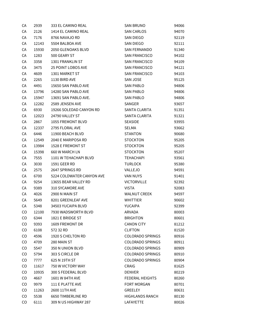| CA  | 2939  | 333 EL CAMINO REAL        | SAN BRUNO               | 94066 |
|-----|-------|---------------------------|-------------------------|-------|
| CA  | 2126  | 1414 EL CAMINO REAL       | SAN CARLOS              | 94070 |
| СA  | 7176  | 8766 NAVAJO RD            | SAN DIEGO               | 92119 |
| CA  | 12143 | 5504 BALBOA AVE           | SAN DIEGO               | 92111 |
| CA  | 15930 | 2050 GLENOAKS BLVD        | SAN FERNANDO            | 91340 |
| СA  | 1283  | 500 GEARY ST              | SAN FRANCISCO           | 94102 |
| СA  | 3358  | 1301 FRANKLIN ST          | SAN FRANCISCO           | 94109 |
| СA  | 3475  | 25 POINT LOBOS AVE        | SAN FRANCISCO           | 94121 |
| CA  | 4609  | 1301 MARKET ST            | SAN FRANCISCO           | 94103 |
| CA  | 2265  | 1130 BIRD AVE             | SAN JOSE                | 95125 |
| CA  | 4491  | 15650 SAN PABLO AVE       | SAN PABLO               | 94806 |
| CA  | 13796 | 14280 SAN PABLO AVE       | SAN PABLO               | 94806 |
| СA  | 15947 | 13691 SAN PABLO AVE.      | SAN PABLO               | 94806 |
| СA  | 12282 | 2589 JENSEN AVE           | SANGER                  | 93657 |
| CA  | 6930  | 19266 SOLEDAD CANYON RD   | SANTA CLARITA           | 91351 |
| СA  | 12023 | 24790 VALLEY ST           | SANTA CLARITA           | 91321 |
| СA  | 2867  | 1055 FREMONT BLVD         | <b>SEASIDE</b>          | 93955 |
| CA  | 12337 | 2795 FLORAL AVE           | SELMA                   | 93662 |
| СA  | 6446  | 11900 BEACH BLVD          | STANTON                 | 90680 |
| CA  | 12549 | 2040 E MARIPOSA RD        | STOCKTON                | 95205 |
| CA  | 13984 | 1528 E FREMONT ST         | <b>STOCKTON</b>         | 95205 |
| СA  | 15398 | 660 W MARCH LN            | STOCKTON                | 95207 |
| СA  | 7555  | 1101 W TEHACHAPI BLVD     | TEHACHAPI               | 93561 |
| СA  | 3030  | 1591 GEER RD              | TURLOCK                 | 95380 |
| CA  | 2575  | 2647 SPRINGS RD           | VALLEJO                 | 94591 |
| СA  | 6700  | 5224 COLDWATER CANYON AVE | VAN NUYS                | 91401 |
| СA  | 9254  | 13655 BEAR VALLEY RD      | VICTORVILLE             | 92392 |
| СA  | 9389  | 310 SYCAMORE AVE          | VISTA                   | 92083 |
| СA  | 4026  | 2900 N MAIN ST            | WALNUT CREEK            | 94597 |
| CA  | 5649  | 8201 GREENLEAF AVE        | <b>WHITTIER</b>         | 90602 |
| СA  | 5348  | 34503 YUCAIPA BLVD        | YUCAIPA                 | 92399 |
| CO. | 12100 | 7930 WADSWORTH BLVD       | ARVADA                  | 80003 |
| CO  | 6344  | 1821 E BRIDGE ST          | <b>BRIGHTON</b>         | 80601 |
| CO  | 9393  | 1609 FREMONT DR           | <b>CANON CITY</b>       | 81212 |
| CO  | 6108  | 572 32 RD                 | <b>CLIFTON</b>          | 81520 |
| CO  | 4596  | 1920 S CHELTON RD         | <b>COLORADO SPRINGS</b> | 80916 |
| CO  | 4709  | 280 MAIN ST               | <b>COLORADO SPRINGS</b> | 80911 |
| CO  | 5547  | 350 N UNION BLVD          | <b>COLORADO SPRINGS</b> | 80909 |
| CO  | 5794  | 303 S CIRCLE DR           | <b>COLORADO SPRINGS</b> | 80910 |
| CO  | 7777  | 625 N 19TH ST             | <b>COLORADO SPRINGS</b> | 80904 |
| CO  | 11617 | 750 W VICTORY WAY         | CRAIG                   | 81625 |
| CO  | 10935 | 300 S FEDERAL BLVD        | DENVER                  | 80219 |
| CO  | 4667  | 1601 W 84TH AVE           | FEDERAL HEIGHTS         | 80260 |
| CO. | 9979  | 111 E PLATTE AVE          | <b>FORT MORGAN</b>      | 80701 |
| CO  | 11263 | 2600 11TH AVE             | GREELEY                 | 80631 |
| CO  | 5538  | 6650 TIMBERLINE RD        | <b>HIGHLANDS RANCH</b>  | 80130 |
| CO  | 6111  | 309 N US HIGHWAY 287      | LAFAYETTE               | 80026 |
|     |       |                           |                         |       |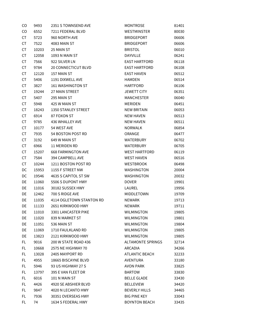| CO        | 9493  | 2351 S TOWNSEND AVE       | <b>MONTROSE</b>          | 81401 |
|-----------|-------|---------------------------|--------------------------|-------|
| CO        | 6552  | 7211 FEDERAL BLVD         | WESTMINSTER              | 80030 |
| CT        | 5723  | 960 NORTH AVE             | <b>BRIDGEPORT</b>        | 06606 |
| CT        | 7522  | 4083 MAIN ST              | <b>BRIDGEPORT</b>        | 06606 |
| CT        | 10203 | 25 MAIN ST                | <b>BRISTOL</b>           | 06010 |
| CT        | 12058 | 1093 N MAIN ST            | DAYVILLE                 | 06241 |
| CT        | 7566  | 922 SILVER LN             | <b>EAST HARTFORD</b>     | 06118 |
| CT        | 9784  | 20 CONNECTICUT BLVD       | <b>EAST HARTFORD</b>     | 06108 |
| CT        | 12120 | 157 MAIN ST               | <b>EAST HAVEN</b>        | 06512 |
| CT        | 5406  | 1191 DIXWELL AVE          | <b>HAMDEN</b>            | 06514 |
| CT        | 3827  | <b>161 WASHINGTON ST</b>  | <b>HARTFORD</b>          | 06106 |
| CT        | 19244 | 27 MAIN STREET            | <b>JEWETT CITY</b>       | 06351 |
| CT        | 5407  | 295 MAIN ST               | <b>MANCHESTER</b>        | 06040 |
| CT        | 5948  | 425 W MAIN ST             | <b>MERIDEN</b>           | 06451 |
| CT        | 18243 | 1350 STANLEY STREET       | <b>NEW BRITAIN</b>       | 06053 |
| CT        | 6914  | 87 FOXON ST               | <b>NEW HAVEN</b>         | 06513 |
| CT        | 9785  | 436 WHALLEY AVE           | <b>NEW HAVEN</b>         | 06511 |
| CT        | 10177 | 54 WEST AVE               | <b>NORWALK</b>           | 06854 |
| CT        | 7935  | 54 BOSTON POST RD         | ORANGE                   | 06477 |
| CT        | 3192  | 649 W MAIN ST             | <b>WATERBURY</b>         | 06702 |
| CT        | 6966  | 11 MERIDEN RD             | <b>WATERBURY</b>         | 06705 |
| CT        | 15207 | <b>668 FARMINGTON AVE</b> | <b>WEST HARTFORD</b>     | 06119 |
| <b>CT</b> | 7584  | 394 CAMPBELL AVE          | <b>WEST HAVEN</b>        | 06516 |
| CT        | 10244 | 1211 BOSTON POST RD       | <b>WESTBROOK</b>         | 06498 |
| DC        | 15953 | 1155 F STREET NW          | <b>WASHINGTON</b>        | 20004 |
| DC        | 19546 | 4635 S CAPITOL ST SW      | <b>WASHINGTON</b>        | 20032 |
| DE        | 11060 | 5506 S DUPONT HWY         | <b>DOVER</b>             | 19901 |
| DE        | 11016 | 30182 SUSSEX HWY          | LAUREL                   | 19956 |
| DE        | 12462 | 700 S RIDGE AVE           | MIDDLETOWN               | 19709 |
| DE        | 11035 | 4114 OGLETOWN STANTON RD  | <b>NEWARK</b>            | 19713 |
| DE        | 11133 | 2651 KIRKWOOD HWY         | <b>NEWARK</b>            | 19711 |
| DE        | 11010 | 3301 LANCASTER PIKE       | <b>WILMINGTON</b>        | 19805 |
| DE        | 11020 | 839 N MARKET ST           | <b>WILMINGTON</b>        | 19801 |
| DE        | 11051 | 536 MAIN ST               | <b>WILMINGTON</b>        | 19804 |
| DE        | 11069 | 1710 FAULKLAND RD         | <b>WILMINGTON</b>        | 19805 |
| DE        | 13823 | 2121 KIRKWOOD HWY         | <b>WILMINGTON</b>        | 19805 |
| FL        | 9016  | 200 W STATE ROAD 436      | <b>ALTAMONTE SPRINGS</b> | 32714 |
| FL        | 10668 | <b>2575 NE HIGHWAY 70</b> | ARCADIA                  | 34266 |
| FL.       | 13028 | 2405 MAYPORT RD           | <b>ATLANTIC BEACH</b>    | 32233 |
| FL.       | 4955  | 18665 BISCAYNE BLVD       | AVENTURA                 | 33180 |
| FL.       | 5946  | 93 US HIGHWAY 27 S        | <b>AVON PARK</b>         | 33825 |
| FL.       | 13797 | 395 E VAN FLEET DR        | <b>BARTOW</b>            | 33830 |
| FL        | 6016  | 101 N MAIN ST             | <b>BELLE GLADE</b>       | 33430 |
| FL.       | 4426  | 4920 SE ABSHIER BLVD      | <b>BELLEVIEW</b>         | 34420 |
| FL.       | 9847  | 4020 N LECANTO HWY        | <b>BEVERLY HILLS</b>     | 34465 |
| FL        | 7936  | 30351 OVERSEAS HWY        | <b>BIG PINE KEY</b>      | 33043 |
| FL        | 74    | 1634 S FEDERAL HWY        | <b>BOYNTON BEACH</b>     | 33435 |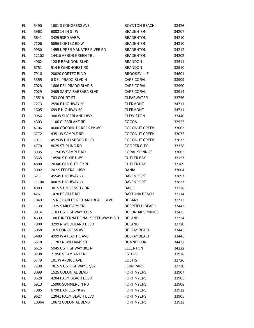| FL.       | 5490  | 1601 S CONGRESS AVE               | <b>BOYNTON BEACH</b> | 33426 |
|-----------|-------|-----------------------------------|----------------------|-------|
| <b>FL</b> | 3963  | 6003 14TH ST W                    | <b>BRADENTON</b>     | 34207 |
| FL.       | 5641  | 3425 53RD AVE W                   | <b>BRADENTON</b>     | 34210 |
| FL.       | 7106  | 5896 CORTEZ RD W                  | <b>BRADENTON</b>     | 34210 |
| FL.       | 9980  | 1455 UPPER MANATEE RIVER RD       | <b>BRADENTON</b>     | 34212 |
| FL.       | 12102 | 14415 ARBOR GREEN TRL             | <b>BRADENTON</b>     | 34202 |
| <b>FL</b> | 4962  | 128 E BRANDON BLVD                | <b>BRANDON</b>       | 33511 |
| FL.       | 6751  | 514 E WINDHORST RD                | <b>BRANDON</b>       | 33510 |
| <b>FL</b> | 7916  | 20020 CORTEZ BLVD                 | <b>BROOKSVILLE</b>   | 34601 |
| FL.       | 3355  | <b>6 DEL PRADO BLVD N</b>         | <b>CAPE CORAL</b>    | 33909 |
| FL.       | 7028  | 1606 DEL PRADO BLVD S             | CAPE CORAL           | 33990 |
| FL.       | 7029  | 2409 SANTA BARBARA BLVD           | <b>CAPE CORAL</b>    | 33914 |
| FL.       | 15518 | 703 COURT ST                      | CLEARWATER           | 33756 |
| FL.       | 7273  | 2590 E HIGHWAY 50                 | <b>CLERMONT</b>      | 34711 |
| FL.       | 16051 | 699 E HIGHWAY 50                  | <b>CLERMONT</b>      | 34711 |
| FL.       | 9956  | 300 W SUGARLAND HWY               | <b>CLEWISTON</b>     | 33440 |
| FL.       | 4303  | 1106 CLEARLAKE RD                 | COCOA                | 32922 |
| FL.       | 4706  | 4600 COCONUT CREEK PKWY           | COCONUT CREEK        | 33063 |
| FL.       | 6772  | 4351 W SAMPLE RD                  | <b>COCONUT CREEK</b> | 33073 |
| FL.       | 7011  | 4529 W HILLSBORO BLVD             | <b>COCONUT CREEK</b> | 33073 |
| <b>FL</b> | 4770  | 8625 STIRLING RD                  | <b>COOPER CITY</b>   | 33328 |
| FL.       | 3935  | 11750 W SAMPLE RD                 | <b>CORAL SPRINGS</b> | 33065 |
| FL.       | 3565  | 18590 S DIXIE HWY                 | <b>CUTLER BAY</b>    | 33157 |
| FL.       | 4808  | 20340 OLD CUTLER RD               | <b>CUTLER BAY</b>    | 33189 |
| FL.       | 3002  | 202 S FEDERAL HWY                 | DANIA                | 33004 |
| <b>FL</b> | 6217  | 45549 HIGHWAY 27                  | DAVENPORT            | 33897 |
| FL.       | 11104 | 40079 HIGHWAY 27                  | <b>DAVENPORT</b>     | 33837 |
| FL.       | 4003  | 3015 S UNIVERSITY DR              | DAVIE                | 33328 |
| FL.       | 4261  | 1420 BEVILLE RD                   | DAYTONA BEACH        | 32114 |
| FL.       | 10497 | 15 N CHARLES RICHARD BEALL BLVD   | <b>DEBARY</b>        | 32713 |
| FL        | 1139  | 1325 S MILITARY TRL               | DEERFIELD BEACH      | 33442 |
| FL.       | 9914  | 1103 US HIGHWAY 331 S             | DEFUNIAK SPRINGS     | 32435 |
| FL.       | 4699  | 100 E INTERNATIONAL SPEEDWAY BLVD | DELAND               | 32724 |
| FL.       | 7800  | 3299 N WOODLAND BLVD              | DELAND               | 32720 |
| FL.       | 5068  | 10 S CONGRESS AVE                 | DELRAY BEACH         | 33445 |
| FL.       | 5489  | 4999 W ATLANTIC AVE               | DELRAY BEACH         | 33445 |
| FL.       | 5578  | 11283 N WILLIAMS ST               | <b>DUNNELLON</b>     | 34432 |
| FL        | 6515  | 5945 US HIGHWAY 301 N             | <b>ELLENTON</b>      | 34222 |
| FL.       | 9298  | 21950 S TAMIAMI TRL               | <b>ESTERO</b>        | 33928 |
| FL.       | 5779  | 101 W ARDICE AVE                  | <b>EUSTIS</b>        | 32726 |
| FL.       | 7298  | 7815 S US HIGHWAY 17/92           | FERN PARK            | 32730 |
| FL.       | 3099  | 1525 COLONIAL BLVD                | <b>FORT MYERS</b>    | 33907 |
| FL        | 3628  | 4204 PALM BEACH BLVD              | <b>FORT MYERS</b>    | 33905 |
| FL        | 6913  | 15900 SUMMERLIN RD                | <b>FORT MYERS</b>    | 33908 |
| FL.       | 7085  | 6790 DANIELS PKWY                 | <b>FORT MYERS</b>    | 33912 |
| FL.       | 9627  | 12041 PALM BEACH BLVD             | <b>FORT MYERS</b>    | 33905 |
| FL.       | 10964 | 10672 COLONIAL BLVD               | <b>FORT MYERS</b>    | 33913 |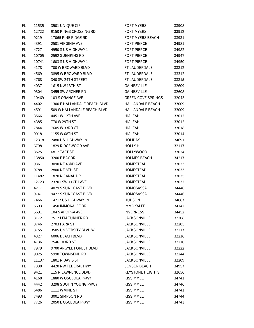| FL  | 11535 | 3501 UNIQUE CIR              | <b>FORT MYERS</b>         | 33908 |
|-----|-------|------------------------------|---------------------------|-------|
| FL. | 12722 | 9150 KINGS CROSSING RD       | <b>FORT MYERS</b>         | 33912 |
| FL  | 9219  | 17065 PINE RIDGE RD          | FORT MYERS BEACH          | 33931 |
| FL  | 4391  | 2501 VIRGINIA AVE            | <b>FORT PIERCE</b>        | 34981 |
| FL  | 4727  | 4950 S US HIGHWAY 1          | <b>FORT PIERCE</b>        | 34982 |
| FL  | 10705 | 2592 S JENKINS RD            | <b>FORT PIERCE</b>        | 34947 |
| FL  | 10741 | 1603 S US HIGHWAY 1          | <b>FORT PIERCE</b>        | 34950 |
| FL  | 4178  | 700 W BROWARD BLVD           | FT LAUDERDALE             | 33312 |
| FL  | 4569  | 3895 W BROWARD BLVD          | FT LAUDERDALE             | 33312 |
| FL  | 4768  | 340 SW 24TH STREET           | FT LAUDERDALE             | 33315 |
| FL  | 4037  | 1615 NW 13TH ST              | GAINESVILLE               | 32609 |
| FL. | 9304  | 3455 SW ARCHER RD            | GAINESVILLE               | 32608 |
| FL  | 10469 | 103 S ORANGE AVE             | <b>GREEN COVE SPRINGS</b> | 32043 |
| FL  | 4402  | 1300 E HALLANDALE BEACH BLVD | HALLANDALE BEACH          | 33009 |
| FL  | 4591  | 509 W HALLANDALE BEACH BLVD  | <b>HALLANDALE BEACH</b>   | 33009 |
| FL  | 3566  | 4451 W 12TH AVE              | <b>HIALEAH</b>            | 33012 |
| FL  | 4385  | 770 W 29TH ST                | <b>HIALEAH</b>            | 33012 |
| FL  | 7844  | 7605 W 33RD CT               | <b>HIALEAH</b>            | 33018 |
| FL  | 9018  | 1155 W 68TH ST               | <b>HIALEAH</b>            | 33014 |
| FL  | 12318 | 2480 US HIGHWAY 19           | <b>HOLIDAY</b>            | 34691 |
| FL  | 6798  | 1829 RIDGEWOOD AVE           | <b>HOLLY HILL</b>         | 32117 |
| FL  | 3525  | 6817 TAFT ST                 | <b>HOLLYWOOD</b>          | 33024 |
| FL  | 13850 | 3200 E BAY DR                | <b>HOLMES BEACH</b>       | 34217 |
| FL  | 9361  | 3090 NE 43RD AVE             | <b>HOMESTEAD</b>          | 33033 |
| FL  | 9788  | 2800 NE 8TH ST               | HOMESTEAD                 | 33033 |
| FL  | 11482 | 1820 N CANAL DR              | HOMESTEAD                 | 33035 |
| FL  | 12723 | 23201 SW 112TH AVE           | HOMESTEAD                 | 33032 |
| FL  | 4217  | 4029 S SUNCOAST BLVD         | <b>HOMOSASSA</b>          | 34446 |
| FL  | 9747  | 9427 S SUNCOAST BLVD         | <b>HOMOSASSA</b>          | 34446 |
| FL  | 7466  | 14217 US HIGHWAY 19          | <b>HUDSON</b>             | 34667 |
| FL  | 5693  | 1450 IMMOKALEE DR            | <b>IMMOKALEE</b>          | 34142 |
| FL  | 5691  | 104 S APOPKA AVE             | <b>INVERNESS</b>          | 34452 |
| FL. | 3172  | 7512 LEM TURNER RD           | <b>JACKSONVILLE</b>       | 32208 |
| FL  | 3746  | 2703 PARK ST                 | <b>JACKSONVILLE</b>       | 32205 |
| FL  | 3755  | 3505 UNIVERSITY BLVD W       | <b>JACKSONVILLE</b>       | 32217 |
| FL  | 4327  | 6006 BEACH BLVD              | <b>JACKSONVILLE</b>       | 32216 |
| FL  | 4736  | 7546 103RD ST                | <b>JACKSONVILLE</b>       | 32210 |
| FL  | 7979  | 9700 ARGYLE FOREST BLVD      | <b>JACKSONVILLE</b>       | 32222 |
| FL. | 9025  | 5990 TOWNSEND RD             | <b>JACKSONVILLE</b>       | 32244 |
| FL  | 11137 | 1801 N DAVIS ST              | <b>JACKSONVILLE</b>       | 32209 |
| FL  | 7330  | 4420 NW FEDERAL HWY          | <b>JENSEN BEACH</b>       | 34957 |
| FL. | 9421  | 115 N LAWRENCE BLVD          | <b>KEYSTONE HEIGHTS</b>   | 32656 |
| FL. | 4168  | 1880 W OSCEOLA PKWY          | <b>KISSIMMEE</b>          | 34741 |
| FL  | 4442  | 3298 S JOHN YOUNG PKWY       | <b>KISSIMMEE</b>          | 34746 |
| FL. | 6486  | <b>1111 W VINE ST</b>        | <b>KISSIMMEE</b>          | 34741 |
| FL  | 7493  | 3001 SIMPSON RD              | <b>KISSIMMEE</b>          | 34744 |
| FL. | 7726  | 2050 E OSCEOLA PKWY          | <b>KISSIMMEE</b>          | 34743 |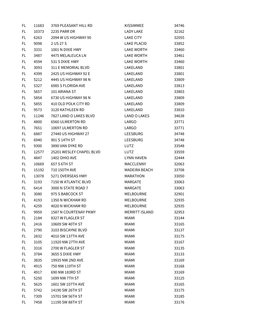| FL  | 11683 | 3769 PLEASANT HILL RD    | <b>KISSIMMEE</b>      | 34746 |
|-----|-------|--------------------------|-----------------------|-------|
| FL. | 10373 | <b>2235 PARR DR</b>      | <b>LADY LAKE</b>      | 32162 |
| FL  | 6263  | 2094 W US HIGHWAY 90     | <b>LAKE CITY</b>      | 32055 |
| FL. | 9098  | 2 US 27 S                | <b>LAKE PLACID</b>    | 33852 |
| FL. | 3331  | 1001 N DIXIE HWY         | <b>LAKE WORTH</b>     | 33460 |
| FL  | 3487  | 4475 MELALEUCA LN        | <b>LAKE WORTH</b>     | 33461 |
| FL  | 4594  | 531 S DIXIE HWY          | <b>LAKE WORTH</b>     | 33460 |
| FL  | 3093  | 311 E MEMORIAL BLVD      | LAKELAND              | 33801 |
| FL  | 4399  | 2425 US HIGHWAY 92 E     | LAKELAND              | 33801 |
| FL  | 5212  | 4445 US HIGHWAY 98 N     | LAKELAND              | 33809 |
| FL  | 5327  | 6985 S FLORIDA AVE       | LAKELAND              | 33813 |
| FL. | 5657  | 101 ARIANA ST            | LAKELAND              | 33803 |
| FL  | 5854  | 6730 US HIGHWAY 98 N     | LAKELAND              | 33809 |
| FL  | 5855  | 410 OLD POLK CITY RD     | LAKELAND              | 33809 |
| FL  | 9573  | 3120 KATHLEEN RD         | LAKELAND              | 33810 |
| FL  | 11246 | 7827 LAND O LAKES BLVD   | <b>LAND O LAKES</b>   | 34638 |
| FL  | 4800  | <b>6560 ULMERTON RD</b>  | LARGO                 | 33771 |
| FL  | 7651  | 10697 ULMERTON RD        | LARGO                 | 33771 |
| FL  | 6887  | 27440 US HIGHWAY 27      | <b>LEESBURG</b>       | 34748 |
| FL  | 6940  | 901 S 14TH ST            | <b>LEESBURG</b>       | 34748 |
| FL  | 9300  | 3890 VAN DYKE RD         | LUTZ                  | 33548 |
| FL  | 12577 | 25201 WESLEY CHAPEL BLVD | LUTZ                  | 33559 |
| FL. | 4847  | <b>1402 OHIO AVE</b>     | <b>LYNN HAVEN</b>     | 32444 |
| FL. | 10669 | 657 S 6TH ST             | MACCLENNY             | 32063 |
| FL  | 15192 | 710 150TH AVE            | MADEIRA BEACH         | 33708 |
| FL  | 13078 | 5271 OVERSEAS HWY        | <b>MARATHON</b>       | 33050 |
| FL  | 3193  | 7150 W ATLANTIC BLVD     | <b>MARGATE</b>        | 33063 |
| FL  | 6414  | 3000 N STATE ROAD 7      | MARGATE               | 33063 |
| FL  | 3080  | 975 S BABCOCK ST         | MELBOURNE             | 32901 |
| FL  | 4193  | 1350 N WICKHAM RD        | MELBOURNE             | 32935 |
| FL  | 4259  | 4020 N WICKHAM RD        | MELBOURNE             | 32935 |
| FL  | 9959  | 1587 N COURTENAY PKWY    | <b>MERRITT ISLAND</b> | 32953 |
| FL  | 2184  | 8327 W FLAGLER ST        | <b>MIAMI</b>          | 33144 |
| FL  | 2416  | 10609 SW 40TH ST         | <b>MIAMI</b>          | 33165 |
| FL  | 2790  | 3103 BISCAYNE BLVD       | <b>MIAMI</b>          | 33137 |
| FL  | 2832  | 4010 SW 137TH AVE        | <b>MIAMI</b>          | 33175 |
| FL  | 3105  | 11920 NW 27TH AVE        | <b>MIAMI</b>          | 33167 |
| FL  | 3316  | 2700 W FLAGLER ST        | <b>MIAMI</b>          | 33135 |
| FL  | 3784  | 3655 S DIXIE HWY         | <b>MIAMI</b>          | 33133 |
| FL  | 3835  | 19935 NW 2ND AVE         | <b>MIAMI</b>          | 33169 |
| FL  | 4915  | 750 NW 119TH ST          | <b>MIAMI</b>          | 33168 |
| FL  | 4917  | 690 NW 183RD ST          | <b>MIAMI</b>          | 33169 |
| FL  | 5250  | 1699 NW 7TH ST           | <b>MIAMI</b>          | 33125 |
| FL  | 5625  | 1601 SW 107TH AVE        | <b>MIAMI</b>          | 33165 |
| FL  | 5742  | 14190 SW 26TH ST         | <b>MIAMI</b>          | 33175 |
| FL  | 7309  | 15701 SW 56TH ST         | <b>MIAMI</b>          | 33185 |
| FL  | 7458  | 11190 SW 88TH ST         | <b>MIAMI</b>          | 33176 |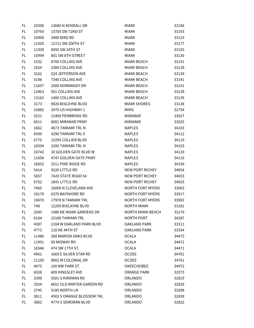| FL  | 10356 | 13680 N KENDALL DR        | <b>MIAMI</b>             | 33186 |
|-----|-------|---------------------------|--------------------------|-------|
| FL. | 10793 | 15705 SW 72ND ST          | <b>MIAMI</b>             | 33193 |
| FL  | 10900 | 3490 BIRD RD              | <b>MIAMI</b>             | 33133 |
| FL  | 11920 | 12711 SW 200TH ST         | <b>MIAMI</b>             | 33177 |
| FL  | 11939 | 8450 SW 24TH ST           | <b>MIAMI</b>             | 33155 |
| FL  | 15994 | 801 SW 8TH STREET         | <b>MIAMI</b>             | 33130 |
| FL  | 1532  | 6700 COLLINS AVE          | MIAMI BEACH              | 33141 |
| FL  | 1924  | 2300 COLLINS AVE          | <b>MIAMI BEACH</b>       | 33139 |
| FL  | 3162  | 524 JEFFERSON AVE         | MIAMI BEACH              | 33139 |
| FL  | 5198  | 7340 COLLINS AVE          | MIAMI BEACH              | 33141 |
| FL  | 11657 | 2000 NORMANDY DR          | MIAMI BEACH              | 33141 |
| FL  | 12463 | 501 COLLINS AVE           | <b>MIAMI BEACH</b>       | 33139 |
| FL  | 13162 | 1400 COLLINS AVE          | <b>MIAMI BEACH</b>       | 33139 |
| FL  | 3173  | 9020 BISCAYNE BLVD        | <b>MIAMI SHORES</b>      | 33138 |
| FL  | 10882 | 2475 US HIGHWAY 1         | <b>MIMS</b>              | 32754 |
| FL  | 5521  | 12400 PEMBROKE RD         | <b>MIRAMAR</b>           | 33027 |
| FL  | 6011  | 8001 MIRAMAR PKWY         | <b>MIRAMAR</b>           | 33025 |
| FL  | 1662  | 4673 TAMIAMI TRL N        | <b>NAPLES</b>            | 34103 |
| FL  | 6500  | <b>4290 TAMIAMI TRL E</b> | <b>NAPLES</b>            | 34112 |
| FL  | 6775  | 15295 COLLIER BLVD        | <b>NAPLES</b>            | 34119 |
| FL  | 10204 | 2200 TAMIAMI TRL N        | <b>NAPLES</b>            | 34103 |
| FL  | 10742 | 30 GOLDEN GATE BLVD W     | <b>NAPLES</b>            | 34120 |
| FL  | 11658 | 4747 GOLDEN GATE PKWY     | <b>NAPLES</b>            | 34116 |
| FL. | 16052 | 2511 PINE RIDGE RD        | <b>NAPLES</b>            | 34109 |
| FL  | 5414  | 9220 LITTLE RD            | NEW PORT RICHEY          | 34654 |
| FL  | 5857  | 7420 STATE ROAD 54        | <b>NEW PORT RICHEY</b>   | 34653 |
| FL  | 6752  | 1841 LITTLE RD            | <b>NEW PORT RICHEY</b>   | 34655 |
| FL  | 7465  | 16000 N CLEVELAND AVE     | <b>NORTH FORT MYERS</b>  | 33903 |
| FL  | 10179 | 6370 BAYSHORE RD          | <b>NORTH FORT MYERS</b>  | 33917 |
| FL  | 10670 | 17970 N TAMIAMI TRL       | <b>NORTH FORT MYERS</b>  | 33903 |
| FL. | 748   | 12295 BISCAYNE BLVD       | <b>NORTH MIAMI</b>       | 33181 |
| FL  | 2545  | 1480 NE MIAMI GARDENS DR  | <b>NORTH MIAMI BEACH</b> | 33179 |
| FL. | 6164  | 15180 TAMIAMI TRL         | NORTH PORT               | 34287 |
| FL. | 4387  | 2104 W OAKLAND PARK BLVD  | <b>OAKLAND PARK</b>      | 33311 |
| FL  | 4773  | 110 NE 44TH ST            | <b>OAKLAND PARK</b>      | 33334 |
| FL  | 11486 | 260 MARION OAKS BLVD      | <b>OCALA</b>             | 34473 |
| FL  | 11991 | 89 MIDWAY RD              | OCALA                    | 34472 |
| FL. | 16546 | 474 SW 17TH ST.           | OCALA                    | 34471 |
| FL. | 4961  | 1669 E SILVER STAR RD     | <b>OCOEE</b>             | 34761 |
| FL. | 11105 | 8802 W COLONIAL DR        | <b>OCOEE</b>             | 34761 |
| FL  | 4075  | 100 NW PARK ST            | <b>OKEECHOBEE</b>        | 34972 |
| FL  | 6928  | 609 KINGSLEY AVE          | ORANGE PARK              | 32073 |
| FL  | 3398  | 5501 S KIRKMAN RD         | ORLANDO                  | 32819 |
| FL  | 3554  | 6651 OLD WINTER GARDEN RD | ORLANDO                  | 32835 |
| FL  | 3745  | 5185 NORTH LN             | ORLANDO                  | 32808 |
| FL  | 3811  | 4502 S ORANGE BLOSSOM TRL | ORLANDO                  | 32839 |
| FL. | 3862  | 4774 S SEMORAN BLVD       | ORLANDO                  | 32822 |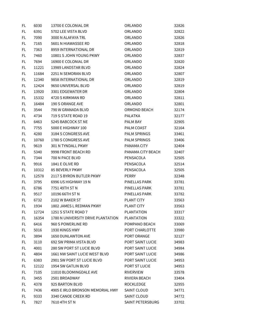| FL  | 6030  | 13700 E COLONIAL DR                | ORLANDO           | 32826 |
|-----|-------|------------------------------------|-------------------|-------|
| FL  | 6391  | 5702 LEE VISTA BLVD                | ORLANDO           | 32822 |
| FL  | 7090  | 3000 N ALAFAYA TRL                 | <b>ORLANDO</b>    | 32826 |
| FL  | 7165  | 5601 N HIAWASSEE RD                | ORLANDO           | 32818 |
| FL. | 7363  | 8959 INTERNATIONAL DR              | ORLANDO           | 32819 |
| FL  | 7460  | 10801 S JOHN YOUNG PKWY            | ORLANDO           | 32837 |
| FL  | 7694  | 16900 E COLONIAL DR                | ORLANDO           | 32820 |
| FL  | 11221 | 13989 LANDSTAR BLVD                | ORLANDO           | 32824 |
| FL  | 11684 | 2251 N SEMORAN BLVD                | ORLANDO           | 32807 |
| FL. | 12340 | 9858 INTERNATIONAL DR              | ORLANDO           | 32819 |
| FL  | 12424 | 9650 UNIVERSAL BLVD                | ORLANDO           | 32819 |
| FL. | 13920 | 3301 EDGEWATER DR                  | ORLANDO           | 32804 |
| FL  | 15332 | 4720 S KIRKMAN RD                  | ORLANDO           | 32811 |
| FL  | 16484 | 190 S ORANGE AVE                   | ORLANDO           | 32801 |
| FL  | 3544  | 790 W GRANADA BLVD                 | ORMOND BEACH      | 32174 |
| FL. | 4734  | 719 S STATE ROAD 19                | <b>PALATKA</b>    | 32177 |
| FL  | 6463  | 5245 BABCOCK ST NE                 | PALM BAY          | 32905 |
| FL  | 7755  | 5000 E HIGHWAY 100                 | PALM COAST        | 32164 |
| FL. | 4280  | 3184 S CONGRESS AVE                | PALM SPRINGS      | 33461 |
| FL  | 10760 | 1780 S CONGRESS AVE                | PALM SPRINGS      | 33406 |
| FL  | 9619  | 301 N TYNDALL PKWY                 | PANAMA CITY       | 32404 |
| FL  | 5340  | 9998 FRONT BEACH RD                | PANAMA CITY BEACH | 32407 |
| FL  | 7344  | 700 N PACE BLVD                    | PENSACOLA         | 32505 |
| FL. | 9916  | 1841 E OLIVE RD                    | PENSACOLA         | 32514 |
| FL  | 10312 | <b>85 BEVERLY PKWY</b>             | PENSACOLA         | 32505 |
| FL  | 12578 | 2117 S BYRON BUTLER PKWY           | <b>PERRY</b>      | 32348 |
| FL  | 3795  | 6996 US HIGHWAY 19 N               | PINELLAS PARK     | 33781 |
| FL  | 6786  | 7751 49TH ST N                     | PINELLAS PARK     | 33781 |
| FL. | 9517  | 10196 66TH ST N                    | PINELLAS PARK     | 33782 |
| FL. | 6732  | 2102 W BAKER ST                    | <b>PLANT CITY</b> | 33563 |
| FL  | 1934  | 1802 JAMES L REDMAN PKWY           | <b>PLANT CITY</b> | 33563 |
| FL  | 12724 | 1251 S STATE ROAD 7                | <b>PLANTATION</b> | 33317 |
| FL  | 16354 | 1780 N UNIVERSITY DRIVE PLANTATION | <b>PLANTATION</b> | 33322 |
| FL  | 6416  | 960 S POWERLINE RD                 | POMPANO BEACH     | 33069 |
| FL  | 5016  | 1930 KINGS HWY                     | PORT CHARLOTTE    | 33980 |
| FL. | 3894  | 1650 DUNLAWTON AVE                 | PORT ORANGE       | 32127 |
| FL  | 3110  | 692 SW PRIMA VISTA BLVD            | PORT SAINT LUCIE  | 34983 |
| FL. | 4001  | 280 SW PORT ST LUCIE BLVD          | PORT SAINT LUCIE  | 34984 |
| FL  | 4804  | 1661 NW SAINT LUCIE WEST BLVD      | PORT SAINT LUCIE  | 34986 |
| FL  | 6383  | 2901 SW PORT ST LUCIE BLVD         | PORT SAINT LUCIE  | 34953 |
| FL  | 12122 | 1954 SW GATLIN BLVD                | PORT ST LUCIE     | 34953 |
| FL. | 7105  | 11010 BLOOMINGDALE AVE             | <b>RIVERVIEW</b>  | 33578 |
| FL  | 3455  | 2501 BROADWAY                      | RIVIERA BEACH     | 33404 |
| FL  | 4378  | 925 BARTON BLVD                    | <b>ROCKLEDGE</b>  | 32955 |
| FL. | 7436  | 4905 E IRLO BRONSON MEMORIAL HWY   | SAINT CLOUD       | 34771 |
| FL  | 9333  | 3340 CANOE CREEK RD                | SAINT CLOUD       | 34772 |
| FL. | 7827  | 7610 4TH ST N                      | SAINT PETERSBURG  | 33702 |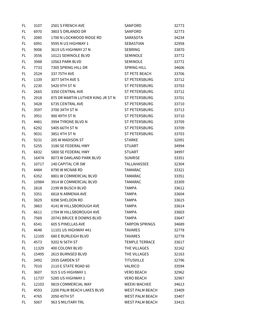| FL  | 3107  | 2501 S FRENCH AVE                 | SANFORD                | 32773 |
|-----|-------|-----------------------------------|------------------------|-------|
| FL. | 6970  | 3803 S ORLANDO DR                 | SANFORD                | 32773 |
| FL  | 2085  | 1700 N LOCKWOOD RIDGE RD          | SARASOTA               | 34234 |
| FL  | 6991  | 9595 N US HIGHWAY 1               | <b>SEBASTIAN</b>       | 32958 |
| FL  | 9006  | 3619 US HIGHWAY 27 N              | <b>SEBRING</b>         | 33870 |
| FL. | 3556  | 10121 SEMINOLE BLVD               | <b>SEMINOLE</b>        | 33772 |
| FL  | 3988  | 10563 PARK BLVD                   | <b>SEMINOLE</b>        | 33772 |
| FL  | 7733  | 7305 SPRING HILL DR               | <b>SPRING HILL</b>     | 34606 |
| FL  | 2524  | 337 75TH AVE                      | <b>ST PETE BEACH</b>   | 33706 |
| FL  | 1339  | 3077 54TH AVE S                   | ST PETERSBURG          | 33712 |
| FL  | 2230  | 5420 9TH ST N                     | ST PETERSBURG          | 33703 |
| FL  | 2665  | 3350 CENTRAL AVE                  | <b>ST PETERSBURG</b>   | 33712 |
| FL  | 2918  | 875 DR MARTIN LUTHER KING JR ST N | ST PETERSBURG          | 33701 |
| FL  | 3428  | 6735 CENTRAL AVE                  | ST PETERSBURG          | 33710 |
| FL  | 3597  | 3700 34TH ST N                    | ST PETERSBURG          | 33713 |
| FL  | 3951  | 900 49TH ST N                     | ST PETERSBURG          | 33710 |
| FL  | 4481  | 3994 TYRONE BLVD N                | ST PETERSBURG          | 33709 |
| FL  | 6292  | 5405 66TH ST N                    | ST PETERSBURG          | 33709 |
| FL. | 9031  | 3851 4TH ST N                     | ST PETERSBURG          | 33703 |
| FL. | 9231  | 205 W MADISON ST                  | <b>STARKE</b>          | 32091 |
| FL  | 5255  | 3180 SE FEDERAL HWY               | <b>STUART</b>          | 34994 |
| FL  | 6832  | 5800 SE FEDERAL HWY               | <b>STUART</b>          | 34997 |
| FL  | 16474 | 8073 W OAKLAND PARK BLVD          | <b>SUNRISE</b>         | 33351 |
| FL  | 10717 | 140 CAPITAL CIR SW                | TALLAHASSEE            | 32304 |
| FL  | 4484  | 8790 W MCNAB RD                   | <b>TAMARAC</b>         | 33321 |
| FL  | 6352  | 8801 W COMMERCIAL BLVD            | <b>TAMARAC</b>         | 33351 |
| FL  | 10984 | 3914 W COMMERCIAL BLVD            | <b>TAMARAC</b>         | 33309 |
| FL  | 2818  | 2199 W BUSCH BLVD                 | <b>TAMPA</b>           | 33612 |
| FL  | 3351  | 6818 N ARMENIA AVE                | <b>TAMPA</b>           | 33604 |
| FL. | 3829  | 8398 SHELDON RD                   | <b>TAMPA</b>           | 33615 |
| FL  | 3863  | 4141 W HILLSBOROUGH AVE           | <b>TAMPA</b>           | 33614 |
| FL  | 6611  | 1704 W HILLSBOROUGH AVE           | <b>TAMPA</b>           | 33603 |
| FL. | 7569  | 20741 BRUCE B DOWNS BLVD          | <b>TAMPA</b>           | 33647 |
| FL. | 6541  | <b>605 S PINELLAS AVE</b>         | <b>TARPON SPRINGS</b>  | 34689 |
| FL  | 4648  | 11101 US HIGHWAY 441              | <b>TAVARES</b>         | 32778 |
| FL  | 12105 | 680 E BURLEIGH BLVD               | <b>TAVARES</b>         | 32778 |
| FL  | 4573  | 9202 N 56TH ST                    | <b>TEMPLE TERRACE</b>  | 33617 |
| FL. | 11329 | 400 COLONY BLVD                   | THE VILLAGES           | 32162 |
| FL. | 15495 | 2615 BURNSED BLVD                 | THE VILLAGES           | 32163 |
| FL. | 3492  | 2935 GARDEN ST                    | <b>TITUSVILLE</b>      | 32796 |
| FL  | 7010  | 2110 E STATE ROAD 60              | VALRICO                | 33594 |
| FL  | 3607  | 915 S US HIGHWAY 1                | <b>VERO BEACH</b>      | 32962 |
| FL. | 11737 | 5285 US HIGHWAY 1                 | <b>VERO BEACH</b>      | 32967 |
| FL  | 12103 | 9819 COMMERCIAL WAY               | WEEKI WACHEE           | 34613 |
| FL. | 4593  | 2200 PALM BEACH LAKES BLVD        | <b>WEST PALM BEACH</b> | 33409 |
| FL  | 4765  | 2050 45TH ST                      | <b>WEST PALM BEACH</b> | 33407 |
| FL  | 5067  | 963 S MILITARY TRL                | <b>WEST PALM BEACH</b> | 33415 |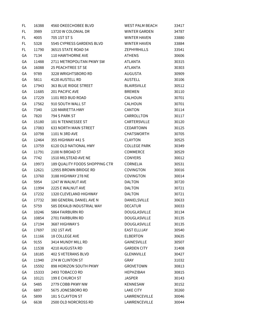| FL  | 16388 | 4560 OKEECHOBEE BLVD           | <b>WEST PALM BEACH</b> | 33417 |
|-----|-------|--------------------------------|------------------------|-------|
| FL. | 3989  | 13720 W COLONIAL DR            | <b>WINTER GARDEN</b>   | 34787 |
| FL. | 4005  | 705 1ST ST S                   | WINTER HAVEN           | 33880 |
| FL  | 5328  | 5545 CYPRESS GARDENS BLVD      | <b>WINTER HAVEN</b>    | 33884 |
| FL  | 11790 | 36515 STATE ROAD 54            | <b>ZEPHYRHILLS</b>     | 33541 |
| GA  | 7134  | 110 HAWTHORNE AVE              | <b>ATHENS</b>          | 30606 |
| GА  | 11488 | 2711 METROPOLITAN PKWY SW      | ATLANTA                | 30315 |
| GA  | 16088 | <b>25 PEACHTREE ST SE</b>      | ATLANTA                | 30303 |
| GA  | 9789  | 3228 WRIGHTSBORO RD            | <b>AUGUSTA</b>         | 30909 |
| GA  | 5811  | 4120 AUSTELL RD                | <b>AUSTELL</b>         | 30106 |
| GA  | 17943 | 363 BLUE RIDGE STREET          | <b>BLAIRSVILLE</b>     | 30512 |
| GA  | 11685 | 201 PACIFIC AVE                | <b>BREMEN</b>          | 30110 |
| GA  | 17229 | 1101 RED BUD ROAD              | CALHOUN                | 30701 |
| GA  | 17562 | 910 SOUTH WALL ST              | CALHOUN                | 30701 |
| GA  | 7340  | 120 MARIETTA HWY               | CANTON                 | 30114 |
| GA  | 7820  | 794 S PARK ST                  | CARROLLTON             | 30117 |
| GA  | 15180 | 101 N TENNESSEE ST             | CARTERSVILLE           | 30120 |
| GA  | 17083 | <b>633 NORTH MAIN STREET</b>   | CEDARTOWN              | 30125 |
| GA  | 10798 | 1101 N 3RD AVE                 | <b>CHATSWORTH</b>      | 30705 |
| GA  | 12464 | 355 HIGHWAY 441 S              | <b>CLAYTON</b>         | 30525 |
| GA  | 13759 | 6120 OLD NATIONAL HWY          | <b>COLLEGE PARK</b>    | 30349 |
| GA  | 11791 | 2100 N BROAD ST                | COMMERCE               | 30529 |
| GA  | 7742  | 1510 MILSTEAD AVE NE           | <b>CONYERS</b>         | 30012 |
| GA  | 19973 | 189 QUALITY FOODS SHOPPING CTR | <b>CORNELIA</b>        | 30531 |
| GA  | 12621 | 12955 BROWN BRIDGE RD          | COVINGTON              | 30016 |
| GA  | 13760 | 3188 HIGHWAY 278 NE            | <b>COVINGTON</b>       | 30014 |
| GA  | 5954  | 1247 W WALNUT AVE              | <b>DALTON</b>          | 30720 |
| GA  | 11994 | 2225 E WALNUT AVE              | <b>DALTON</b>          | 30721 |
| GА  | 17232 | 1320 CLEVELAND HIGHWAY         | <b>DALTON</b>          | 30721 |
| GA  | 17732 | 380 GENERAL DANIEL AVE N       | DANIELSVILLE           | 30633 |
| GA  | 5759  | 585 DEKALB INDUSTRIAL WAY      | <b>DECATUR</b>         | 30033 |
| GА  | 10246 | 5864 FAIRBURN RD               | <b>DOUGLASVILLE</b>    | 30134 |
| GA  | 10854 | 2701 FAIRBURN RD               | DOUGLASVILLE           | 30135 |
| GА  | 17194 | 3687 HIGHWAY 5                 | <b>DOUGLASVILLE</b>    | 30135 |
| GA  | 17697 | 192 1ST AVE                    | <b>EAST ELLIJAY</b>    | 30540 |
| GA  | 11166 | 18 COLLEGE AVE                 | <b>ELBERTON</b>        | 30635 |
| GA  | 9155  | 3414 MUNDY MILL RD             | <b>GAINESVILLE</b>     | 30507 |
| GА  | 11538 | 4210 AUGUSTA RD                | <b>GARDEN CITY</b>     | 31408 |
| GA  | 18185 | 402 S VETERANS BLVD            | <b>GLENNVILLE</b>      | 30427 |
| GA  | 11940 | 274 W CLINTON ST               | GRAY                   | 31032 |
| GA  | 15592 | 898 HORIZON SOUTH PKWY         | <b>GROVETOWN</b>       | 30813 |
| GA  | 15333 | 2493 TOBACCO RD                | <b>HEPHZIBAH</b>       | 30815 |
| GА  | 10121 | 199 E CHURCH ST                | <b>JASPER</b>          | 30143 |
| GA  | 5485  | 2779 COBB PKWY NW              | KENNESAW               | 30152 |
| GА  | 6897  | 5675 JONESBORO RD              | <b>LAKE CITY</b>       | 30260 |
| GА  | 5899  | 181 S CLAYTON ST               | LAWRENCEVILLE          | 30046 |
| GA  | 6638  | 2500 OLD NORCROSS RD           | LAWRENCEVILLE          | 30044 |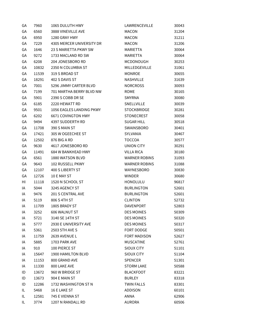| GА | 7960  | 1065 DULUTH HWY              | LAWRENCEVILLE        | 30043 |
|----|-------|------------------------------|----------------------|-------|
| GA | 6560  | 3888 VINEVILLE AVE           | <b>MACON</b>         | 31204 |
| GA | 6950  | 1280 GRAY HWY                | <b>MACON</b>         | 31211 |
| GA | 7229  | 4305 MERCER UNIVERSITY DR    | <b>MACON</b>         | 31206 |
| GA | 1646  | <b>23 S MARIETTA PKWY SW</b> | <b>MARIETTA</b>      | 30064 |
| GA | 9272  | 1733 MACLAND RD SW           | MARIETTA             | 30064 |
| GА | 6208  | 204 JONESBORO RD             | <b>MCDONOUGH</b>     | 30253 |
| GA | 10832 | 2350 N COLUMBIA ST           | MILLEDGEVILLE        | 31061 |
| GA | 11539 | 319 S BROAD ST               | <b>MONROE</b>        | 30655 |
| GA | 18291 | 402 S DAVIS ST               | NASHVILLE            | 31639 |
| GA | 7001  | 5296 JIMMY CARTER BLVD       | <b>NORCROSS</b>      | 30093 |
| GА | 7199  | 701 MARTHA BERRY BLVD NW     | <b>ROME</b>          | 30165 |
| GA | 5901  | 2390 S COBB DR SE            | <b>SMYRNA</b>        | 30080 |
| GA | 6185  | 2220 HEWATT RD               | SNELLVILLE           | 30039 |
| GA | 9501  | 1056 EAGLES LANDING PKWY     | <b>STOCKBRIDGE</b>   | 30281 |
| GA | 6202  | <b>6671 COVINGTON HWY</b>    | <b>STONECREST</b>    | 30058 |
| GA | 9494  | 4397 SUDDERTH RD             | <b>SUGAR HILL</b>    | 30518 |
| GA | 11708 | 390 S MAIN ST                | SWAINSBORO           | 30401 |
| GA | 17421 | 305 W OGEECHEE ST            | SYLVANIA             | 30467 |
| GA | 12502 | 876 BIG A RD                 | <b>TOCCOA</b>        | 30577 |
| GА | 9630  | 4617 JONESBORO RD            | UNION CITY           | 30291 |
| GA | 11491 | 684 W BANKHEAD HWY           | <b>VILLA RICA</b>    | 30180 |
| GA | 6561  | 1880 WATSON BLVD             | <b>WARNER ROBINS</b> | 31093 |
| GА | 9643  | 102 RUSSELL PKWY             | <b>WARNER ROBINS</b> | 31088 |
| GA | 12107 | 400 S LIBERTY ST             | WAYNESBORO           | 30830 |
| GА | 12726 | 10 E MAY ST                  | <b>WINDER</b>        | 30680 |
| HI | 11118 | 1520 N SCHOOL ST             | HONOLULU             | 96817 |
| IA | 5044  | 3245 AGENCY ST               | <b>BURLINGTON</b>    | 52601 |
| IA | 9476  | 201 S CENTRAL AVE            | <b>BURLINGTON</b>    | 52601 |
| IA | 5119  | 806 S 4TH ST                 | <b>CLINTON</b>       | 52732 |
| IA | 11709 | 1805 BRADY ST                | <b>DAVENPORT</b>     | 52803 |
| IA | 3252  | <b>606 WALNUT ST</b>         | <b>DES MOINES</b>    | 50309 |
| ΙA | 5721  | 3140 SE 14TH ST              | <b>DES MOINES</b>    | 50320 |
| IA | 5777  | 2930 E UNIVERSITY AVE        | <b>DES MOINES</b>    | 50317 |
| ΙA | 5361  | 2503 5TH AVE S               | FORT DODGE           | 50501 |
| IA | 11759 | 2639 AVENUE L                | <b>FORT MADISON</b>  | 52627 |
| IA | 5885  | 1703 PARK AVE                | <b>MUSCATINE</b>     | 52761 |
| IA | 910   | 100 PIERCE ST                | SIOUX CITY           | 51101 |
| IA | 15647 | 1900 HAMILTON BLVD           | SIOUX CITY           | 51104 |
| IA | 11153 | 800 GRAND AVE                | SPENCER              | 51301 |
| ΙA | 11330 | 800 LAKE AVE                 | <b>STORM LAKE</b>    | 50588 |
| ID | 13672 | 960 W BRIDGE ST              | <b>BLACKFOOT</b>     | 83221 |
| ID | 13673 | 904 E MAIN ST                | <b>BURLEY</b>        | 83318 |
| ID | 12286 | 1732 WASHINGTON ST N         | <b>TWIN FALLS</b>    | 83301 |
| IL | 5468  | 16 E LAKE ST                 | <b>ADDISON</b>       | 60101 |
| IL | 12581 | 745 E VIENNA ST              | ANNA                 | 62906 |
| IL | 3774  | 1207 N RANDALL RD            | AURORA               | 60506 |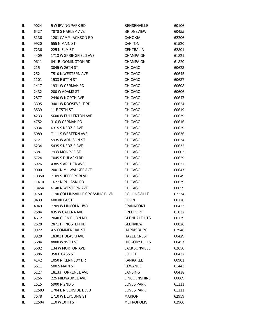| IL  | 9024  | 5 W IRVING PARK RD              | <b>BENSENVILLE</b>   | 60106 |
|-----|-------|---------------------------------|----------------------|-------|
| IL  | 6427  | 7878 S HARLEM AVE               | <b>BRIDGEVIEW</b>    | 60455 |
| IL  | 3136  | 1201 CAMP JACKSON RD            | <b>CAHOKIA</b>       | 62206 |
| IL  | 9920  | 555 N MAIN ST                   | CANTON               | 61520 |
| IL. | 7236  | 225 N ELM ST                    | CENTRALIA            | 62801 |
| IL  | 4409  | 1713 W SPRINGFIELD AVE          | <b>CHAMPAIGN</b>     | 61821 |
| IL  | 9611  | 841 BLOOMINGTON RD              | <b>CHAMPAIGN</b>     | 61820 |
| IL  | 215   | 3045 W 26TH ST                  | <b>CHICAGO</b>       | 60623 |
| IL  | 252   | 7510 N WESTERN AVE              | <b>CHICAGO</b>       | 60645 |
| IL  | 1101  | 1533 E 67TH ST                  | <b>CHICAGO</b>       | 60637 |
| IL  | 1417  | 1931 W CERMAK RD                | <b>CHICAGO</b>       | 60608 |
| IL  | 2432  | 200 W ADAMS ST                  | CHICAGO              | 60606 |
| IL  | 2877  | 2440 W NORTH AVE                | <b>CHICAGO</b>       | 60647 |
| IL  | 3395  | 3401 W ROOSEVELT RD             | <b>CHICAGO</b>       | 60624 |
| IL  | 3539  | 11 E 75TH ST                    | <b>CHICAGO</b>       | 60619 |
| IL  | 4233  | 5600 W FULLERTON AVE            | <b>CHICAGO</b>       | 60639 |
| IL  | 4752  | 316 W CERMAK RD                 | <b>CHICAGO</b>       | 60616 |
| IL  | 5034  | 6315 S KEDZIE AVE               | <b>CHICAGO</b>       | 60629 |
| IL  | 5089  | 7111 S WESTERN AVE              | <b>CHICAGO</b>       | 60636 |
| IL  | 5121  | 5935 W ADDISON ST               | <b>CHICAGO</b>       | 60634 |
| IL  | 5234  | 5435 S KEDZIE AVE               | <b>CHICAGO</b>       | 60632 |
| IL  | 5387  | 79 W MONROE ST                  | <b>CHICAGO</b>       | 60603 |
| IL  | 5724  | 7045 S PULASKI RD               | <b>CHICAGO</b>       | 60629 |
| IL  | 5926  | 4385 S ARCHER AVE               | <b>CHICAGO</b>       | 60632 |
| IL  | 9000  | 2001 N MILWAUKEE AVE            | <b>CHICAGO</b>       | 60647 |
| IL  | 10350 | 7109 S JEFFERY BLVD             | <b>CHICAGO</b>       | 60649 |
| IL  | 11410 | 1627 N PULASKI RD               | <b>CHICAGO</b>       | 60639 |
| IL  | 13454 | 6140 N WESTERN AVE              | <b>CHICAGO</b>       | 60659 |
| IL  | 9750  | 1190 COLLINSVILLE CROSSING BLVD | <b>COLLINSVILLE</b>  | 62234 |
| IL  | 9439  | 600 VILLA ST                    | <b>ELGIN</b>         | 60120 |
| IL  | 4949  | 7209 W LINCOLN HWY              | FRANKFORT            | 60423 |
| IL  | 2584  | 835 W GALENA AVE                | FREEPORT             | 61032 |
| IL  | 4612  | 2040 GLEN ELLYN RD              | <b>GLENDALE HTS</b>  | 60139 |
| IL  | 2528  | 2871 PFINGSTEN RD               | GLENVIEW             | 60026 |
| IL  | 9922  | <b>4 S COMMERCIAL ST</b>        | HARRISBURG           | 62946 |
| IL  | 3928  | 18301 PULASKI AVE               | <b>HAZEL CREST</b>   | 60429 |
| IL  | 5684  | 8800 W 95TH ST                  | <b>HICKORY HILLS</b> | 60457 |
| IL. | 5602  | 134 W MORTON AVE                | <b>JACKSONVILLE</b>  | 62650 |
| IL  | 5386  | 358 E CASS ST                   | JOLIET               | 60432 |
| IL  | 4142  | 1050 N KENNEDY DR               | KANKAKEE             | 60901 |
| IL  | 5511  | 500 S MAIN ST                   | KEWANEE              | 61443 |
| IL  | 5127  | 18133 TORRENCE AVE              | LANSING              | 60438 |
| IL  | 5256  | 225 MILWAUKEE AVE               | LINCOLNSHIRE         | 60069 |
| IL  | 1515  | 5900 N 2ND ST                   | <b>LOVES PARK</b>    | 61111 |
| IL  | 12583 | 1704 E RIVERSIDE BLVD           | <b>LOVES PARK</b>    | 61111 |
| IL  | 7578  | 1710 W DEYOUNG ST               | <b>MARION</b>        | 62959 |
| IL  | 12504 | 110 W 10TH ST                   | <b>METROPOLIS</b>    | 62960 |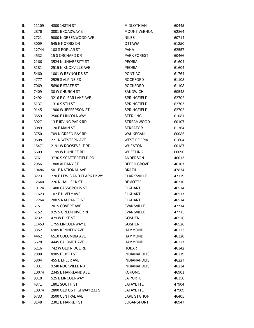| IL | 11109 | 4800 148TH ST              | <b>MIDLOTHIAN</b>   | 60445 |
|----|-------|----------------------------|---------------------|-------|
| IL | 2876  | 3001 BROADWAY ST           | <b>MOUNT VERNON</b> | 62864 |
| IL | 2721  | 9000 N GREENWOOD AVE       | NILES               | 60714 |
| IL | 3009  | 545 E NORRIS DR            | <b>OTTAWA</b>       | 61350 |
| IL | 12744 | 108 S POPLAR ST            | <b>PANA</b>         | 62557 |
| IL | 4532  | 15 S ORCHARD DR            | <b>PARK FOREST</b>  | 60466 |
| IL | 2166  | 3524 N UNIVERSITY ST       | <b>PEORIA</b>       | 61604 |
| IL | 3181  | 2515 N KNOXVILLE AVE       | <b>PEORIA</b>       | 61604 |
| IL | 5460  | 1001 W REYNOLDS ST         | <b>PONTIAC</b>      | 61764 |
| IL | 4777  | 2525 S ALPINE RD           | <b>ROCKFORD</b>     | 61108 |
| IL | 7069  | 5690 E STATE ST            | <b>ROCKFORD</b>     | 61108 |
| IL | 7409  | 30 W CHURCH ST             | <b>SANDWICH</b>     | 60548 |
| IL | 2492  | 3216 E CLEAR LAKE AVE      | SPRINGFIELD         | 62702 |
| IL | 5137  | 1310 S 5TH ST              | SPRINGFIELD         | 62703 |
| IL | 9145  | 1900 W JEFFERSON ST        | SPRINGFIELD         | 62702 |
| IL | 3559  | 2506 E LINCOLNWAY          | <b>STERLING</b>     | 61081 |
| IL | 3927  | 13 E IRVING PARK RD        | <b>STREAMWOOD</b>   | 60107 |
| IL | 3089  | 120 E MAIN ST              | <b>STREATOR</b>     | 61364 |
| IL | 3750  | 709 N GREEN BAY RD         | WAUKEGAN            | 60085 |
| IL | 9508  | 221 N WESTERN AVE          | <b>WEST PEORIA</b>  | 61604 |
| IL | 15471 | 2191 W ROOSEVELT RD        | <b>WHEATON</b>      | 60187 |
| IL | 5609  | 1199 W DUNDEE RD           | <b>WHEELING</b>     | 60090 |
| IN | 6761  | 3736 S SCATTERFIELD RD     | ANDERSON            | 46013 |
| IN | 2956  | 1808 ALBANY ST             | <b>BEECH GROVE</b>  | 46107 |
| IN | 10486 | 501 E NATIONAL AVE         | <b>BRAZIL</b>       | 47834 |
| IN | 3223  | 220 E LEWIS AND CLARK PKWY | <b>CLARKSVILLE</b>  | 47129 |
| IN | 12640 | 226 N HALLECK ST           | <b>DEMOTTE</b>      | 46310 |
| IN | 10124 | 1400 CASSOPOLIS ST         | <b>ELKHART</b>      | 46514 |
| IN | 11623 | 102 E HIVELY AVE           | <b>ELKHART</b>      | 46517 |
| IN | 12264 | <b>200 S NAPPANEE ST</b>   | <b>ELKHART</b>      | 46514 |
| IN | 6151  | 2015 COVERT AVE            | <b>EVANSVILLE</b>   | 47714 |
| IN | 6152  | 925 S GREEN RIVER RD       | <b>EVANSVILLE</b>   | 47715 |
| IN | 3232  | 429 W PIKE ST              | <b>GOSHEN</b>       | 46526 |
| IN | 11453 | 1755 LINCOLNWAY E          | <b>GOSHEN</b>       | 46526 |
| IN | 3352  | 6905 KENNEDY AVE           | <b>HAMMOND</b>      | 46323 |
| IN | 4462  | 6510 COLUMBIA AVE          | <b>HAMMOND</b>      | 46320 |
| IN | 5628  | 4445 CALUMET AVE           | <b>HAMMOND</b>      | 46327 |
| IN | 6216  | 742 W OLD RIDGE RD         | <b>HOBART</b>       | 46342 |
| IN | 2800  | 8905 E 10TH ST             | <b>INDIANAPOLIS</b> | 46219 |
| IN | 5804  | 455 E EPLER AVE            | <b>INDIANAPOLIS</b> | 46227 |
| IN | 7031  | 9240 ROCKVILLE RD          | <b>INDIANAPOLIS</b> | 46234 |
| IN | 10074 | 2345 E MARKLAND AVE        | KOKOMO              | 46901 |
| IN | 9318  | 525 E LINCOLNWAY           | LA PORTE            | 46350 |
| IN | 4371  | 1801 SOUTH ST              | LAFAYETTE           | 47904 |
| IN | 10974 | 2800 OLD US HIGHWAY 231 S  | LAFAYETTE           | 47909 |
| IN | 6733  | 3500 CENTRAL AVE           | <b>LAKE STATION</b> | 46405 |
| IN | 3148  | 2301 E MARKET ST           | LOGANSPORT          | 46947 |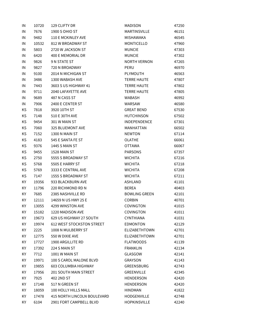| IN | 10720 | 129 CLIFTY DR                    | MADISON              | 47250 |
|----|-------|----------------------------------|----------------------|-------|
| IN | 7676  | 1900 S OHIO ST                   | MARTINSVILLE         | 46151 |
| IN | 9482  | 110 E MCKINLEY AVE               | MISHAWAKA            | 46545 |
| IN | 10532 | 812 W BROADWAY ST                | MONTICELLO           | 47960 |
| IN | 5803  | 2720 W JACKSON ST                | <b>MUNCIE</b>        | 47303 |
| IN | 6420  | 400 E MEMORIAL DR                | <b>MUNCIE</b>        | 47302 |
| IN | 9826  | 9 N STATE ST                     | <b>NORTH VERNON</b>  | 47265 |
| IN | 9827  | 720 N BROADWAY                   | PERU                 | 46970 |
| IN | 9100  | 2014 N MICHIGAN ST               | PLYMOUTH             | 46563 |
| IN | 3486  | 1300 WABASH AVE                  | <b>TERRE HAUTE</b>   | 47807 |
| IN | 7443  | 3603 S US HIGHWAY 41             | <b>TERRE HAUTE</b>   | 47802 |
| IN | 9711  | 2040 LAFAYETTE AVE               | <b>TERRE HAUTE</b>   | 47805 |
| IN | 9689  | 487 N CASS ST                    | WABASH               | 46992 |
| IN | 7906  | 2400 E CENTER ST                 | WARSAW               | 46580 |
| KS | 7818  | 3920 10TH ST                     | <b>GREAT BEND</b>    | 67530 |
| KS | 7148  | 510 E 30TH AVE                   | HUTCHINSON           | 67502 |
| KS | 9454  | 301 W MAIN ST                    | INDEPENDENCE         | 67301 |
| KS | 7060  | 325 BLUEMONT AVE                 | MANHATTAN            | 66502 |
| KS | 7152  | 1300 N MAIN ST                   | <b>NEWTON</b>        | 67114 |
| KS | 4183  | 545 E SANTA FE ST                | <b>OLATHE</b>        | 66061 |
| KS | 9376  | <b>1445 S MAIN ST</b>            | <b>OTTAWA</b>        | 66067 |
| KS | 9455  | 1528 MAIN ST                     | <b>PARSONS</b>       | 67357 |
| KS | 2750  | 5555 S BROADWAY ST               | <b>WICHITA</b>       | 67216 |
| KS | 5768  | 5505 E HARRY ST                  | <b>WICHITA</b>       | 67218 |
| KS | 5769  | 3333 E CENTRAL AVE               | <b>WICHITA</b>       | 67208 |
| KS | 7147  | 1555 S BROADWAY ST               | <b>WICHITA</b>       | 67211 |
| KY | 19356 | 933 BLACKBURN AVE                | ASHLAND              | 41101 |
| KY | 11796 | 220 RICHMOND RD N                | <b>BEREA</b>         | 40403 |
| KY | 7685  | 2385 NASHVILLE RD                | <b>BOWLING GREEN</b> | 42101 |
| KY | 12111 | 14659 N US HWY 25 E              | <b>CORBIN</b>        | 40701 |
| ΚY | 13055 | 4299 WINSTON AVE                 | <b>COVINGTON</b>     | 41015 |
| KY | 15182 | 1220 MADISON AVE                 | <b>COVINGTON</b>     | 41011 |
| KY | 19673 | 629 US HIGHWAY 27 SOUTH          | CYNTHIANA            | 41031 |
| KY | 19974 | <b>612 WEST STOCKSTON STREET</b> | <b>EDMONTON</b>      | 42129 |
| KY | 2225  | 1008 N MULBERRY ST               | ELIZABETHTOWN        | 42701 |
| KY | 12775 | 550 W DIXIE AVE                  | <b>ELIZABETHTOWN</b> | 42701 |
| KY | 17727 | 1900 ARGILLITE RD                | <b>FLATWOODS</b>     | 41139 |
| ΚY | 17392 | 224 S MAIN ST                    | <b>FRANKLIN</b>      | 42134 |
| KY | 7712  | 1001 W MAIN ST                   | GLASGOW              | 42141 |
| KY | 19971 | 100 S CAROL MALONE BLVD          | GRAYSON              | 41143 |
| KY | 19855 | 603 COLUMBIA HIGHWAY             | GREENSBURG           | 42743 |
| KY | 17956 | <b>201 SOUTH MAIN STREET</b>     | GREENVILLE           | 42345 |
| KY | 7925  | 402 2ND ST                       | HENDERSON            | 42420 |
| KY | 17148 | 517 N GREEN ST                   | HENDERSON            | 42420 |
| KY | 18059 | 100 HOLLY HILLS MALL             | <b>HINDMAN</b>       | 41822 |
| KY | 17478 | 415 NORTH LINCOLN BOULEVARD      | HODGENVILLE          | 42748 |
| ΚY | 6104  | 2901 FORT CAMPBELL BLVD          | <b>HOPKINSVILLE</b>  | 42240 |
|    |       |                                  |                      |       |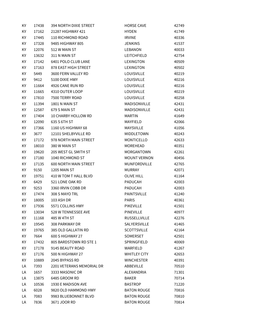| KY  | 17438 | 394 NORTH DIXIE STREET       | <b>HORSE CAVE</b>   | 42749 |
|-----|-------|------------------------------|---------------------|-------|
| KY  | 17162 | 21287 HIGHWAY 421            | <b>HYDEN</b>        | 41749 |
| KY. | 17445 | 110 RICHMOND ROAD            | <b>IRVINE</b>       | 40336 |
| KY  | 17328 | 9485 HIGHWAY 805             | <b>JENKINS</b>      | 41537 |
| KY  | 12076 | 512 W MAIN ST                | LEBANON             | 40033 |
| KY  | 13632 | 311 N MAIN ST                | LEITCHFIELD         | 42754 |
| KY  | 17142 | 6401 POLO CLUB LANE          | LEXINGTON           | 40509 |
| KY  | 17163 | 878 EAST HIGH STREET         | LEXINGTON           | 40502 |
| KY  | 5449  | 3600 FERN VALLEY RD          | <b>LOUISVILLE</b>   | 40219 |
| KY  | 9412  | 5100 DIXIE HWY               | LOUISVILLE          | 40216 |
| KY  | 11664 | 4926 CANE RUN RD             | <b>LOUISVILLE</b>   | 40216 |
| KY  | 11665 | 4310 OUTER LOOP              | <b>LOUISVILLE</b>   | 40219 |
| KY  | 17810 | 7500 TERRY ROAD              | <b>LOUISVILLE</b>   | 40258 |
| KY  | 11394 | 1801 N MAIN ST               | MADISONVILLE        | 42431 |
| KY  | 12587 | 679 S MAIN ST                | <b>MADISONVILLE</b> | 42431 |
| KY  | 17404 | 10 CHARBY HOLLOW RD          | <b>MARTIN</b>       | 41649 |
| KY  | 12090 | 635 S 6TH ST                 | MAYFIELD            | 42066 |
| KY  | 17366 | 1160 US HIGHWAY 68           | <b>MAYSVILLE</b>    | 41056 |
| KY  | 3677  | 12101 SHELBYVILLE RD         | MIDDLETOWN          | 40243 |
| KY  | 17172 | 978 NORTH MAIN STREET        | <b>MONTICELLO</b>   | 42633 |
| KY  | 18010 | 380 W MAIN ST                | <b>MOREHEAD</b>     | 40351 |
| KY  | 19620 | 205 WEST GL SMITH ST         | <b>MORGANTOWN</b>   | 42261 |
| KY  | 17180 | 1040 RICHMOND ST             | <b>MOUNT VERNON</b> | 40456 |
| KY  | 17135 | <b>600 NORTH MAIN STREET</b> | <b>MUNFORDVILLE</b> | 42765 |
| KY  | 9150  | 1205 MAIN ST                 | <b>MURRAY</b>       | 42071 |
| KY  | 19751 | 410 W TOM T HALL BLVD        | <b>OLIVE HILL</b>   | 41164 |
| KY  | 6429  | 521 LONE OAK RD              | PADUCAH             | 42003 |
| KY  | 9253  | 3360 IRVIN COBB DR           | PADUCAH             | 42003 |
| KY  | 17474 | 308 S MAYO TRL               | PAINTSVILLE         | 41240 |
| KY  | 18005 | 103 ASH DR                   | <b>PARIS</b>        | 40361 |
| KY  | 17936 | 5571 COLLINS HWY             | <b>PIKEVILLE</b>    | 41501 |
| KY  | 13034 | 528 W TENNESSEE AVE          | <b>PINEVILLE</b>    | 40977 |
| KY  | 11168 | 485 W 4TH ST                 | <b>RUSSELLVILLE</b> | 42276 |
| KY  | 19545 | 308 PARKWAY DR               | SALYERSVILLE        | 41465 |
| KY  | 19765 | 385 OLD GALLATIN RD          | <b>SCOTTSVILLE</b>  | 42164 |
| KY  | 7664  | 600 S HIGHWAY 27             | SOMERSET            | 42501 |
| KY  | 17432 | 805 BARDSTOWN RD STE 1       | SPRINGFIELD         | 40069 |
| KY  | 17178 | 9145 BEAUTY ROAD             | <b>WARFIELD</b>     | 41267 |
| KY  | 17176 | 500 N HIGHWAY 27             | <b>WHITLEY CITY</b> | 42653 |
| KY  | 10889 | 2045 BYPASS RD               | <b>WINCHESTER</b>   | 40391 |
| LA  | 7393  | 2201 VETERANS MEMORIAL DR    | ABBEVILLE           | 70510 |
| LA  | 1657  | 3333 MASONIC DR              | ALEXANDRIA          | 71301 |
| LA  | 13875 | 6485 GROOM RD                | <b>BAKER</b>        | 70714 |
| LA  | 10536 | 1930 E MADISON AVE           | <b>BASTROP</b>      | 71220 |
| LA  | 6028  | 9820 OLD HAMMOND HWY         | <b>BATON ROUGE</b>  | 70816 |
| LA  | 7083  | 9983 BLUEBONNET BLVD         | <b>BATON ROUGE</b>  | 70810 |
| LA  | 7836  | 3671 JOOR RD                 | <b>BATON ROUGE</b>  | 70814 |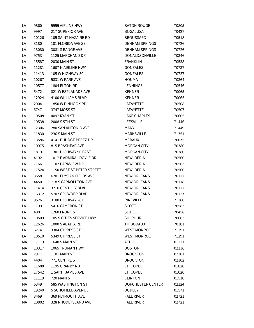| LA | 9860  | 5955 AIRLINE HWY          | <b>BATON ROUGE</b>    | 70805 |
|----|-------|---------------------------|-----------------------|-------|
| LA | 9997  | <b>217 SUPERIOR AVE</b>   | <b>BOGALUSA</b>       | 70427 |
| LA | 10126 | 105 SAINT NAZAIRE RD      | <b>BROUSSARD</b>      | 70518 |
| LA | 3180  | 101 FLORIDA AVE SE        | <b>DENHAM SPRINGS</b> | 70726 |
| LA | 13080 | 3081 S RANGE AVE          | <b>DENHAM SPRINGS</b> | 70726 |
| LA | 9753  | 1125 MARCHAND DR          | DONALDSONVILLE        | 70346 |
| LA | 15587 | 2030 MAIN ST              | <b>FRANKLIN</b>       | 70538 |
| LA | 11281 | 1607 N AIRLINE HWY        | GONZALES              | 70737 |
| LA | 11413 | 105 W HIGHWAY 30          | <b>GONZALES</b>       | 70737 |
| LA | 10267 | 5831 W PARK AVE           | <b>HOUMA</b>          | 70364 |
| LA | 10577 | 1804 ELTON RD             | <b>JENNINGS</b>       | 70546 |
| LA | 5472  | 821 W ESPLANADE AVE       | <b>KENNER</b>         | 70065 |
| LA | 12924 | 4100 WILLIAMS BLVD        | <b>KENNER</b>         | 70065 |
| LA | 2004  | 1850 W PINHOOK RD         | LAFAYETTE             | 70508 |
| LA | 5747  | 3747 MOSS ST              | LAFAYETTE             | 70507 |
| LA | 10508 | 4097 RYAN ST              | <b>LAKE CHARLES</b>   | 70605 |
| LA | 10538 | 2008 S 5TH ST             | <b>LEESVILLE</b>      | 71446 |
| LA | 12306 | 280 SAN ANTONIO AVE       | MANY                  | 71449 |
| LA | 11830 | 236 S MAIN ST             | <b>MARKSVILLE</b>     | 71351 |
| LA | 13586 | 4141 E JUDGE PEREZ DR     | MERAUX                | 70075 |
| LA | 10975 | 815 BRASHEAR AVE          | <b>MORGAN CITY</b>    | 70380 |
| LA | 18191 | 1301 HIGHWAY 90 EAST      | <b>MORGAN CITY</b>    | 70380 |
| LA | 4192  | 1017 E ADMIRAL DOYLE DR   | <b>NEW IBERIA</b>     | 70560 |
| LA | 7166  | 1102 PARKVIEW DR          | <b>NEW IBERIA</b>     | 70563 |
| LA | 17524 | 1150 WEST ST PETER STREET | <b>NEW IBERIA</b>     | 70560 |
| LA | 3558  | 6201 ELYSIAN FIELDS AVE   | <b>NEW ORLEANS</b>    | 70122 |
| LA | 4450  | 718 S CARROLLTON AVE      | <b>NEW ORLEANS</b>    | 70118 |
| LA | 11414 | 3216 GENTILLY BLVD        | <b>NEW ORLEANS</b>    | 70122 |
| LA | 16312 | 5702 CROWDER BLVD         | <b>NEW ORLEANS</b>    | 70127 |
| LA | 9526  | 3100 HIGHWAY 28 E         | PINEVILLE             | 71360 |
| LA | 11997 | 5416 CAMERON ST           | SCOTT                 | 70583 |
| LA | 4007  | 1260 FRONT ST             | SLIDELL               | 70458 |
| LA | 10509 | 105 S CITIES SERVICE HWY  | SULPHUR               | 70663 |
| LA | 12626 | 1000 S ACADIA RD          | THIBODAUX             | 70301 |
| LA | 6274  | 3304 CYPRESS ST           | <b>WEST MONROE</b>    | 71291 |
| LA | 10510 | 5349 CYPRESS ST           | <b>WEST MONROE</b>    | 71291 |
| МA | 17173 | 1640 S MAIN ST            | <b>ATHOL</b>          | 01331 |
| МA | 10317 | 1065 TRUMAN HWY           | <b>BOSTON</b>         | 02136 |
| МA | 2977  | 1101 MAIN ST              | <b>BROCKTON</b>       | 02301 |
| МA | 4404  | 771 CENTRE ST             | <b>BROCKTON</b>       | 02302 |
| МA | 11688 | 1195 GRANBY RD            | <b>CHICOPEE</b>       | 01020 |
| МA | 17542 | 1 SAINT JAMES AVE         | <b>CHICOPEE</b>       | 01020 |
| МA | 11119 | 720 MAIN ST               | CLINTON               | 01510 |
| МA | 6349  | 585 WASHINGTON ST         | DORCHESTER CENTER     | 02124 |
| МA | 19240 | 5 SCHOFIELD AVENUE        | <b>DUDLEY</b>         | 01571 |
| МA | 3469  | 369 PLYMOUTH AVE          | <b>FALL RIVER</b>     | 02721 |
| МA | 10802 | 328 RHODE ISLAND AVE      | <b>FALL RIVER</b>     | 02721 |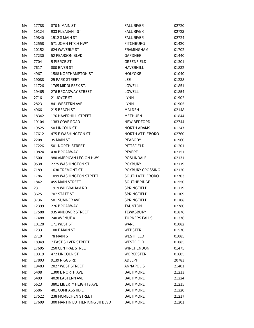| МA | 17788 | 870 N MAIN ST                  | <b>FALL RIVER</b>       | 02720 |
|----|-------|--------------------------------|-------------------------|-------|
| МA | 19124 | 933 PLEASANT ST                | <b>FALL RIVER</b>       | 02723 |
| МA | 19840 | <b>1512 S MAIN ST</b>          | <b>FALL RIVER</b>       | 02724 |
| МA | 12558 | 571 JOHN FITCH HWY             | <b>FITCHBURG</b>        | 01420 |
| МA | 10152 | 624 WAVERLY ST                 | <b>FRAMINGHAM</b>       | 01702 |
| МA | 17230 | 52 PEARSON BLVD                | <b>GARDNER</b>          | 01440 |
| МA | 7704  | <b>5 PIERCE ST</b>             | <b>GREENFIELD</b>       | 01301 |
| МA | 7617  | 800 RIVER ST                   | <b>HAVERHILL</b>        | 01832 |
| МA | 4967  | <b>1588 NORTHAMPTON ST</b>     | <b>HOLYOKE</b>          | 01040 |
| МA | 19088 | <b>25 PARK STREET</b>          | LEE.                    | 01238 |
| МA | 11726 | 1765 MIDDLESEX ST.             | LOWELL                  | 01851 |
| МA | 19465 | 276 BROADWAY STREET            | LOWELL                  | 01854 |
| МA | 2716  | 21 JOYCE ST                    | <b>LYNN</b>             | 01902 |
| МA | 2823  | 841 WESTERN AVE                | <b>LYNN</b>             | 01905 |
| МA | 4966  | 215 BEACH ST                   | <b>MALDEN</b>           | 02148 |
| МA | 18342 | 176 HAVERHILL STREET           | METHUEN                 | 01844 |
| МA | 19104 | 1383 COVE ROAD                 | NEW BEDFORD             | 02744 |
| МA | 19525 | 50 LINCOLN ST.                 | <b>NORTH ADAMS</b>      | 01247 |
| МA | 17612 | 475 E WASHINGTON ST            | <b>NORTH ATTLEBORO</b>  | 02760 |
| МA | 2208  | 35 MAIN ST                     | <b>PEABODY</b>          | 01960 |
| МA | 17226 | 501 NORTH STREET               | PITTSFIELD              | 01201 |
| МA | 10824 | 430 BROADWAY                   | <b>REVERE</b>           | 02151 |
| МA | 15001 | 980 AMERICAN LEGION HWY        | <b>ROSLINDALE</b>       | 02131 |
| МA | 9538  | 2275 WASHINGTON ST             | <b>ROXBURY</b>          | 02119 |
| МA | 7189  | 1630 TREMONT ST                | <b>ROXBURY CROSSING</b> | 02120 |
| МA | 17861 | 1099 WASHINGTON STREET         | <b>SOUTH ATTLEBORO</b>  | 02703 |
| МA | 18421 | <b>455 MAIN STREET</b>         | <b>SOUTHBRIDGE</b>      | 01550 |
| МA | 2311  | 1919 WILBRAHAM RD              | SPRINGFIELD             | 01129 |
| МA | 3625  | 707 STATE ST                   | SPRINGFIELD             | 01109 |
| МA | 3736  | 501 SUMNER AVE                 | <b>SPRINGFIELD</b>      | 01108 |
| МA | 12399 | 226 BROADWAY                   | <b>TAUNTON</b>          | 02780 |
| МA | 17588 | 935 ANDOVER STREET             | <b>TEWKSBURY</b>        | 01876 |
| МA | 17488 | 240 AVENUE A                   | <b>TURNERS FALLS</b>    | 01376 |
| МA | 10128 | 171 WEST ST                    | <b>WARE</b>             | 01082 |
| МA | 1233  | 100 E MAIN ST                  | <b>WEBSTER</b>          | 01570 |
| МA | 2710  | 78 MAIN ST                     | WESTFIELD               | 01085 |
| МA | 18949 | <b>7 EAST SILVER STREET</b>    | WESTFIELD               | 01085 |
| МA | 17605 | <b>250 CENTRAL STREET</b>      | <b>WINCHENDON</b>       | 01475 |
| МA | 10319 | 472 LINCOLN ST                 | <b>WORCESTER</b>        | 01605 |
| МD | 17803 | 9139 RIGGS RD                  | <b>ADELPHI</b>          | 20783 |
| МD | 19483 | 2027 WEST STREET               | <b>ANNAPOLIS</b>        | 21401 |
| MD | 5408  | 1300 E NORTH AVE               | <b>BALTIMORE</b>        | 21213 |
| МD | 5409  | 4020 EASTERN AVE               | <b>BALTIMORE</b>        | 21224 |
| MD | 5623  | 3801 LIBERTY HEIGHTS AVE       | <b>BALTIMORE</b>        | 21215 |
| МD | 5686  | 401 COMPASS RD E               | <b>BALTIMORE</b>        | 21220 |
| МD | 17522 | 238 MCMECHEN STREET            | <b>BALTIMORE</b>        | 21217 |
| МD | 17609 | 300 MARTIN LUTHER KING JR BLVD | <b>BALTIMORE</b>        | 21201 |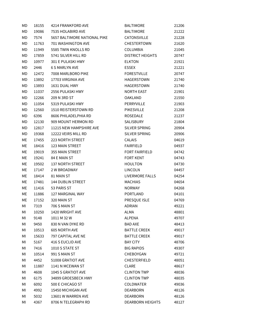| MD | 18155 | 4214 FRANKFORD AVE           | <b>BALTIMORE</b>        | 21206 |
|----|-------|------------------------------|-------------------------|-------|
| MD | 19086 | 7535 HOLABIRD AVE            | <b>BALTIMORE</b>        | 21222 |
| МD | 7574  | 5657 BALTIMORE NATIONAL PIKE | CATONSVILLE             | 21228 |
| МD | 11763 | 701 WASHINGTON AVE           | <b>CHESTERTOWN</b>      | 21620 |
| MD | 11949 | 5585 TWIN KNOLLS RD          | <b>COLUMBIA</b>         | 21045 |
| MD | 17859 | 5741 SILVER HILL RD          | <b>DISTRICT HEIGHTS</b> | 20747 |
| MD | 10977 | 301 E PULASKI HWY            | <b>ELKTON</b>           | 21921 |
| МD | 2446  | <b>6 S MARLYN AVE</b>        | <b>ESSEX</b>            | 21221 |
| MD | 12472 | 7008 MARLBORO PIKE           | <b>FORESTVILLE</b>      | 20747 |
| MD | 13892 | 17703 VIRGINIA AVE           | HAGERSTOWN              | 21740 |
| MD | 13893 | 1631 DUAL HWY                | HAGERSTOWN              | 21740 |
| МD | 11037 | 2556 PULASKI HWY             | <b>NORTH EAST</b>       | 21901 |
| МD | 12266 | 209 N 3RD ST                 | <b>OAKLAND</b>          | 21550 |
| МD | 11054 | 5319 PULASKI HWY             | PERRYVILLE              | 21903 |
| MD | 12560 | 1510 REISTERSTOWN RD         | <b>PIKESVILLE</b>       | 21208 |
| MD | 6396  | 8606 PHILADELPHIA RD         | <b>ROSEDALE</b>         | 21237 |
| МD | 12130 | 909 MOUNT HERMON RD          | SALISBURY               | 21804 |
| МD | 12817 | 11215 NEW HAMPSHIRE AVE      | SILVER SPRING           | 20904 |
| MD | 19368 | 12222 VEIRS MILL RD          | SILVER SPRING           | 20906 |
| МE | 17455 | 223 NORTH STREET             | <b>CALAIS</b>           | 04619 |
| МE | 18416 | 123 MAIN STREET              | <b>FAIRFIELD</b>        | 04937 |
| МE | 19019 | <b>355 MAIN STREET</b>       | <b>FORT FAIRFIELD</b>   | 04742 |
| МE | 19241 | 84 E MAIN ST                 | <b>FORT KENT</b>        | 04743 |
| МE | 19502 | 137 NORTH STREET             | <b>HOULTON</b>          | 04730 |
| МE | 17147 | <b>2 W BROADWAY</b>          | <b>LINCOLN</b>          | 04457 |
| МE | 18414 | 81 MAIN ST                   | <b>LIVERMORE FALLS</b>  | 04254 |
| МE | 17481 | 144 DUBLIN STREET            | <b>MACHIAS</b>          | 04654 |
| МE | 11416 | 53 PARIS ST                  | <b>NORWAY</b>           | 04268 |
| МE | 11886 | 127 MARGINAL WAY             | PORTLAND                | 04101 |
| МE | 17152 | 320 MAIN ST                  | PRESQUE ISLE            | 04769 |
| ΜI | 7319  | 706 S MAIN ST                | <b>ADRIAN</b>           | 49221 |
| ΜI | 10250 | 1420 WRIGHT AVE              | ALMA                    | 48801 |
| ΜI | 9148  | 1011 M 32 W                  | <b>ALPENA</b>           | 49707 |
| ΜI | 9450  | 830 N VAN DYKE RD            | <b>BAD AXE</b>          | 48413 |
| MI | 10513 | 605 NORTH AVE                | <b>BATTLE CREEK</b>     | 49017 |
| ΜI | 15633 | 797 CAPITAL AVE NE           | <b>BATTLE CREEK</b>     | 49017 |
| ΜI | 5167  | 416 S EUCLID AVE             | <b>BAY CITY</b>         | 48706 |
| ΜI | 7416  | 1010 S STATE ST              | <b>BIG RAPIDS</b>       | 49307 |
| MI | 10514 | 991 S MAIN ST                | CHEBOYGAN               | 49721 |
| ΜI | 4452  | 51008 GRATIOT AVE            | <b>CHESTERFIELD</b>     | 48051 |
| ΜI | 11887 | 1141 N MCEWAN ST             | <b>CLARE</b>            | 48617 |
| ΜI | 4608  | 1045 S GRATIOT AVE           | <b>CLINTON TWP</b>      | 48036 |
| ΜI | 6175  | 34899 GROESBECK HWY          | <b>CLINTON TWP</b>      | 48035 |
| ΜI | 6092  | 500 E CHICAGO ST             | <b>COLDWATER</b>        | 49036 |
| ΜI | 4992  | 15450 MICHIGAN AVE           | <b>DEARBORN</b>         | 48126 |
| MI | 5032  | 13601 W WARREN AVE           | <b>DEARBORN</b>         | 48126 |
| MI | 4367  | 8706 N TELEGRAPH RD          | <b>DEARBORN HEIGHTS</b> | 48127 |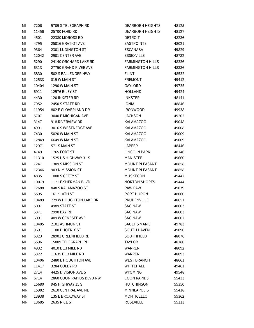| ΜI | 7206  | 5709 S TELEGRAPH RD      | <b>DEARBORN HEIGHTS</b> | 48125 |
|----|-------|--------------------------|-------------------------|-------|
| MI | 11456 | 25700 FORD RD            | <b>DEARBORN HEIGHTS</b> | 48127 |
| ΜI | 4501  | 22380 MOROSS RD          | <b>DETROIT</b>          | 48236 |
| ΜI | 4795  | 25016 GRATIOT AVE        | <b>EASTPOINTE</b>       | 48021 |
| ΜI | 9364  | 2301 LUDINGTON ST        | <b>ESCANABA</b>         | 49829 |
| MI | 12042 | 2901 CENTER AVE          | <b>ESSEXVILLE</b>       | 48732 |
| МI | 5290  | 24140 ORCHARD LAKE RD    | <b>FARMINGTON HILLS</b> | 48336 |
| ΜI | 6313  | 27750 GRAND RIVER AVE    | <b>FARMINGTON HILLS</b> | 48336 |
| ΜI | 6830  | 502 S BALLENGER HWY      | <b>FLINT</b>            | 48532 |
| ΜI | 12533 | 819 W MAIN ST            | <b>FREMONT</b>          | 49412 |
| MI | 10404 | 1290 W MAIN ST           | GAYLORD                 | 49735 |
| ΜI | 6911  | 12576 RILEY ST           | <b>HOLLAND</b>          | 49424 |
| ΜI | 4430  | 120 INKSTER RD           | <b>INKSTER</b>          | 48141 |
| ΜI | 7952  | 2450 S STATE RD          | <b>IONIA</b>            | 48846 |
| ΜI | 11954 | 802 E CLOVERLAND DR      | <b>IRONWOOD</b>         | 49938 |
| MI | 5707  | 3040 E MICHIGAN AVE      | <b>JACKSON</b>          | 49202 |
| ΜI | 3147  | 918 RIVERVIEW DR         | <b>KALAMAZOO</b>        | 49048 |
| MI | 4991  | 3016 S WESTNEDGE AVE     | <b>KALAMAZOO</b>        | 49008 |
| ΜI | 7430  | 5020 W MAIN ST           | <b>KALAMAZOO</b>        | 49009 |
| ΜI | 12849 | 6649 W MAIN ST           | <b>KALAMAZOO</b>        | 49009 |
| МI | 12971 | 571 S MAIN ST            | LAPEER                  | 48446 |
| ΜI | 4749  | 1765 FORT ST             | LINCOLN PARK            | 48146 |
| ΜI | 11310 | 1525 US HIGHWAY 31 S     | <b>MANISTEE</b>         | 49660 |
| ΜI | 7247  | 1309 S MISSION ST        | MOUNT PLEASANT          | 48858 |
| ΜI | 12346 | 903 N MISSION ST         | MOUNT PLEASANT          | 48858 |
| ΜI | 4835  | 1000 S GETTY ST          | <b>MUSKEGON</b>         | 49442 |
| ΜI | 10079 | 1171 E SHERMAN BLVD      | <b>NORTON SHORES</b>    | 49444 |
| ΜI | 12688 | 848 S KALAMAZOO ST       | <b>PAW PAW</b>          | 49079 |
| МI | 5595  | 1617 10TH ST             | PORT HURON              | 48060 |
| ΜI | 10489 | 729 W HOUGHTON LAKE DR   | <b>PRUDENVILLE</b>      | 48651 |
| MI | 5097  | 4989 STATE ST            | SAGINAW                 | 48603 |
| ΜI | 5371  | 2990 BAY RD              | SAGINAW                 | 48603 |
| ΜI | 6091  | 409 W GENESEE AVE        | SAGINAW                 | 48602 |
| MI | 10405 | 2101 ASHMUN ST           | <b>SAULT S MARIE</b>    | 49783 |
| MI | 9691  | 1100 PHOENIX ST          | <b>SOUTH HAVEN</b>      | 49090 |
| ΜI | 6323  | 28901 GREENFIELD RD      | SOUTHFIELD              | 48076 |
| MI | 5596  | 15009 TELEGRAPH RD       | <b>TAYLOR</b>           | 48180 |
| ΜI | 4932  | 4010 E 13 MILE RD        | <b>WARREN</b>           | 48092 |
| ΜI | 5322  | 11635 E 13 MILE RD       | <b>WARREN</b>           | 48093 |
| МI | 10406 | 2480 E HOUGHTON AVE      | <b>WEST BRANCH</b>      | 48661 |
| ΜI | 11417 | 3284 COLBY RD            | <b>WHITEHALL</b>        | 49461 |
| ΜI | 2714  | 4425 DIVISION AVE S      | <b>WYOMING</b>          | 49548 |
| ΜN | 6714  | 2860 COON RAPIDS BLVD NW | <b>COON RAPIDS</b>      | 55433 |
| ΜN | 15680 | 945 HIGHWAY 15 S         | <b>HUTCHINSON</b>       | 55350 |
| MN | 15982 | 2610 CENTRAL AVE NE      | <b>MINNEAPOLIS</b>      | 55418 |
| MN | 13938 | 135 E BROADWAY ST        | <b>MONTICELLO</b>       | 55362 |
| ΜN | 13685 | 2635 RICE ST             | <b>ROSEVILLE</b>        | 55113 |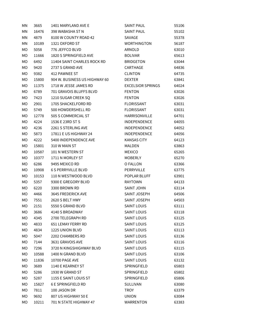| ΜN | 3665  | 1401 MARYLAND AVE E           | <b>SAINT PAUL</b>        | 55106 |
|----|-------|-------------------------------|--------------------------|-------|
| MN | 16476 | 398 WABASHA ST N              | <b>SAINT PAUL</b>        | 55102 |
| ΜN | 4879  | 8100 W COUNTY ROAD 42         | SAVAGE                   | 55378 |
| MN | 10189 | 1321 OXFORD ST                | <b>WORTHINGTON</b>       | 56187 |
| MO | 5058  | 776 JEFFCO BLVD               | ARNOLD                   | 63010 |
| MO | 11666 | 1820 S SPRINGFIELD AVE        | <b>BOLIVAR</b>           | 65613 |
| МO | 6492  | 11404 SAINT CHARLES ROCK RD   | <b>BRIDGETON</b>         | 63044 |
| МO | 9420  | 2737 S GRAND AVE              | CARTHAGE                 | 64836 |
| МO | 9382  | 412 PAWNEE ST                 | <b>CLINTON</b>           | 64735 |
| МO | 15800 | 904 W. BUSINESS US HIGHWAY 60 | <b>DEXTER</b>            | 63841 |
| МO | 11375 | 1718 W JESSE JAMES RD         | <b>EXCELSIOR SPRINGS</b> | 64024 |
| МO | 6789  | 701 GRAVOIS BLUFFS BLVD       | <b>FENTON</b>            | 63026 |
| МO | 7423  | 1210 SUGAR CREEK SQ           | <b>FENTON</b>            | 63026 |
| МO | 2901  | 1705 SHACKELFORD RD           | <b>FLORISSANT</b>        | 63031 |
| МO | 5749  | 500 HOWDERSHELL RD            | <b>FLORISSANT</b>        | 63031 |
| МO | 12778 | 505 S COMMERCIAL ST           | HARRISONVILLE            | 64701 |
| МO | 4224  | 1536 E 23RD ST S              | <b>INDEPENDENCE</b>      | 64055 |
| МO | 4236  | 2261 S STERLING AVE           | INDEPENDENCE             | 64052 |
| MO | 5873  | 17811 E US HIGHWAY 24         | INDEPENDENCE             | 64056 |
| МO | 4222  | 5400 INDEPENDENCE AVE         | <b>KANSAS CITY</b>       | 64123 |
| МO | 15801 | 310 W MAIN ST                 | <b>MALDEN</b>            | 63863 |
| МO | 10587 | 101 N WESTERN ST              | <b>MEXICO</b>            | 65265 |
| МO | 10377 | 1711 N MORLEY ST              | <b>MOBERLY</b>           | 65270 |
| МO | 6286  | 9495 MEXICO RD                | O FALLON                 | 63366 |
| MO | 10908 | <b>6 S PERRYVILLE BLVD</b>    | PERRYVILLE               | 63775 |
| МO | 10153 | 110 N WESTWOOD BLVD           | POPLAR BLUFF             | 63901 |
| МO | 5357  | 9300 E GREGORY BLVD           | <b>RAYTOWN</b>           | 64133 |
| МO | 6220  | 3300 BROWN RD                 | SAINT JOHN               | 63114 |
| МO | 4466  | 3645 FREDERICK AVE            | SAINT JOSEPH             | 64506 |
| МO | 7551  | 2620 S BELT HWY               | SAINT JOSEPH             | 64503 |
| МO | 2151  | 5550 S GRAND BLVD             | <b>SAINT LOUIS</b>       | 63111 |
| МO | 3686  | 4140 S BROADWAY               | <b>SAINT LOUIS</b>       | 63118 |
| МO | 4345  | 2700 TELEGRAPH RD             | <b>SAINT LOUIS</b>       | 63125 |
| МO | 4833  | <b>651 LEMAY FERRY RD</b>     | <b>SAINT LOUIS</b>       | 63125 |
| МO | 4834  | 1225 UNION BLVD               | SAINT LOUIS              | 63113 |
| МO | 5047  | 2202 CHAMBERS RD              | <b>SAINT LOUIS</b>       | 63136 |
| MO | 7144  | 3631 GRAVOIS AVE              | <b>SAINT LOUIS</b>       | 63116 |
| МO | 7296  | 3720 N KINGSHIGHWAY BLVD      | <b>SAINT LOUIS</b>       | 63115 |
| МO | 10588 | 1400 N GRAND BLVD             | <b>SAINT LOUIS</b>       | 63106 |
| МO | 11836 | 10700 PAGE AVE                | <b>SAINT LOUIS</b>       | 63132 |
| МO | 3689  | 1140 E KEARNEY ST             | SPRINGFIELD              | 65803 |
| МO | 5286  | 1930 W GRAND ST               | SPRINGFIELD              | 65802 |
| МO | 5287  | 1155 E SAINT LOUIS ST         | <b>SPRINGFIELD</b>       | 65806 |
| МO | 15827 | <b>6 E SPRINGFIELD RD</b>     | SULLIVAN                 | 63080 |
| МO | 7811  | 100 JASON DR                  | <b>TROY</b>              | 63379 |
| MO | 9692  | 807 US HIGHWAY 50 E           | <b>UNION</b>             | 63084 |
| MO | 10211 | 701 N STATE HIGHWAY 47        | <b>WARRENTON</b>         | 63383 |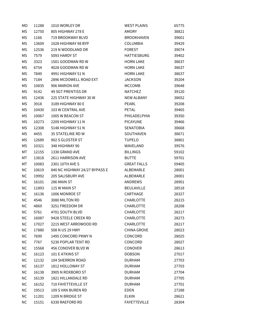| МO        | 11288 | 1010 WORLEY DR                | <b>WEST PLAINS</b>  | 65775 |
|-----------|-------|-------------------------------|---------------------|-------|
| MS        | 12750 | 805 HIGHWAY 278 E             | AMORY               | 38821 |
| МS        | 1166  | 719 BROOKWAY BLVD             | <b>BROOKHAVEN</b>   | 39601 |
| МS        | 13609 | 1028 HIGHWAY 98 BYP           | <b>COLUMBIA</b>     | 39429 |
| ΜS        | 12536 | 219 N WOODLAND DR             | <b>FOREST</b>       | 39074 |
| МS        | 7579  | 5093 HARDY ST                 | HATTIESBURG         | 39402 |
| MS        | 3323  | 1501 GOODMAN RD W             | <b>HORN LAKE</b>    | 38637 |
| MS        | 6754  | 4028 GOODMAN RD W             | <b>HORN LAKE</b>    | 38637 |
| МS        | 7849  | 4991 HIGHWAY 51 N             | <b>HORN LAKE</b>    | 38637 |
| МS        | 7184  | 2896 MCDOWELL ROAD EXT        | <b>JACKSON</b>      | 39204 |
| МS        | 10835 | 906 MARION AVE                | MCCOMB              | 39648 |
| МS        | 9142  | 49 SGT PRENTISS DR            | <b>NATCHEZ</b>      | 39120 |
| МS        | 12436 | 225 STATE HIGHWAY 30 W        | NEW ALBANY          | 38652 |
| МS        | 3918  | 3189 HIGHWAY 80 E             | PEARL               | 39208 |
| МS        | 10430 | 103 W CENTRAL AVE             | PETAL               | 39465 |
| МS        | 10067 | 1005 W BEACON ST              | PHILADELPHIA        | 39350 |
| МS        | 10273 | 2209 HIGHWAY 11 N             | <b>PICAYUNE</b>     | 39466 |
| МS        | 12308 | 5148 HIGHWAY 51 N             | SENATOBIA           | 38668 |
| ΜS        | 4455  | 35 STATELINE RD W             | SOUTHAVEN           | 38671 |
| МS        | 12689 | 902 S GLOSTER ST              | <b>TUPELO</b>       | 38801 |
| MS        | 10321 | 348 HIGHWAY 90                | WAVELAND            | 39576 |
| МT        | 12155 | 1330 GRAND AVE                | <b>BILLINGS</b>     | 59102 |
| МT        | 13818 | 2611 HARRISON AVE             | <b>BUTTE</b>        | 59701 |
| МT        | 10083 | 2301 10TH AVE S               | <b>GREAT FALLS</b>  | 59405 |
| <b>NC</b> | 10619 | 840 NC HIGHWAY 24/27 BYPASS E | ALBEMARLE           | 28001 |
| <b>NC</b> | 19992 | 205 SALISBURY AVE             | ALBEMARLE           | 28001 |
| <b>NC</b> | 16101 | 286 MAIN ST                   | ANDREWS             | 28901 |
| <b>NC</b> | 11893 | 115 W MAIN ST                 | BEULAVILLE          | 28518 |
| <b>NC</b> | 16136 | 1006 MONROE ST                | CARTHAGE            | 28327 |
| <b>NC</b> | 4546  | 3080 MILTON RD                | <b>CHARLOTTE</b>    | 28215 |
| NC.       | 4869  | 3251 FREEDOM DR               | CHARLOTTE           | 28208 |
| <b>NC</b> | 5761  | 4701 SOUTH BLVD               | <b>CHARLOTTE</b>    | 28217 |
| <b>NC</b> | 16087 | 9428 STEELE CREEK RD          | <b>CHARLOTTE</b>    | 28273 |
| <b>NC</b> | 17027 | 2215 WEST ARROWOOD RD         | <b>CHARLOTTE</b>    | 28217 |
| <b>NC</b> | 17880 | 508 N US 29 HWY               | CHINA GROVE         | 28023 |
| <b>NC</b> | 7699  | 1495 CONCORD PKWY N           | CONCORD             | 28025 |
| <b>NC</b> | 7767  | 5230 POPLAR TENT RD           | CONCORD             | 28027 |
| <b>NC</b> | 15568 | 456 CONOVER BLVD W            | <b>CONOVER</b>      | 28613 |
| <b>NC</b> | 16123 | 101 E ATKINS ST               | <b>DOBSON</b>       | 27017 |
| <b>NC</b> | 12132 | 104 SHERRON ROAD              | <b>DURHAM</b>       | 27703 |
| <b>NC</b> | 16137 | 1812 HOLLOWAY ST              | <b>DURHAM</b>       | 27703 |
| <b>NC</b> | 16138 | 3905 N ROXBORO ST             | <b>DURHAM</b>       | 27704 |
| <b>NC</b> | 16139 | 1821 HILLANDALE RD            | <b>DURHAM</b>       | 27705 |
| <b>NC</b> | 16152 | 710 FAYETTEVILLE ST           | <b>DURHAM</b>       | 27701 |
| <b>NC</b> | 19513 | 109 S VAN BUREN RD            | EDEN                | 27288 |
| <b>NC</b> | 11201 | 1209 N BRIDGE ST              | <b>ELKIN</b>        | 28621 |
| <b>NC</b> | 15151 | 6330 RAEFORD RD               | <b>FAYETTEVILLE</b> | 28304 |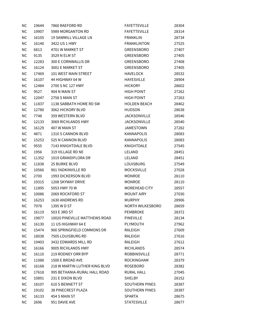| ΝC        | 19644 | 7860 RAEFORD RD               | <b>FAYETTEVILLE</b>   | 28304 |
|-----------|-------|-------------------------------|-----------------------|-------|
| <b>NC</b> | 19907 | 5989 MORGANTON RD             | <b>FAYETTEVILLE</b>   | 28314 |
| <b>NC</b> | 16105 | 19 SAWMILL VILLAGE LN         | <b>FRANKLIN</b>       | 28734 |
| <b>NC</b> | 16140 | 3422 US 1 HWY                 | <b>FRANKLINTON</b>    | 27525 |
| <b>NC</b> | 6813  | 4701 W MARKET ST              | GREENSBORO            | 27407 |
| NС        | 9135  | 3529 N ELM ST                 | GREENSBORO            | 27405 |
| <b>NC</b> | 12283 | 300 E CORNWALLIS DR           | <b>GREENSBORO</b>     | 27408 |
| <b>NC</b> | 16124 | 3001 E MARKET ST              | GREENSBORO            | 27405 |
| <b>NC</b> | 17469 | 101 WEST MAIN STREET          | <b>HAVELOCK</b>       | 28532 |
| <b>NC</b> | 16107 | 44 HIGHWAY 64 W               | <b>HAYESVILLE</b>     | 28904 |
| <b>NC</b> | 12484 | 2700 S NC 127 HWY             | <b>HICKORY</b>        | 28602 |
| <b>NC</b> | 9527  | 904 N MAIN ST                 | <b>HIGH POINT</b>     | 27262 |
| <b>NC</b> | 12047 | 2758 S MAIN ST                | <b>HIGH POINT</b>     | 27263 |
| <b>NC</b> | 11837 | 1138 SABBATH HOME RD SW       | <b>HOLDEN BEACH</b>   | 28462 |
| <b>NC</b> | 12780 | 3062 HICKORY BLVD             | <b>HUDSON</b>         | 28638 |
| <b>NC</b> | 7748  | 359 WESTERN BLVD              | <b>JACKSONVILLE</b>   | 28546 |
| <b>NC</b> | 12133 | 3069 RICHLANDS HWY            | <b>JACKSONVILLE</b>   | 28540 |
| <b>NC</b> | 16129 | 407 W MAIN ST                 | <b>JAMESTOWN</b>      | 27282 |
| NС        | 4871  | 1310 S CANNON BLVD            | KANNAPOLIS            | 28083 |
| NC        | 15253 | 525 N CANNON BLVD             | <b>KANNAPOLIS</b>     | 28083 |
| <b>NC</b> | 9555  | 7143 KNIGHTDALE BLVD          | KNIGHTDALE            | 27545 |
| <b>NC</b> | 1956  | 319 VILLAGE RD NE             | LELAND                | 28451 |
| NC        | 11352 | 1019 GRANDIFLORA DR           | LELAND                | 28451 |
| ΝC        | 11838 | 25 BURKE BLVD                 | LOUISBURG             | 27549 |
| NС        | 10566 | 901 YADKINVILLE RD            | <b>MOCKSVILLE</b>     | 27028 |
| <b>NC</b> | 2700  | 1993 DICKERSON BLVD           | <b>MONROE</b>         | 28110 |
| <b>NC</b> | 19315 | 1208 SKYWAY DRIVE             | <b>MONROE</b>         | 28110 |
| $NC$      | 11895 | 5053 HWY 70 W                 | MOREHEAD CITY         | 28557 |
| <b>NC</b> | 10086 | 2069 ROCKFORD ST              | <b>MOUNT AIRY</b>     | 27030 |
| <b>NC</b> | 16253 | 1630 ANDREWS RD               | <b>MURPHY</b>         | 28906 |
| <b>NC</b> | 7978  | 1395 W D ST                   | NORTH WILKESBORO      | 28659 |
| NС        | 16119 | 503 E 3RD ST                  | <b>PEMBROKE</b>       | 28372 |
| <b>NC</b> | 19877 | 10020 PINEVILLE MATTHEWS ROAD | PINEVILLE             | 28134 |
| <b>NC</b> | 16130 | 11 US HIGHWAY 64 E            | PLYMOUTH              | 27962 |
| NC        | 15474 | 900 SPRINGFIELD COMMONS DR    | RALEIGH               | 27609 |
| NC        | 18038 | 7505 LOUISBURG RD             | RALEIGH               | 27616 |
| <b>NC</b> | 19403 | 3432 EDWARDS MILL RD          | RALEIGH               | 27612 |
| NC        | 16166 | 9005 RICHLANDS HWY            | <b>RICHLANDS</b>      | 28574 |
| NC        | 16110 | 219 RODNEY ORR BYP            | ROBBINSVILLE          | 28771 |
| NC        | 11088 | 1500 E BROAD AVE              | <b>ROCKINGHAM</b>     | 28379 |
| NC        | 16168 | 218 W MARTIN LUTHER KING BLVD | <b>ROSEBORO</b>       | 28382 |
| NC        | 17618 | 995 BETHANIA-RURAL HALL ROAD  | RURAL HALL            | 27045 |
| NC        | 10891 | 231 E DIXON BLVD              | <b>SHELBY</b>         | 28152 |
| NC        | 18107 | <b>610 S BENNETT ST</b>       | SOUTHERN PINES        | 28387 |
| NC        | 19102 | <b>38 PINECREST PLAZA</b>     | <b>SOUTHERN PINES</b> | 28387 |
| NC        | 16133 | 454 S MAIN ST                 | <b>SPARTA</b>         | 28675 |
| NC        | 2696  | 951 DAVIE AVE                 | <b>STATESVILLE</b>    | 28677 |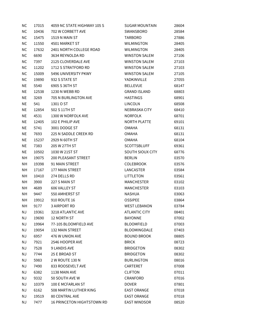| <b>NC</b>  | 17015 | 4059 NC STATE HIGHWAY 105 S | <b>SUGAR MOUNTAIN</b> | 28604 |
|------------|-------|-----------------------------|-----------------------|-------|
| <b>NC</b>  | 10436 | 702 W CORBETT AVE           | <b>SWANSBORO</b>      | 28584 |
| <b>NC</b>  | 15475 | 1519 N MAIN ST              | <b>TARBORO</b>        | 27886 |
| ${\sf NC}$ | 11550 | 4501 MARKET ST              | <b>WILMINGTON</b>     | 28405 |
| <b>NC</b>  | 17632 | 2401 NORTH COLLEGE ROAD     | <b>WILMINGTON</b>     | 28405 |
| <b>NC</b>  | 6690  | 3634 REYNOLDA RD            | <b>WINSTON SALEM</b>  | 27106 |
| <b>NC</b>  | 7397  | 2125 CLOVERDALE AVE         | <b>WINSTON SALEM</b>  | 27103 |
| <b>NC</b>  | 11202 | 1712 S STRATFORD RD         | <b>WINSTON SALEM</b>  | 27103 |
| <b>NC</b>  | 15009 | 5496 UNIVERSITY PKWY        | <b>WINSTON SALEM</b>  | 27105 |
| <b>NC</b>  | 19890 | 932 S STATE ST              | YADKINVILLE           | 27055 |
| <b>NE</b>  | 5540  | 6905 S 36TH ST              | <b>BELLEVUE</b>       | 68147 |
| <b>NE</b>  | 12538 | 1230 N WEBB RD              | <b>GRAND ISLAND</b>   | 68803 |
| <b>NE</b>  | 3269  | 705 N BURLINGTON AVE        | <b>HASTINGS</b>       | 68901 |
| <b>NE</b>  | 541   | 1301 O ST                   | <b>LINCOLN</b>        | 68508 |
| <b>NE</b>  | 12854 | 502 S 11TH ST               | NEBRASKA CITY         | 68410 |
| <b>NE</b>  | 4531  | 1300 W NORFOLK AVE          | <b>NORFOLK</b>        | 68701 |
| <b>NE</b>  | 12405 | 102 E PHILIP AVE            | <b>NORTH PLATTE</b>   | 69101 |
| <b>NE</b>  | 5741  | 3001 DODGE ST               | <b>OMAHA</b>          | 68131 |
| <b>NE</b>  | 7693  | 225 N SADDLE CREEK RD       | <b>OMAHA</b>          | 68131 |
| <b>NE</b>  | 15237 | 2929 N 60TH ST              | <b>OMAHA</b>          | 68104 |
| NE         | 7383  | 205 W 27TH ST               | <b>SCOTTSBLUFF</b>    | 69361 |
| <b>NE</b>  | 10502 | 1030 W 21ST ST              | SOUTH SIOUX CITY      | 68776 |
| NΗ         | 19075 | <b>200 PLEASANT STREET</b>  | <b>BERLIN</b>         | 03570 |
| NΗ         | 19398 | 91 MAIN STREET              | <b>COLEBROOK</b>      | 03576 |
| NΗ         | 17167 | 177 MAIN STREET             | LANCASTER             | 03584 |
| NΗ         | 10410 | 274 DELLS RD                | LITTLETON             | 03561 |
| NΗ         | 3900  | 227 S MAIN ST               | <b>MANCHESTER</b>     | 03102 |
| NΗ         | 4689  | 606 VALLEY ST               | <b>MANCHESTER</b>     | 03103 |
| NΗ         | 9447  | 550 AMHERST ST              | NASHUA                | 03063 |
| NΗ         | 19912 | 910 ROUTE 16                | <b>OSSIPEE</b>        | 03864 |
| NΗ         | 9177  | <b>3 AIRPORT RD</b>         | <b>WEST LEBANON</b>   | 03784 |
| <b>NJ</b>  | 19361 | 3218 ATLANTIC AVE           | <b>ATLANTIC CITY</b>  | 08401 |
| <b>NJ</b>  | 19690 | 12 NORTH ST                 | <b>BAYONNE</b>        | 07002 |
| ΝJ         | 19964 | 77-105 BLOOMFIELD AVE       | <b>BLOOMFIELD</b>     | 07003 |
| <b>NJ</b>  | 19054 | 132 MAIN STREET             | BLOOMINGDALE          | 07403 |
| <b>NJ</b>  | 6957  | 476 W UNION AVE             | <b>BOUND BROOK</b>    | 08805 |
| <b>NJ</b>  | 7921  | 2546 HOOPER AVE             | <b>BRICK</b>          | 08723 |
| ΝJ         | 7528  | <b>9 LANDIS AVE</b>         | <b>BRIDGETON</b>      | 08302 |
| <b>NJ</b>  | 7744  | 25 E BROAD ST               | <b>BRIDGETON</b>      | 08302 |
| <b>NJ</b>  | 5983  | 2 W ROUTE 130 N             | <b>BURLINGTON</b>     | 08016 |
| <b>NJ</b>  | 7490  | 833 ROOSEVELT AVE           | CARTERET              | 07008 |
| <b>NJ</b>  | 6382  | 1138 MAIN AVE               | <b>CLIFTON</b>        | 07011 |
| ΝJ         | 9332  | 50 SOUTH AVE W              | CRANFORD              | 07016 |
| <b>NJ</b>  | 10379 | 100 E MCFARLAN ST           | <b>DOVER</b>          | 07801 |
| <b>NJ</b>  | 6162  | 508 MARTIN LUTHER KING      | <b>EAST ORANGE</b>    | 07018 |
| <b>NJ</b>  | 19519 | <b>80 CENTRAL AVE</b>       | <b>EAST ORANGE</b>    | 07018 |
| NJ         | 7477  | 16 PRINCETON HIGHTSTOWN RD  | <b>EAST WINDSOR</b>   | 08520 |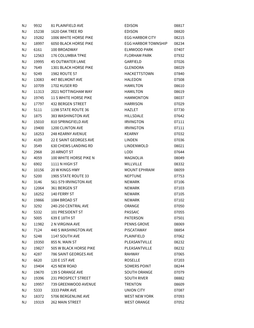| <b>NJ</b> | 9932  | 81 PLAINFIELD AVE            | <b>EDISON</b>              | 08817 |
|-----------|-------|------------------------------|----------------------------|-------|
| <b>NJ</b> | 15238 | 1620 OAK TREE RD             | <b>EDISON</b>              | 08820 |
| ΝJ        | 19282 | 1006 WHITE HORSE PIKE        | <b>EGG HARBOR CITY</b>     | 08215 |
| <b>NJ</b> | 18997 | <b>6050 BLACK HORSE PIKE</b> | <b>EGG HARBOR TOWNSHIP</b> | 08234 |
| <b>NJ</b> | 6161  | 100 BROADWAY                 | <b>ELMWOOD PARK</b>        | 07407 |
| <b>NJ</b> | 12563 | 176 COLUMBIA TPKE            | <b>FLORHAM PARK</b>        | 07932 |
| <b>NJ</b> | 19995 | <b>45 OUTWATER LANE</b>      | GARFIELD                   | 07026 |
| <b>NJ</b> | 7649  | 1301 BLACK HORSE PIKE        | GLENDORA                   | 08029 |
| <b>NJ</b> | 9249  | 1982 ROUTE 57                | <b>HACKETTSTOWN</b>        | 07840 |
| <b>NJ</b> | 13083 | 447 BELMONT AVE              | <b>HALEDON</b>             | 07508 |
| <b>NJ</b> | 10709 | 1702 KUSER RD                | <b>HAMILTON</b>            | 08610 |
| ΝJ        | 11313 | <b>2021 NOTTINGHAM WAY</b>   | <b>HAMILTON</b>            | 08619 |
| <b>NJ</b> | 19745 | <b>11 S WHITE HORSE PIKE</b> | <b>HAMMONTON</b>           | 08037 |
| <b>NJ</b> | 17797 | 432 BERGEN STREET            | <b>HARRISON</b>            | 07029 |
| <b>NJ</b> | 5111  | 1198 STATE ROUTE 36          | <b>HAZLET</b>              | 07730 |
| <b>NJ</b> | 1875  | 383 WASHINGTON AVE           | HILLSDALE                  | 07642 |
| <b>NJ</b> | 15010 | 810 SPRINGFIELD AVE          | <b>IRVINGTON</b>           | 07111 |
| <b>NJ</b> | 19400 | 1200 CLINTON AVE             | <b>IRVINGTON</b>           | 07111 |
| <b>NJ</b> | 18253 | 248 KEARNY AVENUE            | <b>KEARNY</b>              | 07032 |
| <b>NJ</b> | 4109  | 22 E SAINT GEORGES AVE       | LINDEN                     | 07036 |
| ΝJ        | 3549  | <b>630 CHEWS LANDING RD</b>  | LINDENWOLD                 | 08021 |
| <b>NJ</b> | 2968  | 20 ARNOT ST                  | LODI                       | 07644 |
| <b>NJ</b> | 4059  | 100 WHITE HORSE PIKE N       | MAGNOLIA                   | 08049 |
| ΝJ        | 6902  | 1111 N HIGH ST               | <b>MILLVILLE</b>           | 08332 |
| <b>NJ</b> | 10156 | 20 W KINGS HWY               | <b>MOUNT EPHRAIM</b>       | 08059 |
| ΝJ        | 5200  | 1905 STATE ROUTE 33          | <b>NEPTUNE</b>             | 07753 |
| <b>NJ</b> | 3146  | 561-579 IRVINGTON AVE        | <b>NEWARK</b>              | 07106 |
| <b>NJ</b> | 12064 | 361 BERGEN ST                | <b>NEWARK</b>              | 07103 |
| ΝJ        | 18252 | 140 FERRY ST                 | <b>NEWARK</b>              | 07105 |
| ΝJ        | 19866 | 1084 BROAD ST                | <b>NEWARK</b>              | 07102 |
| ΝJ        | 3292  | 240-250 CENTRAL AVE          | ORANGE                     | 07050 |
| ΝJ        | 5332  | 101 PRESIDENT ST             | <b>PASSAIC</b>             | 07055 |
| ΝJ        | 5005  | 639 E 18TH ST                | <b>PATERSON</b>            | 07501 |
| ΝJ        | 11982 | 2 N VIRGINIA AVE             | PENNS GROVE                | 08069 |
| <b>NJ</b> | 7124  | 440 S WASHINGTON AVE         | <b>PISCATAWAY</b>          | 08854 |
| <b>NJ</b> | 5248  | 1147 SOUTH AVE               | PLAINFIELD                 | 07062 |
| <b>NJ</b> | 19350 | 855 N. MAIN ST               | PLEASANTVILLE              | 08232 |
| ΝJ        | 19827 | 505 W BLACK HORSE PIKE       | PLEASANTVILLE              | 08232 |
| <b>NJ</b> | 4287  | 786 SAINT GEORGES AVE        | <b>RAHWAY</b>              | 07065 |
| ΝJ        | 6620  | 120 E 1ST AVE                | <b>ROSELLE</b>             | 07203 |
| <b>NJ</b> | 19404 | 425 NEW ROAD                 | SOMERS POINT               | 08244 |
| <b>NJ</b> | 19670 | 139 S ORANGE AVE             | <b>SOUTH ORANGE</b>        | 07079 |
| ΝJ        | 19396 | 231 PROSPECT STREET          | <b>SOUTH RIVER</b>         | 08882 |
| <b>NJ</b> | 19957 | 739 GREENWOOD AVENUE         | <b>TRENTON</b>             | 08609 |
| ΝJ        | 5333  | 3333 PARK AVE                | UNION CITY                 | 07087 |
| <b>NJ</b> | 18372 | 5706 BERGENLINE AVE          | <b>WEST NEW YORK</b>       | 07093 |
| <b>NJ</b> | 19319 | 262 MAIN STREET              | <b>WEST ORANGE</b>         | 07052 |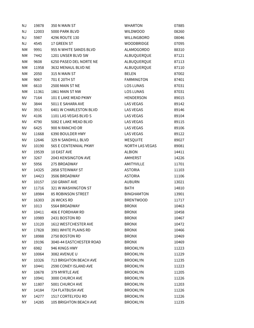| NJ        | 19878 | 350 N MAIN ST             | <b>WHARTON</b>         | 07885 |
|-----------|-------|---------------------------|------------------------|-------|
| <b>NJ</b> | 12003 | 5000 PARK BLVD            | <b>WILDWOOD</b>        | 08260 |
| ΝJ        | 5987  | 4296 ROUTE 130            | WILLINGBORO            | 08046 |
| NJ        | 4545  | 17 GREEN ST               | <b>WOODBRIDGE</b>      | 07095 |
| NΜ        | 9991  | 955 N WHITE SANDS BLVD    | <b>ALAMOGORDO</b>      | 88310 |
| NΜ        | 7442  | 1201 UNSER BLVD SW        | ALBUQUERQUE            | 87121 |
| ΝM        | 9608  | 6250 PASEO DEL NORTE NE   | ALBUQUERQUE            | 87113 |
| ΝM        | 11958 | 3632 MENAUL BLVD NE       | ALBUQUERQUE            | 87110 |
| NΜ        | 2050  | 315 N MAIN ST             | <b>BELEN</b>           | 87002 |
| ΝM        | 9067  | 701 E 20TH ST             | <b>FARMINGTON</b>      | 87401 |
| ΝM        | 6610  | 2500 MAIN ST NE           | <b>LOS LUNAS</b>       | 87031 |
| NΜ        | 11361 | 1861 MAIN ST NW           | <b>LOS LUNAS</b>       | 87031 |
| NV        | 7164  | 101 E LAKE MEAD PKWY      | <b>HENDERSON</b>       | 89015 |
| ΝV        | 3844  | 5011 E SAHARA AVE         | <b>LAS VEGAS</b>       | 89142 |
| ΝV        | 3915  | 6401 W CHARLESTON BLVD    | <b>LAS VEGAS</b>       | 89146 |
| ΝV        | 4106  | 1101 LAS VEGAS BLVD S     | <b>LAS VEGAS</b>       | 89104 |
| <b>NV</b> | 4790  | 5082 E LAKE MEAD BLVD     | <b>LAS VEGAS</b>       | 89115 |
| NV        | 6425  | 900 N RANCHO DR           | <b>LAS VEGAS</b>       | 89106 |
| <b>NV</b> | 11668 | 6390 BOULDER HWY          | <b>LAS VEGAS</b>       | 89122 |
| NV        | 12646 | 329 N SANDHILL BLVD       | <b>MESQUITE</b>        | 89027 |
| ΝV        | 10190 | 565 E CENTENNIAL PKWY     | <b>NORTH LAS VEGAS</b> | 89081 |
| ΝY        | 19539 | 10 EAST AVE               | <b>ALBION</b>          | 14411 |
| NY        | 3267  | 2043 KENSINGTON AVE       | AMHERST                | 14226 |
| NY        | 5956  | 275 BROADWAY              | AMITYVILLE             | 11701 |
| NY        | 14325 | 2858 STEINWAY ST          | <b>ASTORIA</b>         | 11103 |
| NY        | 14423 | 3506 BROADWAY             | <b>ASTORIA</b>         | 11106 |
| ΝY        | 10157 | 150 GRANT AVE             | <b>AUBURN</b>          | 13021 |
| NY        | 11716 | 321 W WASHINGTON ST       | <b>BATH</b>            | 14810 |
| NY        | 18984 | <b>85 ROBINSON STREET</b> | <b>BINGHAMTON</b>      | 13901 |
| NY        | 16303 | 26 WICKS RD               | <b>BRENTWOOD</b>       | 11717 |
| <b>NY</b> | 1013  | 5564 BROADWAY             | <b>BRONX</b>           | 10463 |
| ΝY        | 10411 | 406 E FORDHAM RD          | <b>BRONX</b>           | 10458 |
| ΝY        | 10989 | 2431 BOSTON RD            | <b>BRONX</b>           | 10467 |
| ΝY        | 13120 | 1612 WESTCHESTER AVE      | <b>BRONX</b>           | 10472 |
| ΝY        | 17828 | 3901 WHITE PLAINS RD      | <b>BRONX</b>           | 10466 |
| <b>NY</b> | 18988 | 2750 BOSTON RD            | <b>BRONX</b>           | 10469 |
| ΝY        | 19196 | 3040-44 EASTCHESTER ROAD  | <b>BRONX</b>           | 10469 |
| NΥ        | 6982  | 946 KINGS HWY             | <b>BROOKLYN</b>        | 11223 |
| ΝY        | 10064 | 3082 AVENUE U             | <b>BROOKLYN</b>        | 11229 |
| ΝY        | 10326 | 713 BRIGHTON BEACH AVE    | <b>BROOKLYN</b>        | 11235 |
| NΥ        | 10441 | 2590 CONEY ISLAND AVE     | <b>BROOKLYN</b>        | 11223 |
| ΝY        | 10678 | 379 MYRTLE AVE            | <b>BROOKLYN</b>        | 11205 |
| ΝY        | 10941 | 3000 CHURCH AVE           | <b>BROOKLYN</b>        | 11226 |
| ΝY        | 11807 | 5001 CHURCH AVE           | <b>BROOKLYN</b>        | 11203 |
| NY        | 14184 | 724 FLATBUSH AVE          | <b>BROOKLYN</b>        | 11226 |
| NY.       | 14277 | 1517 CORTELYOU RD         | <b>BROOKLYN</b>        | 11226 |
| ΝY        | 14285 | 105 BRIGHTON BEACH AVE    | <b>BROOKLYN</b>        | 11235 |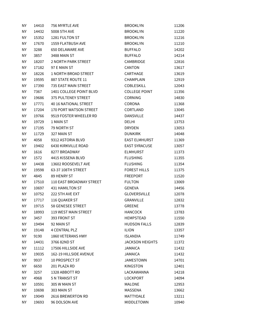| <b>NY</b> | 14410 | 756 MYRTLE AVE              | <b>BROOKLYN</b>        | 11206 |
|-----------|-------|-----------------------------|------------------------|-------|
| ΝY        | 14432 | 5008 5TH AVE                | <b>BROOKLYN</b>        | 11220 |
| <b>NY</b> | 15352 | 1281 FULTON ST              | <b>BROOKLYN</b>        | 11216 |
| <b>NY</b> | 17670 | 1559 FLATBUSH AVE           | <b>BROOKLYN</b>        | 11210 |
| <b>NY</b> | 3288  | <b>650 DELAWARE AVE</b>     | <b>BUFFALO</b>         | 14202 |
| NY        | 3857  | 3488 MAIN ST                | <b>BUFFALO</b>         | 14214 |
| <b>NY</b> | 18207 | 2 NORTH PARK STREET         | CAMBRIDGE              | 12816 |
| <b>NY</b> | 17182 | 97 E MAIN ST                | CANTON                 | 13617 |
| <b>NY</b> | 18226 | <b>1 NORTH BROAD STREET</b> | CARTHAGE               | 13619 |
| <b>NY</b> | 19595 | 887 STATE ROUTE 11          | <b>CHAMPLAIN</b>       | 12919 |
| ΝY        | 17390 | <b>735 EAST MAIN STREET</b> | COBLESKILL             | 12043 |
| <b>NY</b> | 7367  | 1401 COLLEGE POINT BLVD     | <b>COLLEGE POINT</b>   | 11356 |
| NY        | 19686 | 375 PULTENEY STREET         | CORNING                | 14830 |
| <b>NY</b> | 17771 | 40 16 NATIONAL STREET       | CORONA                 | 11368 |
| <b>NY</b> | 17204 | 170 PORT WATSON STREET      | CORTLAND               | 13045 |
| ΝY        | 19766 | 9519 FOSTER WHEELER RD      | <b>DANSVILLE</b>       | 14437 |
| <b>NY</b> | 19729 | 1 MAIN ST                   | <b>DELHI</b>           | 13753 |
| ΝY        | 17195 | 79 NORTH ST                 | <b>DRYDEN</b>          | 13053 |
| <b>NY</b> | 11729 | 327 MAIN ST                 | <b>DUNKIRK</b>         | 14048 |
| <b>NY</b> | 4058  | 9312 ASTORIA BLVD           | <b>EAST ELMHURST</b>   | 11369 |
| ΝY        | 19402 | 6430 KIRKVILLE ROAD         | <b>EAST SYRACUSE</b>   | 13057 |
| ΝY        | 1616  | 8277 BROADWAY               | <b>ELMHURST</b>        | 11373 |
| <b>NY</b> | 1572  | 4415 KISSENA BLVD           | <b>FLUSHING</b>        | 11355 |
| ΝY        | 14438 | 13602 ROOSEVELT AVE         | <b>FLUSHING</b>        | 11354 |
| NY        | 19598 | 63-37 108TH STREET          | <b>FOREST HILLS</b>    | 11375 |
| <b>NY</b> | 4845  | 89 HENRY ST                 | <b>FREEPORT</b>        | 11520 |
| ΝY        | 17510 | 110 EAST BROADWAY STREET    | <b>FULTON</b>          | 13069 |
| NY        | 10697 | <b>431 HAMILTON ST</b>      | GENEVA                 | 14456 |
| <b>NY</b> | 10752 | 222 5TH AVE EXT             | <b>GLOVERSVILLE</b>    | 12078 |
| <b>NY</b> | 17717 | 116 QUAKER ST               | GRANVILLE              | 12832 |
| ΝY        | 19715 | <b>58 GENESEE STREET</b>    | <b>GREENE</b>          | 13778 |
| ΝY        | 18993 | 119 WEST MAIN STREET        | <b>HANCOCK</b>         | 13783 |
| ΝY        | 3457  | 393 FRONT ST                | <b>HEMPSTEAD</b>       | 11550 |
| NY.       | 19494 | 92 MAIN ST                  | <b>HUDSON FALLS</b>    | 12839 |
| ΝY        | 19148 | <b>4 CENTRAL PLZ</b>        | <b>ILION</b>           | 13357 |
| ΝY        | 9190  | 1860 VETERANS HWY           | <b>ISLANDIA</b>        | 11749 |
| ΝY        | 14431 | 3766 82ND ST                | <b>JACKSON HEIGHTS</b> | 11372 |
| ΝY        | 11112 | 17506 HILLSIDE AVE          | <b>JAMAICA</b>         | 11432 |
| ΝY        | 19035 | 162-19 HILLSIDE AVENUE      | <b>JAMAICA</b>         | 11432 |
| ΝY        | 9937  | 10 PROSPECT ST              | <b>JAMESTOWN</b>       | 14701 |
| ΝY        | 6650  | 201 PLAZA RD                | <b>KINGSTON</b>        | 12401 |
| ΝY        | 3257  | 1328 ABBOTT RD              | LACKAWANNA             | 14218 |
| NY.       | 4968  | 5 N TRANSIT ST              | <b>LOCKPORT</b>        | 14094 |
| ΝY        | 10591 | 305 W MAIN ST               | <b>MALONE</b>          | 12953 |
| NY.       | 10698 | 303 MAIN ST                 | MASSENA                | 13662 |
| ΝY        | 19049 | 2616 BREWERTON RD           | <b>MATTYDALE</b>       | 13211 |
| ΝY        | 19693 | 96 DOLSON AVE               | MIDDLETOWN             | 10940 |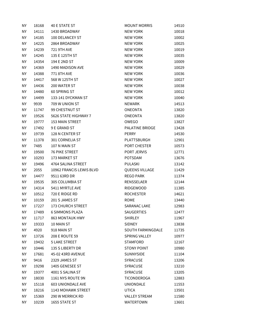| <b>NY</b> | 18168 | 40 E STATE ST             | <b>MOUNT MORRIS</b>    | 14510 |
|-----------|-------|---------------------------|------------------------|-------|
| ΝY        | 14111 | 1430 BROADWAY             | <b>NEW YORK</b>        | 10018 |
| ΝY        | 14185 | 100 DELANCEY ST           | <b>NEW YORK</b>        | 10002 |
| <b>NY</b> | 14225 | 2864 BROADWAY             | <b>NEW YORK</b>        | 10025 |
| <b>NY</b> | 14239 | <b>721 9TH AVE</b>        | <b>NEW YORK</b>        | 10019 |
| NY        | 14245 | 135 E 125TH ST            | <b>NEW YORK</b>        | 10035 |
| ΝY        | 14354 | 194 E 2ND ST              | <b>NEW YORK</b>        | 10009 |
| <b>NY</b> | 14369 | 1490 MADISON AVE          | <b>NEW YORK</b>        | 10029 |
| ΝY        | 14388 | 771 8TH AVE               | <b>NEW YORK</b>        | 10036 |
| <b>NY</b> | 14417 | 568 W 125TH ST            | <b>NEW YORK</b>        | 10027 |
| NY        | 14436 | 200 WATER ST              | <b>NEW YORK</b>        | 10038 |
| ΝY        | 14480 | 60 SPRING ST              | <b>NEW YORK</b>        | 10012 |
| <b>NY</b> | 14499 | 133-141 DYCKMAN ST        | <b>NEW YORK</b>        | 10040 |
| <b>NY</b> | 9939  | 709 W UNION ST            | <b>NEWARK</b>          | 14513 |
| <b>NY</b> | 11747 | 99 CHESTNUT ST            | <b>ONEONTA</b>         | 13820 |
| NY        | 19526 | 5626 STATE HIGHWAY 7      | <b>ONEONTA</b>         | 13820 |
| <b>NY</b> | 19777 | <b>153 MAIN STREET</b>    | OWEGO                  | 13827 |
| NY        | 17492 | 9 E GRAND ST              | <b>PALATINE BRIDGE</b> | 13428 |
| <b>NY</b> | 19739 | 128 N CENTER ST           | <b>PERRY</b>           | 14530 |
| <b>NY</b> | 11378 | 301 CORNELIA ST           | PLATTSBURGH            | 12901 |
| ΝY        | 7485  | 107 N MAIN ST             | <b>PORT CHESTER</b>    | 10573 |
| <b>NY</b> | 19500 | <b>76 PIKE STREET</b>     | PORT JERVIS            | 12771 |
| <b>NY</b> | 10293 | 173 MARKET ST             | POTSDAM                | 13676 |
| ΝY        | 19496 | 4764 SALINA STREET        | PULASKI                | 13142 |
| NY        | 2055  | 10962 FRANCIS LEWIS BLVD  | QUEENS VILLAGE         | 11429 |
| ΝY        | 14477 | 9511 63RD DR              | <b>REGO PARK</b>       | 11374 |
| <b>NY</b> | 19535 | 305 COLUMBIA ST           | RENSSELAER             | 12144 |
| ΝY        | 14314 | 5411 MYRTLE AVE           | <b>RIDGEWOOD</b>       | 11385 |
| <b>NY</b> | 10512 | 720 E RIDGE RD            | <b>ROCHESTER</b>       | 14621 |
| ΝY        | 10159 | 201 S JAMES ST            | <b>ROME</b>            | 13440 |
| ΝY        | 17227 | <b>173 CHURCH STREET</b>  | SARANAC LAKE           | 12983 |
| ΝY        | 17489 | <b>6 SIMMONS PLAZA</b>    | <b>SAUGERTIES</b>      | 12477 |
| ΝY        | 11717 | <b>863 MONTAUK HWY</b>    | <b>SHIRLEY</b>         | 11967 |
| ΝY        | 19333 | 10 MAIN ST                | <b>SIDNEY</b>          | 13838 |
| ΝY        | 4920  | 918 MAIN ST               | SOUTH FARMINGDALE      | 11735 |
| ΝY        | 13726 | 208 E ROUTE 59            | <b>SPRING VALLEY</b>   | 10977 |
| ΝY        | 19432 | <b>5 LAKE STREET</b>      | <b>STAMFORD</b>        | 12167 |
| ΝY        | 10446 | 135 S LIBERTY DR          | <b>STONY POINT</b>     | 10980 |
| ΝY        | 17681 | 45-02 43RD AVENUE         | SUNNYSIDE              | 11104 |
| ΝY        | 9416  | 2329 JAMES ST             | <b>SYRACUSE</b>        | 13206 |
| ΝY        | 19298 | 1405 GENESEE ST           | <b>SYRACUSE</b>        | 13210 |
| ΝY        | 19377 | 4001 S SALINA ST          | <b>SYRACUSE</b>        | 13205 |
| NY.       | 18030 | 1161 NYS ROUTE 9N         | <b>TICONDEROGA</b>     | 12883 |
| ΝY        | 15118 | <b>603 UNIONDALE AVE</b>  | <b>UNIONDALE</b>       | 11553 |
| <b>NY</b> | 18216 | <b>1143 MOHAWK STREET</b> | <b>UTICA</b>           | 13501 |
| ΝY        | 15369 | 290 W MERRICK RD          | <b>VALLEY STREAM</b>   | 11580 |
| ΝY        | 10239 | 1655 STATE ST             | <b>WATERTOWN</b>       | 13601 |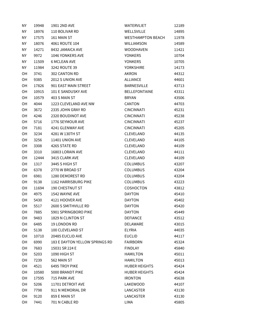| ΝY        | 19948 | 1901 2ND AVE                   | <b>WATERVLIET</b>        | 12189 |
|-----------|-------|--------------------------------|--------------------------|-------|
| ΝY        | 18976 | 110 BOLIVAR RD                 | <b>WELLSVILLE</b>        | 14895 |
| ΝY        | 17575 | 161 MAIN ST                    | <b>WESTHAMPTON BEACH</b> | 11978 |
| ΝY        | 18076 | 4061 ROUTE 104                 | <b>WILLIAMSON</b>        | 14589 |
| <b>NY</b> | 14271 | 8432 JAMAICA AVE               | <b>WOODHAVEN</b>         | 11421 |
| ΝY        | 9972  | 1046 YONKERS AVE               | <b>YONKERS</b>           | 10704 |
| ΝY        | 11509 | <b>6 MCLEAN AVE</b>            | <b>YONKERS</b>           | 10705 |
| <b>NY</b> | 11984 | 3242 ROUTE 39                  | <b>YORKSHIRE</b>         | 14173 |
| OН        | 3741  | 302 CANTON RD                  | <b>AKRON</b>             | 44312 |
| OH        | 9385  | 2012 S UNION AVE               | <b>ALLIANCE</b>          | 44601 |
| OH        | 17826 | 901 EAST MAIN STREET           | <b>BARNESVILLE</b>       | 43713 |
| OН        | 10915 | 101 E SANDUSKY AVE             | <b>BELLEFONTAINE</b>     | 43311 |
| OH        | 10579 | 403 S MAIN ST                  | <b>BRYAN</b>             | 43506 |
| OН        | 4044  | 1223 CLEVELAND AVE NW          | CANTON                   | 44703 |
| OH        | 3672  | 2335 JOHN GRAY RD              | <b>CINCINNATI</b>        | 45231 |
| OH        | 4246  | 2320 BOUDINOT AVE              | <b>CINCINNATI</b>        | 45238 |
| OН        | 5716  | 1776 SEYMOUR AVE               | <b>CINCINNATI</b>        | 45237 |
| OH        | 7181  | 4241 GLENWAY AVE               | <b>CINCINNATI</b>        | 45205 |
| <b>OH</b> | 3234  | 4281 W 130TH ST                | CLEVELAND                | 44135 |
| OH        | 3256  | 11401 UNION AVE                | CLEVELAND                | 44105 |
| OН        | 3308  | 4265 STATE RD                  | CLEVELAND                | 44109 |
| OН        | 3310  | 16803 LORAIN AVE               | CLEVELAND                | 44111 |
| OH        | 12444 | 3415 CLARK AVE                 | CLEVELAND                | 44109 |
| OН        | 1317  | 3445 S HIGH ST                 | <b>COLUMBUS</b>          | 43207 |
| OH        | 6378  | 2770 W BROAD ST                | <b>COLUMBUS</b>          | 43204 |
| OН        | 6981  | 1280 DEMOREST RD               | <b>COLUMBUS</b>          | 43204 |
| OH        | 9138  | 1162 HARRISBURG PIKE           | <b>COLUMBUS</b>          | 43223 |
| OН        | 11694 | <b>190 CHESTNUT ST</b>         | COSHOCTON                | 43812 |
| OН        | 4975  | 1542 WAYNE AVE                 | <b>DAYTON</b>            | 45410 |
| OH        | 5430  | 4121 HOOVER AVE                | <b>DAYTON</b>            | 45402 |
| OН        | 5517  | 2600 S SMITHVILLE RD           | <b>DAYTON</b>            | 45420 |
| OH        | 7885  | 5901 SPRINGBORO PIKE           | <b>DAYTON</b>            | 45449 |
| OH        | 9483  | 1829 N CLINTON ST              | <b>DEFIANCE</b>          | 43512 |
| OH        | 6485  | 19 LONDON RD                   | <b>DELAWARE</b>          | 43015 |
| OH        | 5138  | 100 CLEVELAND ST               | <b>ELYRIA</b>            | 44035 |
| OH        | 10710 | 20485 EUCLID AVE               | <b>EUCLID</b>            | 44117 |
| OH        | 6990  | 183 E DAYTON YELLOW SPRINGS RD | <b>FAIRBORN</b>          | 45324 |
| OH        | 7683  | 15031 SR 224 E                 | <b>FINDLAY</b>           | 45840 |
| OH        | 5203  | 1090 HIGH ST                   | <b>HAMILTON</b>          | 45011 |
| OH        | 7239  | 562 MAIN ST                    | <b>HAMILTON</b>          | 45013 |
| OH        | 4521  | 6495 TROY PIKE                 | <b>HUBER HEIGHTS</b>     | 45424 |
| OH        | 10580 | 5000 BRANDT PIKE               | <b>HUBER HEIGHTS</b>     | 45424 |
| OН        | 17595 | 715 PARK AVE                   | <b>IRONTON</b>           | 45638 |
| OH        | 5206  | 11701 DETROIT AVE              | LAKEWOOD                 | 44107 |
| OН        | 7798  | 911 N MEMORIAL DR              | LANCASTER                | 43130 |
| OH        | 9120  | 859 E MAIN ST                  | LANCASTER                | 43130 |
| OH        | 7441  | 701 N CABLE RD                 | LIMA                     | 45805 |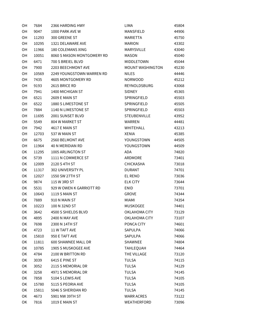| OH | 7684  | 2366 HARDING HWY           | LIMA                    | 45804 |
|----|-------|----------------------------|-------------------------|-------|
| OН | 9047  | 1000 PARK AVE W            | MANSFIELD               | 44906 |
| OН | 11293 | 300 GREENE ST              | <b>MARIETTA</b>         | 45750 |
| OН | 10295 | 1321 DELAWARE AVE          | <b>MARION</b>           | 43302 |
| OН | 11966 | 180 COLEMANS XING          | <b>MARYSVILLE</b>       | 43040 |
| OH | 10051 | 8060 S MASON MONTGOMERY RD | <b>MASON</b>            | 45040 |
| OН | 6471  | 700 S BREIEL BLVD          | MIDDLETOWN              | 45044 |
| OH | 7900  | 2203 BEECHMONT AVE         | <b>MOUNT WASHINGTON</b> | 45230 |
| OН | 10569 | 2249 YOUNGSTOWN WARREN RD  | <b>NILES</b>            | 44446 |
| OН | 7435  | 4605 MONTGOMERY RD         | <b>NORWOOD</b>          | 45212 |
| OH | 9193  | 2615 BRICE RD              | REYNOLDSBURG            | 43068 |
| OН | 7941  | 1400 MICHIGAN ST           | <b>SIDNEY</b>           | 45365 |
| OH | 6521  | 2609 E MAIN ST             | SPRINGFIELD             | 45503 |
| OН | 6522  | 1880 S LIMESTONE ST        | SPRINGFIELD             | 45505 |
| OН | 7884  | 1140 N LIMESTONE ST        | SPRINGFIELD             | 45503 |
| OН | 11695 | 2001 SUNSET BLVD           | <b>STEUBENVILLE</b>     | 43952 |
| OН | 5549  | 804 W MARKET ST            | <b>WARREN</b>           | 44481 |
| OН | 7942  | 4617 E MAIN ST             | WHITEHALL               | 43213 |
| OН | 12703 | 537 W MAIN ST              | <b>XENIA</b>            | 45385 |
| OН | 6675  | 2560 BELMONT AVE           | YOUNGSTOWN              | 44505 |
| OН | 11964 | <b>40 N MERIDIAN RD</b>    | YOUNGSTOWN              | 44509 |
| ОK | 11295 | 1005 ARLINGTON ST          | <b>ADA</b>              | 74820 |
| OK | 5739  | 1111 N COMMERCE ST         | ARDMORE                 | 73401 |
| ОK | 12009 | 2120 S 4TH ST              | <b>CHICKASHA</b>        | 73018 |
| OK | 11317 | 302 UNIVERSITY PL          | <b>DURANT</b>           | 74701 |
| ОK | 12027 | 1550 SW 27TH ST            | EL RENO                 | 73036 |
| OK | 9874  | 115 W 3RD ST               | <b>ELK CITY</b>         | 73644 |
| ОK | 5531  | 929 W OWEN K GARRIOTT RD   | ENID                    | 73701 |
| ОK | 10643 | 1119 S MAIN ST             | <b>GROVE</b>            | 74344 |
| ОK | 7889  | 910 N MAIN ST              | MIAMI                   | 74354 |
| ОK | 10223 | 100 N 32ND ST              | <b>MUSKOGEE</b>         | 74401 |
| OK | 3642  | 4500 S SHIELDS BLVD        | OKLAHOMA CITY           | 73129 |
| OK | 4895  | 2400 N MAY AVE             | OKLAHOMA CITY           | 73107 |
| OK | 7698  | 2300 N 14TH ST             | PONCA CITY              | 74601 |
| OK | 4723  | 11 W TAFT AVE              | SAPULPA                 | 74066 |
| OK | 15810 | 950 E TAFT AVE             | SAPULPA                 | 74066 |
| OK | 11811 | 600 SHAWNEE MALL DR        | SHAWNEE                 | 74804 |
| OK | 10785 | 1905 S MUSKOGEE AVE        | <b>TAHLEQUAH</b>        | 74464 |
| OK | 4784  | 2100 W BRITTON RD          | THE VILLAGE             | 73120 |
| ОK | 3039  | 6415 E PINE ST             | <b>TULSA</b>            | 74115 |
| OK | 3052  | 2115 S MEMORIAL DR         | <b>TULSA</b>            | 74129 |
| OK | 3258  | 4971 S MEMORIAL DR         | <b>TULSA</b>            | 74145 |
| OK | 7858  | 5104 S LEWIS AVE           | <b>TULSA</b>            | 74105 |
| OK | 15780 | 5115 S PEORIA AVE          | <b>TULSA</b>            | 74105 |
| OK | 15811 | 5046 S SHERIDAN RD         | <b>TULSA</b>            | 74145 |
| OK | 4673  | 5901 NW 39TH ST            | <b>WARR ACRES</b>       | 73122 |
| OK | 7816  | 1019 E MAIN ST             | WEATHERFORD             | 73096 |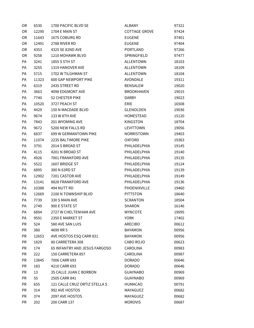| OR.       | 6530  | 1700 PACIFIC BLVD SE          | ALBANY               | 97321 |
|-----------|-------|-------------------------------|----------------------|-------|
| <b>OR</b> | 12290 | 1704 E MAIN ST                | <b>COTTAGE GROVE</b> | 97424 |
| 0R        | 11643 | 1675 COBURG RD                | <b>EUGENE</b>        | 97401 |
| 0R        | 12491 | 2788 RIVER RD                 | <b>EUGENE</b>        | 97404 |
| <b>OR</b> | 4353  | 4325 SE 82ND AVE              | <b>PORTLAND</b>      | 97266 |
| OR        | 9258  | 1210 MOHAWK BLVD              | SPRINGFIELD          | 97477 |
| PA        | 3241  | 1855 S 5TH ST                 | <b>ALLENTOWN</b>     | 18103 |
| PA        | 3255  | 1319 HANOVER AVE              | <b>ALLENTOWN</b>     | 18109 |
| PA        | 5715  | 1702 W TILGHMAN ST            | <b>ALLENTOWN</b>     | 18104 |
| PA        | 11323 | <b>600 GAP NEWPORT PIKE</b>   | AVONDALE             | 19311 |
| PA        | 6319  | 2435 STREET RD                | <b>BENSALEM</b>      | 19020 |
| PA        | 3663  | 4098 EDGMONT AVE              | <b>BROOKHAVEN</b>    | 19015 |
| PA        | 7740  | 52 CHESTER PIKE               | <b>DARBY</b>         | 19023 |
| PA        | 10520 | 3727 PEACH ST                 | ERIE                 | 16508 |
| PA        | 4429  | 150 N MACDADE BLVD            | GLENOLDEN            | 19036 |
| PA        | 9674  | 133 W 8TH AVE                 | HOMESTEAD            | 15120 |
| PA        | 7843  | <b>201 WYOMING AVE</b>        | <b>KINGSTON</b>      | 18704 |
| PA        | 9672  | 5200 NEW FALLS RD             | LEVITTOWN            | 19056 |
| PA        | 6837  | 699 W GERMANTOWN PIKE         | NORRISTOWN           | 19403 |
| PA        | 11074 | 2235 BALTIMORE PIKE           | <b>OXFORD</b>        | 19363 |
| PA        | 3791  | 2014 S BROAD ST               | PHILADELPHIA         | 19145 |
| PA        | 4115  | 4201 N BROAD ST               | PHILADELPHIA         | 19140 |
| PA        | 4926  | 7001 FRANKFORD AVE            | PHILADELPHIA         | 19135 |
| PA        | 5522  | 1607 BRIDGE ST                | PHILADELPHIA         | 19124 |
| PA        | 6895  | 300 N 63RD ST                 | PHILADELPHIA         | 19139 |
| PA        | 12902 | 7201 CASTOR AVE               | PHILADELPHIA         | 19149 |
| PA        | 13141 | 8828 FRANKFORD AVE            | PHILADELPHIA         | 19136 |
| PA        | 10388 | 494 NUTT RD                   | PHOENIXVILLE         | 19460 |
| PA        | 12669 | 2100 N TOWNSHIP BLVD          | <b>PITTSTON</b>      | 18640 |
| PA        | 7739  | 330 S MAIN AVE                | <b>SCRANTON</b>      | 18504 |
| PA        | 2749  | 900 E STATE ST                | SHARON               | 16146 |
| PA        | 6894  | 2727 W CHELTENHAM AVE         | <b>WYNCOTE</b>       | 19095 |
| PA        | 9591  | 2350 E MARKET ST              | YORK                 | 17402 |
| PR        | 524   | 580 AVE SAN LUIS              | ARECIBO              | 00612 |
| <b>PR</b> | 380   | 4699 RR 5                     | BAYAMON              | 00956 |
| <b>PR</b> | 12653 | AVE HOSTOS ESQ CARR 831       | <b>BAYAMON</b>       | 00956 |
| <b>PR</b> | 1829  | 80 CARRETERA 308              | CABO ROJO            | 00623 |
| <b>PR</b> | 174   | 65 INFANTRY AND JESUS FARGOSO | CAROLINA             | 00983 |
| <b>PR</b> | 222   | 150 CARRETERA 857             | CAROLINA             | 00987 |
| <b>PR</b> | 13845 | 7006 CARR 693                 | <b>DORADO</b>        | 00646 |
| <b>PR</b> | 183   | 4210 CARR 693                 | <b>DORADO</b>        | 00646 |
| PR        | 13    | 35 CALLE JUAN C BORBON        | <b>GUAYNABO</b>      | 00969 |
| <b>PR</b> | 55    | 2505 CARR 841                 | <b>GUAYNABO</b>      | 00969 |
| <b>PR</b> | 655   | 121 CALLE CRUZ ORTIZ STELLA S | HUMACAO              | 00791 |
| <b>PR</b> | 314   | 992 AVE HOSTOS                | MAYAGUEZ             | 00682 |
| <b>PR</b> | 374   | 2097 AVE HOSTOS               | MAYAGUEZ             | 00682 |
| PR        | 202   | 200 CARR 137                  | <b>MOROVIS</b>       | 00687 |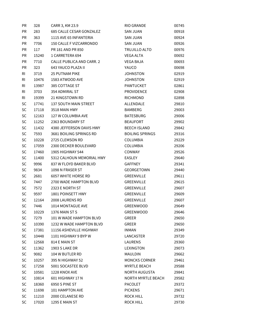| PR             | 328   | CARR 3, KM 23.9           | RIO GRANDE             | 00745 |
|----------------|-------|---------------------------|------------------------|-------|
| PR             | 283   | 685 CALLE CESAR GONZALEZ  | <b>SAN JUAN</b>        | 00918 |
| <b>PR</b>      | 363   | 1115 AVE 65 INFANTERIA    | <b>SAN JUAN</b>        | 00924 |
| <b>PR</b>      | 7706  | 150 CALLE F VIZCARRONDO   | <b>SAN JUAN</b>        | 00926 |
| <b>PR</b>      | 117   | PR 181 AND PR 850         | TRUJILLO ALTO          | 00976 |
| PR             | 15240 | 1 CARRETERA 694           | <b>VEGA ALTA</b>       | 00692 |
| PR             | 7710  | CALLE PUBLICA AND CARR. 2 | <b>VEGA BAJA</b>       | 00693 |
| PR             | 323   | 643 YAUCO PLAZA II        | YAUCO                  | 00698 |
| RI             | 3719  | <b>25 PUTNAM PIKE</b>     | <b>JOHNSTON</b>        | 02919 |
| RI             | 10476 | 1583 ATWOOD AVE           | <b>JOHNSTON</b>        | 02919 |
| R <sub>l</sub> | 13987 | 385 COTTAGE ST            | PAWTUCKET              | 02861 |
| R <sub>l</sub> | 3703  | 354 ADMIRAL ST            | <b>PROVIDENCE</b>      | 02908 |
| <b>RI</b>      | 19399 | 21 KINGSTOWN RD           | <b>RICHMOND</b>        | 02898 |
| SC             | 17741 | 137 SOUTH MAIN STREET     | ALLENDALE              | 29810 |
| <b>SC</b>      | 17118 | 3518 MAIN HWY             | <b>BAMBERG</b>         | 29003 |
| SC             | 12163 | 127 W COLUMBIA AVE        | <b>BATESBURG</b>       | 29006 |
| SC             | 11252 | 2363 BOUNDARY ST          | <b>BEAUFORT</b>        | 29902 |
| SC             | 11432 | 4380 JEFFERSON DAVIS HWY  | <b>BEECH ISLAND</b>    | 29842 |
| SC             | 7593  | 3681 BOILING SPRINGS RD   | <b>BOILING SPRINGS</b> | 29316 |
| SC             | 10228 | 2725 CLEMSON RD           | <b>COLUMBIA</b>        | 29229 |
| SC             | 17059 | 2300 DECKER BOULEVARD     | <b>COLUMBIA</b>        | 29206 |
| SC             | 17460 | 1905 HIGHWAY 544          | CONWAY                 | 29526 |
| SC             | 11400 | 5312 CALHOUN MEMORIAL HWY | EASLEY                 | 29640 |
| <b>SC</b>      | 9996  | 837 W FLOYD BAKER BLVD    | GAFFNEY                | 29341 |
| SC             | 9834  | 1098 N FRASER ST          | GEORGETOWN             | 29440 |
| SC             | 2681  | 6057 WHITE HORSE RD       | GREENVILLE             | 29611 |
| SC             | 7447  | 2700 WADE HAMPTON BLVD    | GREENVILLE             | 29615 |
| SC             | 7572  | 2323 E NORTH ST           | GREENVILLE             | 29607 |
| SC             | 9597  | 1801 POINSETT HWY         | GREENVILLE             | 29609 |
| SC             | 12164 | 2008 LAURENS RD           | GREENVILLE             | 29607 |
| <b>SC</b>      | 7446  | 1014 MONTAGUE AVE         | <b>GREENWOOD</b>       | 29649 |
| <b>SC</b>      | 10229 | 1376 MAIN ST S            | <b>GREENWOOD</b>       | 29646 |
| SC             | 7279  | 101 W WADE HAMPTON BLVD   | GREER                  | 29650 |
| <b>SC</b>      | 10390 | 1232 W WADE HAMPTON BLVD  | GREER                  | 29650 |
| <b>SC</b>      | 17381 | 11156 ASHEVILLE HIGHWAY   | INMAN                  | 29349 |
| <b>SC</b>      | 10448 | 1101 HIGHWAY 9 BYP W      | LANCASTER              | 29720 |
| SC             | 12568 | 814 E MAIN ST             | LAURENS                | 29360 |
| <b>SC</b>      | 11362 | 1903 S LAKE DR            | LEXINGTON              | 29073 |
| SC             | 9082  | 104 W BUTLER RD           | MAULDIN                | 29662 |
| <b>SC</b>      | 10257 | 395 N HIGHWAY 52          | <b>MONCKS CORNER</b>   | 29461 |
| <b>SC</b>      | 17258 | 5001 SOCASTEE BLVD        | <b>MYRTLE BEACH</b>    | 29588 |
| <b>SC</b>      | 10581 | 1228 KNOX AVE             | NORTH AUGUSTA          | 29841 |
| SC             | 10814 | 601 HIGHWAY 17 N          | NORTH MYRTLE BEACH     | 29582 |
| SC             | 18360 | 6950 S PINE ST            | PACOLET                | 29372 |
| SC             | 11698 | 101 HAMPTON AVE           | <b>PICKENS</b>         | 29671 |
| <b>SC</b>      | 11210 | 2000 CELANESE RD          | <b>ROCK HILL</b>       | 29732 |
| <b>SC</b>      | 17020 | 1295 E MAIN ST            | ROCK HILL              | 29730 |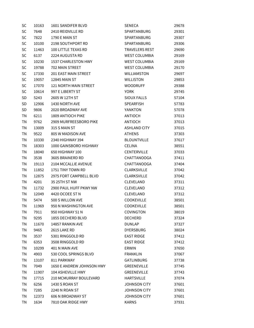| SC        | 10163 | 1601 SANDIFER BLVD         | SENECA                | 29678 |
|-----------|-------|----------------------------|-----------------------|-------|
| <b>SC</b> | 7648  | 2410 REIDVILLE RD          | SPARTANBURG           | 29301 |
| SC        | 7822  | 1790 E MAIN ST             | SPARTANBURG           | 29307 |
| SC        | 10100 | 2198 SOUTHPORT RD          | <b>SPARTANBURG</b>    | 29306 |
| SC        | 11463 | <b>100 LITTLE TEXAS RD</b> | <b>TRAVELERS REST</b> | 29690 |
| SC        | 6137  | 2224 AUGUSTA RD            | <b>WEST COLUMBIA</b>  | 29169 |
| SC        | 10230 | 1537 CHARLESTON HWY        | <b>WEST COLUMBIA</b>  | 29169 |
| SC        | 19788 | 702 MAIN STREET            | <b>WEST COLUMBIA</b>  | 29170 |
| <b>SC</b> | 17330 | 201 EAST MAIN STREET       | <b>WILLIAMSTON</b>    | 29697 |
| SC        | 19057 | <b>12845 MAIN ST</b>       | <b>WILLISTON</b>      | 29853 |
| SC        | 17070 | 121 NORTH MAIN STREET      | <b>WOODRUFF</b>       | 29388 |
| <b>SC</b> | 10614 | 997 E LIBERTY ST           | YORK                  | 29745 |
| SD        | 5243  | 2605 W 12TH ST             | <b>SIOUX FALLS</b>    | 57104 |
| SD        | 12906 | 1430 NORTH AVE             | <b>SPEARFISH</b>      | 57783 |
| SD        | 9806  | 2020 BROADWAY AVE          | YANKTON               | 57078 |
| <b>TN</b> | 6211  | 1809 ANTIOCH PIKE          | ANTIOCH               | 37013 |
| <b>TN</b> | 9762  | 2909 MURFREESBORO PIKE     | <b>ANTIOCH</b>        | 37013 |
| <b>TN</b> | 13009 | 315 S MAIN ST              | ASHLAND CITY          | 37015 |
| <b>TN</b> | 9522  | 805 W MADISON AVE          | <b>ATHENS</b>         | 37303 |
| <b>TN</b> | 10330 | 2340 HIGHWAY 394           | <b>BLOUNTVILLE</b>    | 37617 |
| <b>TN</b> | 18303 | 1000 GAINSBORO HIGHWAY     | CELINA                | 38551 |
| <b>TN</b> | 18040 | 650 HIGHWAY 100            | <b>CENTERVILLE</b>    | 37033 |
| <b>TN</b> | 3538  | 3605 BRAINERD RD           | CHATTANOOGA           | 37411 |
| <b>TN</b> | 19113 | 2104 MCCALLIE AVENUE       | CHATTANOOGA           | 37404 |
| <b>TN</b> | 11852 | 1751 TINY TOWN RD          | <b>CLARKSVILLE</b>    | 37042 |
| <b>TN</b> | 12875 | 2975 FORT CAMPBELL BLVD    | <b>CLARKSVILLE</b>    | 37042 |
| <b>TN</b> | 4201  | 35 25TH ST NW              | CLEVELAND             | 37311 |
| ΤN        | 11732 | 2900 PAUL HUFF PKWY NW     | CLEVELAND             | 37312 |
| ΤN        | 12049 | 4420 OCOEE ST N            | CLEVELAND             | 37312 |
| <b>TN</b> | 5474  | 500 S WILLOW AVE           | <b>COOKEVILLE</b>     | 38501 |
| ΤN        | 11969 | 950 N WASHINGTON AVE       | <b>COOKEVILLE</b>     | 38501 |
| ΤN        | 7911  | 950 HIGHWAY 51 N           | <b>COVINGTON</b>      | 38019 |
| <b>TN</b> | 9295  | 1855 DECHERD BLVD          | <b>DECHERD</b>        | 37324 |
| <b>TN</b> | 11670 | 14857 RANKIN AVE           | DUNLAP                | 37327 |
| <b>TN</b> | 9465  | 2615 LAKE RD               | <b>DYERSBURG</b>      | 38024 |
| <b>TN</b> | 3537  | 5301 RINGGOLD RD           | <b>EAST RIDGE</b>     | 37412 |
| <b>TN</b> | 6353  | 3508 RINGGOLD RD           | <b>EAST RIDGE</b>     | 37412 |
| TN        | 10299 | 401 N MAIN AVE             | ERWIN                 | 37650 |
| <b>TN</b> | 4903  | 530 COOL SPRINGS BLVD      | <b>FRANKLIN</b>       | 37067 |
| TN        | 13107 | 811 PARKWAY                | GATLINBURG            | 37738 |
| <b>TN</b> | 7049  | 1650 E ANDREW JOHNSON HWY  | GREENEVILLE           | 37745 |
| TN        | 11907 | 104 ASHEVILLE HWY          | GREENEVILLE           | 37743 |
| TN        | 17715 | 210 MCMURRAY BOULEVARD     | <b>HARTSVILLE</b>     | 37074 |
| <b>TN</b> | 6256  | 1430 S ROAN ST             | JOHNSON CITY          | 37601 |
| TN        | 7285  | 2240 N ROAN ST             | JOHNSON CITY          | 37601 |
| TN        | 12373 | 606 N BROADWAY ST          | <b>JOHNSON CITY</b>   | 37601 |
| TN        | 1634  | 7810 OAK RIDGE HWY         | <b>KARNS</b>          | 37931 |
|           |       |                            |                       |       |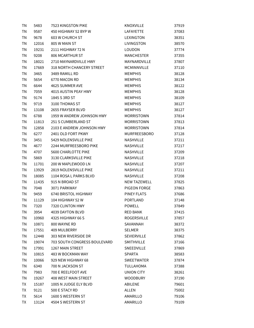| ΤN        | 5483  | 7523 KINGSTON PIKE                  | KNOXVILLE           | 37919 |
|-----------|-------|-------------------------------------|---------------------|-------|
| <b>TN</b> | 9587  | 450 HIGHWAY 52 BYP W                | <b>LAFAYETTE</b>    | 37083 |
| TN        | 9678  | <b>603 W CHURCH ST</b>              | <b>LEXINGTON</b>    | 38351 |
| <b>TN</b> | 12016 | 805 W MAIN ST                       | LIVINGSTON          | 38570 |
| TN        | 19231 | 2111 HIGHWAY 72 N                   | LOUDON              | 37774 |
| TN        | 9208  | 806 MCARTHUR ST                     | <b>MANCHESTER</b>   | 37355 |
| TN        | 18021 | 2710 MAYNARDVILLE HWY               | MAYNARDVILLE        | 37807 |
| TN        | 17669 | 318 NORTH CHANCERY STREET           | <b>MCMINNVILLE</b>  | 37110 |
| <b>TN</b> | 3465  | 3489 RAMILL RD                      | <b>MEMPHIS</b>      | 38128 |
| <b>TN</b> | 5654  | 6770 MACON RD                       | <b>MEMPHIS</b>      | 38134 |
| TN        | 6644  | 4625 SUMMER AVE                     | <b>MEMPHIS</b>      | 38122 |
| TN        | 7059  | 4015 AUSTIN PEAY HWY                | <b>MEMPHIS</b>      | 38128 |
| TN        | 9174  | 1845 S 3RD ST                       | <b>MEMPHIS</b>      | 38109 |
| <b>TN</b> | 9719  | 3100 THOMAS ST                      | <b>MEMPHIS</b>      | 38127 |
| TN        | 13108 | 2655 FRAYSER BLVD                   | <b>MEMPHIS</b>      | 38127 |
| TN        | 6788  | 1959 W ANDREW JOHNSON HWY           | <b>MORRISTOWN</b>   | 37814 |
| <b>TN</b> | 11813 | 251 S CUMBERLAND ST                 | <b>MORRISTOWN</b>   | 37813 |
| TN        | 12858 | 2103 E ANDREW JOHNSON HWY           | <b>MORRISTOWN</b>   | 37814 |
| TN        | 6277  | 2401 OLD FORT PKWY                  | MURFREESBORO        | 37128 |
| TN        | 3451  | 5429 NOLENSVILLE PIKE               | NASHVILLE           | 37211 |
| <b>TN</b> | 4677  | 2244 MURFREESBORO PIKE              | NASHVILLE           | 37217 |
| TN        | 4707  | <b>5600 CHARLOTTE PIKE</b>          | <b>NASHVILLE</b>    | 37209 |
| <b>TN</b> | 5869  | 3130 CLARKSVILLE PIKE               | <b>NASHVILLE</b>    | 37218 |
| TN        | 11701 | 200 W MAPLEWOOD LN                  | NASHVILLE           | 37207 |
| TN        | 13929 | 2819 NOLENSVILLE PIKE               | NASHVILLE           | 37211 |
| TN        | 18085 | 1104 ROSA L PARKS BLVD              | NASHVILLE           | 37208 |
| TN        | 11435 | 915 N BROAD ST                      | <b>NEW TAZEWELL</b> | 37825 |
| TN        | 7048  | 3071 PARKWAY                        | PIGEON FORGE        | 37863 |
| <b>TN</b> | 9459  | 6740 BRISTOL HIGHWAY                | <b>PINEY FLATS</b>  | 37686 |
| TN        | 11129 | 104 HIGHWAY 52 W                    | <b>PORTLAND</b>     | 37148 |
| TN        | 7320  | 7320 CLINTON HWY                    | <b>POWELL</b>       | 37849 |
| ΤN        | 3954  | 4039 DAYTON BLVD                    | <b>RED BANK</b>     | 37415 |
| <b>TN</b> | 10960 | 4325 HIGHWAY 66 S                   | ROGERSVILLE         | 37857 |
| <b>TN</b> | 10871 | 800 WAYNE RD                        | SAVANNAH            | 38372 |
| <b>TN</b> | 17551 | 409 MULBERRY                        | <b>SELMER</b>       | 38375 |
| <b>TN</b> | 12448 | 303 NEW RIVERSIDE DR                | <b>SEVIERVILLE</b>  | 37862 |
| TN        | 19074 | <b>703 SOUTH CONGRESS BOULEVARD</b> | <b>SMITHVILLE</b>   | 37166 |
| TN        | 17991 | 1267 MAIN STREET                    | SNEEDVILLE          | 37869 |
| TN        | 10815 | 483 W BOCKMAN WAY                   | <b>SPARTA</b>       | 38583 |
| TN        | 10066 | 929 NEW HIGHWAY 68                  | SWEETWATER          | 37874 |
| TN        | 6340  | 700 N JACKSON ST                    | <b>TULLAHOMA</b>    | 37388 |
| <b>TN</b> | 7983  | 700 E REELFOOT AVE                  | UNION CITY          | 38261 |
| TN        | 19267 | <b>408 WEST MAIN STREET</b>         | <b>WOODBURY</b>     | 37190 |
| TX        | 15187 | 1005 N JUDGE ELY BLVD               | ABILENE             | 79601 |
| ТX        | 9121  | 500 E STACY RD                      | ALLEN               | 75002 |
| TX        | 5614  | 1600 S WESTERN ST                   | AMARILLO            | 79106 |
| ТX        | 13124 | 4504 S WESTERN ST                   | AMARILLO            | 79109 |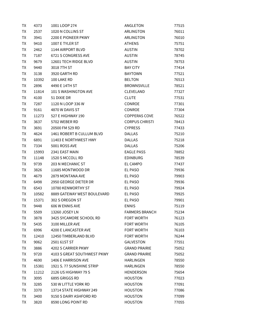| TX        | 4373  | 1001 LOOP 274               | ANGLETON              | 77515 |
|-----------|-------|-----------------------------|-----------------------|-------|
| TX        | 2537  | 1020 N COLLINS ST           | ARLINGTON             | 76011 |
| TX        | 3941  | 2200 E PIONEER PKWY         | ARLINGTON             | 76010 |
| TX        | 9410  | 1007 E TYLER ST             | <b>ATHENS</b>         | 75751 |
| <b>TX</b> | 2462  | 1144 AIRPORT BLVD           | <b>AUSTIN</b>         | 78702 |
| TX        | 7187  | 6721 S CONGRESS AVE         | <b>AUSTIN</b>         | 78745 |
| TX        | 9679  | 12601 TECH RIDGE BLVD       | <b>AUSTIN</b>         | 78753 |
| TX        | 9440  | 3018 7TH ST                 | <b>BAY CITY</b>       | 77414 |
| TX        | 3138  | 3920 GARTH RD               | <b>BAYTOWN</b>        | 77521 |
| TX        | 10392 | 100 LAKE RD                 | <b>BELTON</b>         | 76513 |
| <b>TX</b> | 2896  | 4490 E 14TH ST              | <b>BROWNSVILLE</b>    | 78521 |
| TX        | 11814 | 101 S WASHINGTON AVE        | CLEVELAND             | 77327 |
| TX        | 4100  | 51 DIXIE DR                 | <b>CLUTE</b>          | 77531 |
| <b>TX</b> | 7287  | 1120 N LOOP 336 W           | <b>CONROE</b>         | 77301 |
| TX        | 9161  | 4870 W DAVIS ST             | <b>CONROE</b>         | 77304 |
| TX        | 11273 | 527 E HIGHWAY 190           | COPPERAS COVE         | 76522 |
| <b>TX</b> | 3637  | 5702 WEBER RD               | <b>CORPUS CHRISTI</b> | 78413 |
| TX        | 3691  | 20500 FM 529 RD             | <b>CYPRESS</b>        | 77433 |
| TX        | 4624  | 1461 ROBERT B CULLUM BLVD   | <b>DALLAS</b>         | 75210 |
| TX        | 6891  | 11403 E NORTHWEST HWY       | <b>DALLAS</b>         | 75218 |
| TX        | 7334  | 5001 ROSS AVE               | <b>DALLAS</b>         | 75206 |
| TX        | 15993 | 2341 EAST MAIN              | <b>EAGLE PASS</b>     | 78852 |
| TX        | 11148 | 1520 S MCCOLL RD            | <b>EDINBURG</b>       | 78539 |
| TX        | 9739  | 203 N MECHANIC ST           | EL CAMPO              | 77437 |
| TX        | 3826  | 11685 MONTWOOD DR           | EL PASO               | 79936 |
| TX        | 4679  | 2879 MONTANA AVE            | EL PASO               | 79903 |
| TX        | 6498  | 2950 GEORGE DIETER DR       | EL PASO               | 79936 |
| TX        | 6543  | 10780 KENWORTHY ST          | EL PASO               | 79924 |
| TX        | 10582 | 8889 GATEWAY WEST BOULEVARD | EL PASO               | 79925 |
| <b>TX</b> | 15371 | 302 S OREGON ST             | <b>EL PASO</b>        | 79901 |
| ТX        | 9448  | 606 W ENNIS AVE             | <b>ENNIS</b>          | 75119 |
| ТX        | 5509  | 13260 JOSEY LN              | <b>FARMERS BRANCH</b> | 75234 |
| TX        | 3878  | 3425 SYCAMORE SCHOOL RD     | <b>FORT WORTH</b>     | 76123 |
| TX        | 5435  | 3100 MILLER AVE             | FORT WORTH            | 76105 |
| TX        | 6996  | 4200 E LANCASTER AVE        | FORT WORTH            | 76103 |
| <b>TX</b> | 12410 | 12450 TIMBERLAND BLVD       | FORT WORTH            | 76244 |
| TX        | 9062  | 2501 61ST ST                | <b>GALVESTON</b>      | 77551 |
| TX        | 3886  | 4202 S CARRIER PKWY         | <b>GRAND PRAIRIE</b>  | 75052 |
| TX        | 9720  | 4103 S GREAT SOUTHWEST PKWY | <b>GRAND PRAIRIE</b>  | 75052 |
| TX        | 4690  | 1406 E HARRISON AVE         | HARLINGEN             | 78550 |
| TX        | 15381 | 1921 S. 77 SUNSHINE STRIP   | HARLINGEN             | 78550 |
| TX        | 11212 | 2126 US HIGHWAY 79 S        | HENDERSON             | 75654 |
| TX        | 3095  | 6895 GRIGGS RD              | <b>HOUSTON</b>        | 77023 |
| TX        | 3285  | 530 W LITTLE YORK RD        | <b>HOUSTON</b>        | 77091 |
| TX        | 3370  | 13714 STATE HIGHWAY 249     | <b>HOUSTON</b>        | 77086 |
| TX        | 3400  | 9150 S DAIRY ASHFORD RD     | <b>HOUSTON</b>        | 77099 |
| TX        | 3820  | 8590 LONG POINT RD          | <b>HOUSTON</b>        | 77055 |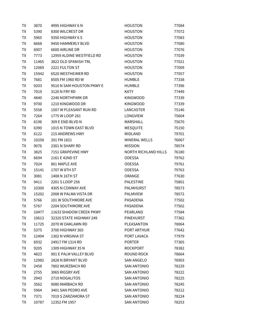| ТX | 3870  | 4995 HIGHWAY 6 N          | <b>HOUSTON</b>              | 77084 |
|----|-------|---------------------------|-----------------------------|-------|
| TX | 5390  | 8300 WILCREST DR          | <b>HOUSTON</b>              | 77072 |
| TX | 5965  | 9350 HIGHWAY 6 S          | <b>HOUSTON</b>              | 77083 |
| TX | 6668  | 9450 HAMMERLY BLVD        | <b>HOUSTON</b>              | 77080 |
| TX | 6907  | 6600 AIRLINE DR           | <b>HOUSTON</b>              | 77076 |
| TX | 7773  | 12959 ALDINE WESTFIELD RD | <b>HOUSTON</b>              | 77039 |
| TX | 11465 | 3822 OLD SPANISH TRL      | <b>HOUSTON</b>              | 77021 |
| TX | 12069 | 2221 FULTON ST            | <b>HOUSTON</b>              | 77009 |
| TX | 15942 | 6520 WESTHEIMER RD        | <b>HOUSTON</b>              | 77057 |
| TX | 7681  | 8505 FM 1960 RD W         | <b>HUMBLE</b>               | 77338 |
| TX | 9203  | 9510 N SAM HOUSTON PKWY E | <b>HUMBLE</b>               | 77396 |
| TX | 7019  | 3120 N FRY RD             | <b>KATY</b>                 | 77449 |
| TX | 4840  | 2240 NORTHPARK DR         | KINGWOOD                    | 77339 |
| TX | 9700  | 1210 KINGWOOD DR          | <b>KINGWOOD</b>             | 77339 |
| TX | 5558  | 1507 W PLEASANT RUN RD    | LANCASTER                   | 75146 |
| TX | 7264  | 1775 W LOOP 281           | LONGVIEW                    | 75604 |
| TX | 6196  | 309 E END BLVD N          | MARSHALL                    | 75670 |
| TX | 6390  | 1015 N TOWN EAST BLVD     | <b>MESQUITE</b>             | 75150 |
| TX | 6122  | 215 ANDREWS HWY           | MIDLAND                     | 79701 |
| TX | 10258 | 201 FM 1821               | MINERAL WELLS               | 76067 |
| TX | 9076  | 2301 N SHARY RD           | <b>MISSION</b>              | 78574 |
| TX | 3825  | 7151 GRAPEVINE HWY        | <b>NORTH RICHLAND HILLS</b> | 76180 |
| TX | 6694  | 2161 E 42ND ST            | ODESSA                      | 79762 |
| TX | 7024  | 801 MAPLE AVE             | ODESSA                      | 79761 |
| TX | 15141 | 1707 W 8TH ST             | ODESSA                      | 79763 |
| TX | 3081  | 1408 N 16TH ST            | ORANGE                      | 77630 |
| TX | 9411  | 2201 S LOOP 256           | <b>PALESTINE</b>            | 75801 |
| TX | 10300 | 4305 N CONWAY AVE         | PALMHURST                   | 78573 |
| TX | 15202 | 2008 W PALMA VISTA DR     | <b>PALMVIEW</b>             | 78572 |
| TX | 5766  | 101 W SOUTHMORE AVE       | PASADENA                    | 77502 |
| ТX | 5767  | 2204 SOUTHMORE AVE        | PASADENA                    | 77502 |
| ТX | 10477 | 11633 SHADOW CREEK PKWY   | PEARLAND                    | 77584 |
| TX | 10613 | 32320 STATE HIGHWAY 249   | <b>PINEHURST</b>            | 77362 |
| ТX | 11725 | 2070 W OAKLAWN RD         | PLEASANTON                  | 78064 |
| TX | 5375  | 3700 HIGHWAY 365          | <b>PORT ARTHUR</b>          | 77642 |
| TX | 12494 | 1302 N VIRGINIA ST        | PORT LAVACA                 | 77979 |
| ТX | 6932  | 24917 FM 1314 RD          | <b>PORTER</b>               | 77365 |
| ТX | 9205  | 1309 HIGHWAY 35 N         | <b>ROCKPORT</b>             | 78382 |
| TX | 4823  | 901 E PALM VALLEY BLVD    | ROUND ROCK                  | 78664 |
| ТX | 12982 | 2828 N BRYANT BLVD        | <b>SAN ANGELO</b>           | 76903 |
| TX | 2458  | 7802 WURZBACH RD          | <b>SAN ANTONIO</b>          | 78229 |
| TX | 2755  | 3065 RIGSBY AVE           | <b>SAN ANTONIO</b>          | 78222 |
| TX | 2943  | 2710 NOGALITOS            | <b>SAN ANTONIO</b>          | 78225 |
| TX | 3562  | 9080 MARBACH RD           | <b>SAN ANTONIO</b>          | 78245 |
| TX | 5964  | 3401 SAN PEDRO AVE        | <b>SAN ANTONIO</b>          | 78212 |
| ТX | 7371  | 7019 S ZARZAMORA ST       | <b>SAN ANTONIO</b>          | 78224 |
| ТX | 10787 | 12352 FM 1957             | SAN ANTONIO                 | 78253 |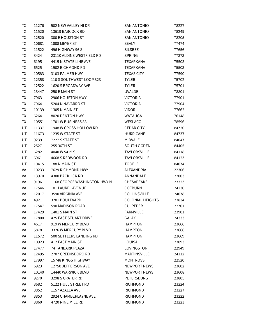| ТX | 11276 | 502 NEW VALLEY HI DR         | <b>SAN ANTONIO</b>      | 78227 |
|----|-------|------------------------------|-------------------------|-------|
| TX | 11520 | 13619 BABCOCK RD             | <b>SAN ANTONIO</b>      | 78249 |
| ТX | 12520 | 300 E HOUSTON ST             | <b>SAN ANTONIO</b>      | 78205 |
| TX | 10681 | 1808 MEYER ST                | <b>SEALY</b>            | 77474 |
| TX | 11522 | 496 HIGHWAY 96 S             | <b>SILSBEE</b>          | 77656 |
| TX | 3424  | 23110 ALDINE WESTFIELD RD    | <b>SPRING</b>           | 77373 |
| TX | 6195  | 4415 N STATE LINE AVE        | <b>TEXARKANA</b>        | 75503 |
| TX | 6525  | 1902 RICHMOND RD             | TEXARKANA               | 75503 |
| TX | 10583 | 3103 PALMER HWY              | <b>TEXAS CITY</b>       | 77590 |
| TX | 12358 | 110 S SOUTHWEST LOOP 323     | <b>TYLER</b>            | 75702 |
| TX | 12522 | 1620 S BROADWAY AVE          | <b>TYLER</b>            | 75701 |
| TX | 13447 | 250 E MAIN ST                | <b>UVALDE</b>           | 78801 |
| TX | 7963  | 2906 HOUSTON HWY             | <b>VICTORIA</b>         | 77901 |
| TX | 7964  | 5204 N NAVARRO ST            | <b>VICTORIA</b>         | 77904 |
| TX | 10139 | <b>1305 N MAIN ST</b>        | <b>VIDOR</b>            | 77662 |
| TX | 6264  | 8020 DENTON HWY              | <b>WATAUGA</b>          | 76148 |
| TX | 10551 | 1701 W BUSINESS 83           | <b>WESLACO</b>          | 78596 |
| UT | 11337 | 1948 W CROSS HOLLOW RD       | <b>CEDAR CITY</b>       | 84720 |
| UT | 11673 | 1235 W STATE ST              | <b>HURRICANE</b>        | 84737 |
| UT | 9239  | 7227 S STATE ST              | <b>MIDVALE</b>          | 84047 |
| UT | 2527  | 255 36TH ST                  | SOUTH OGDEN             | 84405 |
| UT | 6282  | 4040 W 5415 S                | <b>TAYLORSVILLE</b>     | 84118 |
| UT | 6961  | 4668 S REDWOOD RD            | <b>TAYLORSVILLE</b>     | 84123 |
| UT | 10415 | 188 N MAIN ST                | <b>TOOELE</b>           | 84074 |
| VA | 10233 | 7629 RICHMOND HWY            | ALEXANDRIA              | 22306 |
| VA | 13970 | 4300 BACKLICK RD             | ANNANDALE               | 22003 |
| VA | 9196  | 1168 GEORGE WASHINGTON HWY N | CHESAPEAKE              | 23323 |
| VA | 17546 | 101 LAUREL AVENUE            | <b>COEBURN</b>          | 24230 |
| VA | 12017 | 3590 VIRGINIA AVE            | COLLINSVILLE            | 24078 |
| VA | 4921  | 3201 BOULEVARD               | <b>COLONIAL HEIGHTS</b> | 23834 |
| VA | 17547 | 590 MADISON ROAD             | <b>CULPEPER</b>         | 22701 |
| VA | 17429 | 1401 S MAIN ST               | <b>FARMVILLE</b>        | 23901 |
| VA | 17800 | <b>425 EAST STUART DRIVE</b> | GALAX                   | 24333 |
| VA | 4617  | 919 W MERCURY BLVD           | <b>HAMPTON</b>          | 23666 |
| VA | 5878  | 3326 W MERCURY BLVD          | <b>HAMPTON</b>          | 23666 |
| VA | 11572 | 500 SETTLERS LANDING RD      | <b>HAMPTON</b>          | 23669 |
| VA | 10923 | <b>412 EAST MAIN ST</b>      | LOUISA                  | 23093 |
| VA | 17477 | <b>74 TANBARK PLAZA</b>      | LOVINGSTON              | 22949 |
| VA | 12495 | 2707 GREENSBORO RD           | <b>MARTINSVILLE</b>     | 24112 |
| VA | 17997 | 15748 KINGS HIGHWAY          | <b>MONTROSS</b>         | 22520 |
| VA | 6923  | 12750 JEFFERSON AVE          | <b>NEWPORT NEWS</b>     | 23602 |
| VA | 10140 | 14440 WARWICK BLVD           | <b>NEWPORT NEWS</b>     | 23608 |
| VA | 9270  | 3298 S CRATER RD             | <b>PETERSBURG</b>       | 23805 |
| VA | 3682  | 5122 HULL STREET RD          | <b>RICHMOND</b>         | 23224 |
| VA | 3852  | 1157 AZALEA AVE              | <b>RICHMOND</b>         | 23227 |
| VA | 3853  | 2924 CHAMBERLAYNE AVE        | <b>RICHMOND</b>         | 23222 |
| VA | 3860  | 4720 NINE MILE RD            | RICHMOND                | 23223 |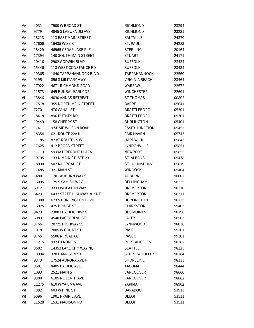| VA        | 4031  | 7900 W BROAD ST              | <b>RICHMOND</b>       | 23294 |
|-----------|-------|------------------------------|-----------------------|-------|
| VA        | 9779  | 4845 S LABURNUM AVE          | RICHMOND              | 23231 |
| VA        | 18213 | 113 EAST MAIN STREET         | SALTVILLE             | 24370 |
| VA        | 17606 | 16435 WISE ST                | ST. PAUL              | 24283 |
| VA        | 18429 | 46965 CEDAR LAKE PLZ         | STERLING              | 20164 |
| VA        | 17394 | 140 SOUTH MAIN STREET        | <b>STUART</b>         | 24171 |
| VA        | 10416 | 2902 GODWIN BLVD             | SUFFOLK               | 23434 |
| VA        | 15446 | 118 WEST CONSTANCE RD        | <b>SUFFOLK</b>        | 23434 |
| VA        | 19365 | 1840 TAPPAHANNOCK BLVD       | TAPPAHANNOCK          | 22560 |
| VA        | 9195  | 856 S MILITARY HWY           | VIRGINIA BEACH        | 23464 |
| VA        | 17922 | 4671 RICHMOND ROAD           | WARSAW                | 22572 |
| VA        | 11573 | 645 E JUBAL EARLY DR         | <b>WINCHESTER</b>     | 22601 |
| VI        | 13846 | 4030 ANNAS RETREAT           | <b>ST THOMAS</b>      | 00802 |
| VT        | 17518 | 355 NORTH MAIN STREET        | <b>BARRE</b>          | 05641 |
| VT        | 7270  | 476 CANAL ST                 | <b>BRATTLEBORO</b>    | 05301 |
| VT        | 18418 | 896 PUTNEY RD                | <b>BRATTLEBORO</b>    | 05301 |
| VT        | 19449 | 158 CHERRY ST                | <b>BURLINGTON</b>     | 05401 |
| VT        | 17471 | 9 SUSIE WILSON ROAD          | <b>ESSEX JUNCTION</b> | 05452 |
| VT        | 18354 | 621 ROUTE 22A N              | <b>FAIR HAVEN</b>     | 05743 |
| VT        | 17185 | 82 VT ROUTE 15 W             | <b>HARDWICK</b>       | 05843 |
| VT        | 17625 | 412 BROAD STREET             | LYNDONVILLE           | 05851 |
| VT        | 17713 | 59 WATERFRONT PLAZA          | <b>NEWPORT</b>        | 05855 |
| VT        | 19795 | 133 N MAIN ST, STE 23        | ST. ALBANS            | 05478 |
| VT        | 18090 | 502 RAILROAD ST.             | ST. JOHNSBURY         | 05819 |
| VT        | 17485 | 321 MAIN ST                  | WINOOSKI              | 05404 |
| WA        | 7480  | 1701 AUBURN WAY S            | <b>AUBURN</b>         | 98002 |
| WA        | 16095 | 125 S SAMISH WAY             | BELLINGHAM            | 98225 |
| WA        | 5912  | 3333 WHEATON WAY             | <b>BREMERTON</b>      | 98310 |
| WA        | 6423  | 6432 STATE HIGHWAY 303 NE    | <b>BREMERTON</b>      | 98311 |
| <b>WA</b> | 11300 | <b>623 S BURLINGTON BLVD</b> | <b>BURLINGTON</b>     | 98233 |
| WA        | 16025 | 425 BRIDGE ST                | CLARKSTON             | 99403 |
| WA        | 9423  | 23003 PACIFIC HWY S          | <b>DES MOINES</b>     | 98198 |
| WA        | 6083  | 4540 LACEY BLVD SE           | LACEY                 | 98503 |
| WA        | 3765  | 20725 HIGHWAY 99             | LYNNWOOD              | 98036 |
| WA        | 1078  | 2005 W COURT ST              | <b>PASCO</b>          | 99301 |
| WA        | 9765  | 5506 N ROAD 68               | PASCO                 | 99301 |
| WA        | 11215 | 932 E FRONT ST               | PORT ANGELES          | 98362 |
| WA        | 3582  | 14352 LAKE CITY WAY NE       | <b>SEATTLE</b>        | 98125 |
| WA        | 10994 | 320 HARRISON ST              | SEDRO WOOLLEY         | 98284 |
| WA        | 9373  | 17524 AURORA AVE N           | <b>SHORELINE</b>      | 98133 |
| WA        | 3581  | 8405 PACIFIC AVE             | TACOMA                | 98444 |
| WA        | 1093  | 2521 MAIN ST                 | VANCOUVER             | 98660 |
| WA        | 9380  | 6105 NE 114TH AVE            | VANCOUVER             | 98662 |
| WA        | 12275 | 610 W YAKIMA AVE             | YAKIMA                | 98902 |
| WI        | 7882  | 603 W PINE ST                | <b>BARABOO</b>        | 53913 |
| WI        | 6096  | 1901 PRAIRIE AVE             | <b>BELOIT</b>         | 53511 |
| WI        | 11528 | 1531 MADISON RD              | <b>BELOIT</b>         | 53511 |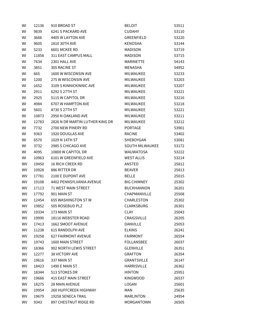| WI | 12136 | 910 BROAD ST                    | <b>BELOIT</b>          | 53511 |
|----|-------|---------------------------------|------------------------|-------|
| WI | 9839  | 6241 S PACKARD AVE              | <b>CUDAHY</b>          | 53110 |
| WI | 3666  | 4405 W LAYTON AVE               | <b>GREENFIELD</b>      | 53220 |
| WI | 9605  | 1810 30TH AVE                   | <b>KENOSHA</b>         | 53144 |
| WI | 5233  | 6601 MCKEE RD                   | <b>MADISON</b>         | 53719 |
| WI | 11858 | 311 EAST CAMPUS MALL            | <b>MADISON</b>         | 53715 |
| WI | 7634  | 2301 HALL AVE                   | <b>MARINETTE</b>       | 54143 |
| WI | 3851  | 305 RACINE ST                   | <b>MENASHA</b>         | 54952 |
| WI | 665   | 1600 W WISCONSIN AVE            | MILWAUKEE              | 53233 |
| WI | 1200  | 275 W WISCONSIN AVE             | MILWAUKEE              | 53203 |
| WI | 1652  | 3109 S KINNICKINNIC AVE         | <b>MILWAUKEE</b>       | 53207 |
| WI | 2911  | 6292 S 27TH ST                  | MILWAUKEE              | 53221 |
| WI | 2925  | 5115 W CAPITOL DR               | MILWAUKEE              | 53216 |
| WI | 4984  | 6707 W HAMPTON AVE              | MILWAUKEE              | 53218 |
| WI | 5601  | 4730 S 27TH ST                  | MILWAUKEE              | 53221 |
| WI | 10873 | 2950 N OAKLAND AVE              | <b>MILWAUKEE</b>       | 53211 |
| WI | 12783 | 2826 N DR MARTIN LUTHER KING DR | MILWAUKEE              | 53212 |
| WI | 7732  | 2700 NEW PINERY RD              | <b>PORTAGE</b>         | 53901 |
| WI | 9363  | 1920 DOUGLAS AVE                | <b>RACINE</b>          | 53402 |
| WI | 6570  | 1029 N 14TH ST                  | SHEBOYGAN              | 53081 |
| WI | 3732  | 2985 S CHICAGO AVE              | <b>SOUTH MILWAUKEE</b> | 53172 |
| WI | 4095  | 10800 W CAPITOL DR              | <b>WAUWATOSA</b>       | 53222 |
| WI | 10963 | 6101 W GREENFIELD AVE           | <b>WEST ALLIS</b>      | 53214 |
| WV | 19450 | <b>16 RICH CREEK RD</b>         | ANSTED                 | 25812 |
| WV | 10928 | 886 RITTER DR                   | <b>BEAVER</b>          | 25813 |
| WV | 17781 | 2100 E DUPONT AVE               | <b>BELLE</b>           | 25015 |
| WV | 19108 | 4402 PENNSYLVANIA AVENUE        | <b>BIG CHIMNEY</b>     | 25302 |
| WV | 17113 | <b>71 WEST MAIN STREET</b>      | <b>BUCKHANNON</b>      | 26201 |
| WV | 17792 | 901 MAIN ST                     | CHAPMANVILLE           | 25508 |
| WV | 12454 | <b>655 WASHINGTON ST W</b>      | CHARLESTON             | 25302 |
| WV | 19852 | 505 ROSEBUD PLZ                 | <b>CLARKSBURG</b>      | 26301 |
| WV | 19334 | 173 MAIN ST                     | <b>CLAY</b>            | 25043 |
| WV | 19990 | 18116 WEBSTER ROAD              | CRAIGSVILLE            | 26205 |
| WV | 17413 | 1662 SMOOT AVENUE               | <b>DANVILLE</b>        | 25053 |
| WV | 11238 | 615 RANDOLPH AVE                | <b>ELKINS</b>          | 26241 |
| WV | 19258 | <b>627 FAIRMONT AVENUE</b>      | <b>FAIRMONT</b>        | 26554 |
| WV | 19743 | 1600 MAIN STREET                | <b>FOLLANSBEE</b>      | 26037 |
| WV | 18366 | 902 NORTH LEWIS STREET          | <b>GLENVILLE</b>       | 26351 |
| WV | 12277 | <b>38 VICTORY AVE</b>           | <b>GRAFTON</b>         | 26354 |
| WV | 19616 | 337 MAIN ST                     | <b>GRANTSVILLE</b>     | 26147 |
| WV | 18423 | 1490 E MAIN ST                  | <b>HARRISVILLE</b>     | 26362 |
| WV | 18344 | 513 STOKES DR                   | <b>HINTON</b>          | 25951 |
| WV | 19666 | <b>415 EAST MAIN STREET</b>     | <b>KINGWOOD</b>        | 26537 |
| WV | 18275 | 28 MAIN AVENUE                  | LOGAN                  | 25601 |
| WV | 19954 | <b>260 HUFFCREEK HIGHWAY</b>    | <b>MAN</b>             | 25635 |
| WV | 19679 | 19258 SENECA TRAIL              | <b>MARLINTON</b>       | 24954 |
| WV | 9343  | 897 CHESTNUT RIDGE RD           | MORGANTOWN             | 26505 |